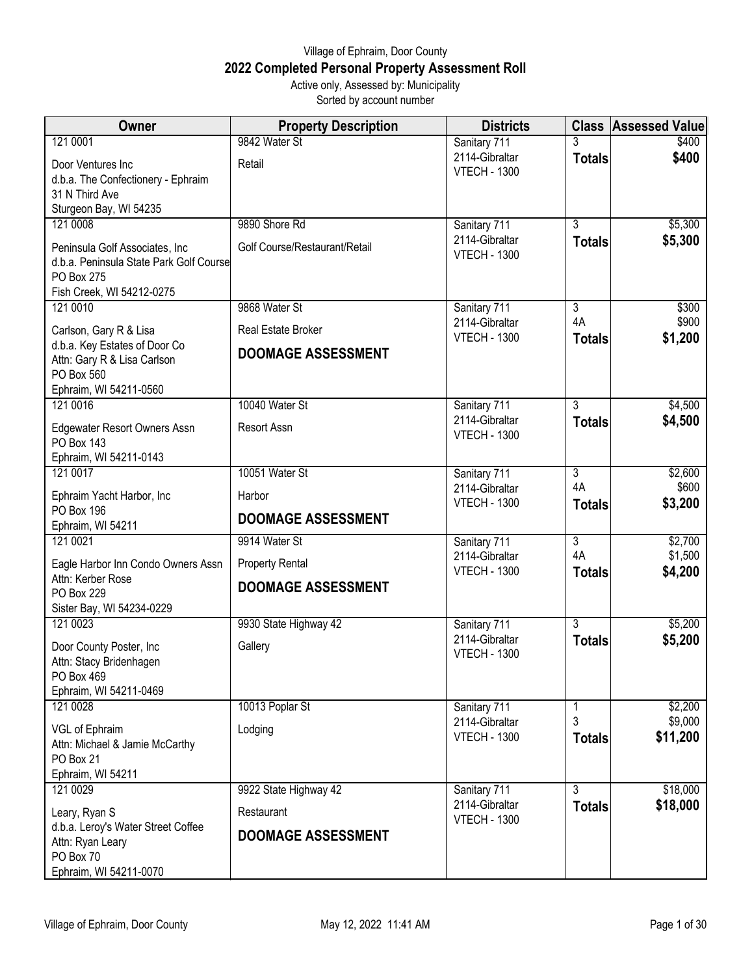## Village of Ephraim, Door County **2022 Completed Personal Property Assessment Roll** Active only, Assessed by: Municipality

Sorted by account number

| Owner                                                   | <b>Property Description</b>   | <b>Districts</b>                      |                      | <b>Class Assessed Value</b> |
|---------------------------------------------------------|-------------------------------|---------------------------------------|----------------------|-----------------------------|
| 121 0001                                                | 9842 Water St                 | Sanitary 711                          |                      | \$400                       |
| Door Ventures Inc                                       | Retail                        | 2114-Gibraltar                        | <b>Totals</b>        | \$400                       |
| d.b.a. The Confectionery - Ephraim                      |                               | <b>VTECH - 1300</b>                   |                      |                             |
| 31 N Third Ave                                          |                               |                                       |                      |                             |
| Sturgeon Bay, WI 54235                                  |                               |                                       | $\overline{3}$       |                             |
| 121 0008                                                | 9890 Shore Rd                 | Sanitary 711<br>2114-Gibraltar        |                      | \$5,300                     |
| Peninsula Golf Associates, Inc.                         | Golf Course/Restaurant/Retail | <b>VTECH - 1300</b>                   | <b>Totals</b>        | \$5,300                     |
| d.b.a. Peninsula State Park Golf Course<br>PO Box 275   |                               |                                       |                      |                             |
| Fish Creek, WI 54212-0275                               |                               |                                       |                      |                             |
| 121 0010                                                | 9868 Water St                 | Sanitary 711                          | $\overline{3}$       | \$300                       |
|                                                         | Real Estate Broker            | 2114-Gibraltar                        | 4A                   | \$900                       |
| Carlson, Gary R & Lisa<br>d.b.a. Key Estates of Door Co |                               | <b>VTECH - 1300</b>                   | <b>Totals</b>        | \$1,200                     |
| Attn: Gary R & Lisa Carlson                             | <b>DOOMAGE ASSESSMENT</b>     |                                       |                      |                             |
| PO Box 560                                              |                               |                                       |                      |                             |
| Ephraim, WI 54211-0560                                  |                               |                                       |                      |                             |
| 121 0016                                                | 10040 Water St                | Sanitary 711                          | $\overline{3}$       | \$4,500                     |
| <b>Edgewater Resort Owners Assn</b>                     | Resort Assn                   | 2114-Gibraltar<br><b>VTECH - 1300</b> | <b>Totals</b>        | \$4,500                     |
| <b>PO Box 143</b>                                       |                               |                                       |                      |                             |
| Ephraim, WI 54211-0143                                  |                               |                                       |                      |                             |
| 121 0017                                                | 10051 Water St                | Sanitary 711<br>2114-Gibraltar        | $\overline{3}$<br>4A | \$2,600<br>\$600            |
| Ephraim Yacht Harbor, Inc                               | Harbor                        | <b>VTECH - 1300</b>                   | <b>Totals</b>        | \$3,200                     |
| PO Box 196                                              | <b>DOOMAGE ASSESSMENT</b>     |                                       |                      |                             |
| Ephraim, WI 54211<br>121 0021                           | 9914 Water St                 |                                       | $\overline{3}$       |                             |
|                                                         |                               | Sanitary 711<br>2114-Gibraltar        | 4A                   | \$2,700<br>\$1,500          |
| Eagle Harbor Inn Condo Owners Assn                      | <b>Property Rental</b>        | <b>VTECH - 1300</b>                   | <b>Totals</b>        | \$4,200                     |
| Attn: Kerber Rose<br>PO Box 229                         | <b>DOOMAGE ASSESSMENT</b>     |                                       |                      |                             |
| Sister Bay, WI 54234-0229                               |                               |                                       |                      |                             |
| 121 0023                                                | 9930 State Highway 42         | Sanitary 711                          | $\overline{3}$       | \$5,200                     |
| Door County Poster, Inc                                 | Gallery                       | 2114-Gibraltar                        | <b>Totals</b>        | \$5,200                     |
| Attn: Stacy Bridenhagen                                 |                               | <b>VTECH - 1300</b>                   |                      |                             |
| PO Box 469                                              |                               |                                       |                      |                             |
| Ephraim, WI 54211-0469                                  |                               |                                       |                      |                             |
| 121 0028                                                | 10013 Poplar St               | Sanitary 711                          | 1                    | \$2,200                     |
| VGL of Ephraim                                          | Lodging                       | 2114-Gibraltar                        | 3                    | \$9,000                     |
| Attn: Michael & Jamie McCarthy                          |                               | <b>VTECH - 1300</b>                   | <b>Totals</b>        | \$11,200                    |
| PO Box 21                                               |                               |                                       |                      |                             |
| Ephraim, WI 54211                                       |                               |                                       | $\overline{3}$       |                             |
| 121 0029                                                | 9922 State Highway 42         | Sanitary 711<br>2114-Gibraltar        | <b>Totals</b>        | \$18,000<br>\$18,000        |
| Leary, Ryan S                                           | Restaurant                    | <b>VTECH - 1300</b>                   |                      |                             |
| d.b.a. Leroy's Water Street Coffee                      | <b>DOOMAGE ASSESSMENT</b>     |                                       |                      |                             |
| Attn: Ryan Leary<br>PO Box 70                           |                               |                                       |                      |                             |
| Ephraim, WI 54211-0070                                  |                               |                                       |                      |                             |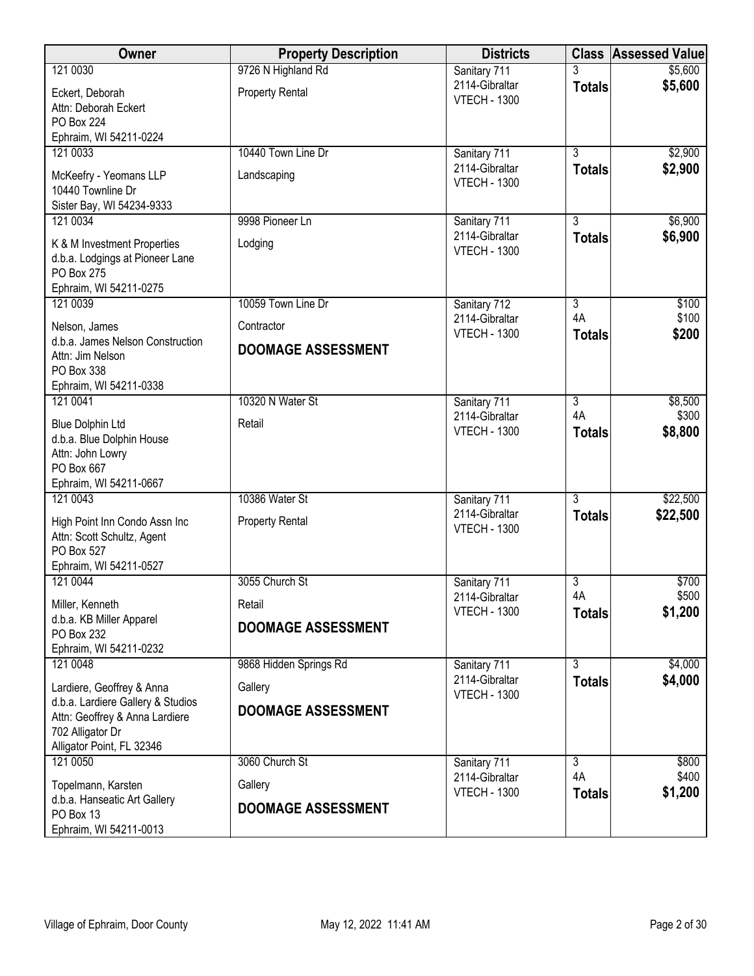| Owner                                             | <b>Property Description</b> | <b>Districts</b>                      |                | <b>Class Assessed Value</b> |
|---------------------------------------------------|-----------------------------|---------------------------------------|----------------|-----------------------------|
| 121 0030                                          | 9726 N Highland Rd          | Sanitary 711                          |                | \$5,600                     |
| Eckert, Deborah                                   | <b>Property Rental</b>      | 2114-Gibraltar<br><b>VTECH - 1300</b> | <b>Totals</b>  | \$5,600                     |
| Attn: Deborah Eckert                              |                             |                                       |                |                             |
| PO Box 224                                        |                             |                                       |                |                             |
| Ephraim, WI 54211-0224                            |                             |                                       |                |                             |
| 121 0033                                          | 10440 Town Line Dr          | Sanitary 711<br>2114-Gibraltar        | $\overline{3}$ | \$2,900<br>\$2,900          |
| McKeefry - Yeomans LLP                            | Landscaping                 | <b>VTECH - 1300</b>                   | <b>Totals</b>  |                             |
| 10440 Townline Dr                                 |                             |                                       |                |                             |
| Sister Bay, WI 54234-9333<br>121 0034             | 9998 Pioneer Ln             | Sanitary 711                          | 3              | \$6,900                     |
|                                                   |                             | 2114-Gibraltar                        | <b>Totals</b>  | \$6,900                     |
| K & M Investment Properties                       | Lodging                     | <b>VTECH - 1300</b>                   |                |                             |
| d.b.a. Lodgings at Pioneer Lane<br>PO Box 275     |                             |                                       |                |                             |
| Ephraim, WI 54211-0275                            |                             |                                       |                |                             |
| 121 0039                                          | 10059 Town Line Dr          | Sanitary 712                          | $\overline{3}$ | \$100                       |
|                                                   |                             | 2114-Gibraltar                        | 4A             | \$100                       |
| Nelson, James<br>d.b.a. James Nelson Construction | Contractor                  | <b>VTECH - 1300</b>                   | <b>Totals</b>  | \$200                       |
| Attn: Jim Nelson                                  | <b>DOOMAGE ASSESSMENT</b>   |                                       |                |                             |
| PO Box 338                                        |                             |                                       |                |                             |
| Ephraim, WI 54211-0338                            |                             |                                       |                |                             |
| 121 0041                                          | 10320 N Water St            | Sanitary 711                          | $\overline{3}$ | \$8,500                     |
| <b>Blue Dolphin Ltd</b>                           | Retail                      | 2114-Gibraltar                        | 4A             | \$300                       |
| d.b.a. Blue Dolphin House                         |                             | <b>VTECH - 1300</b>                   | <b>Totals</b>  | \$8,800                     |
| Attn: John Lowry                                  |                             |                                       |                |                             |
| PO Box 667                                        |                             |                                       |                |                             |
| Ephraim, WI 54211-0667<br>121 0043                | 10386 Water St              | Sanitary 711                          | $\overline{3}$ | \$22,500                    |
|                                                   |                             | 2114-Gibraltar                        | <b>Totals</b>  | \$22,500                    |
| High Point Inn Condo Assn Inc                     | <b>Property Rental</b>      | <b>VTECH - 1300</b>                   |                |                             |
| Attn: Scott Schultz, Agent<br>PO Box 527          |                             |                                       |                |                             |
| Ephraim, WI 54211-0527                            |                             |                                       |                |                             |
| 121 0044                                          | 3055 Church St              | Sanitary 711                          | 3              | \$700                       |
| Miller, Kenneth                                   | Retail                      | 2114-Gibraltar                        | 4A             | \$500                       |
| d.b.a. KB Miller Apparel                          |                             | <b>VTECH - 1300</b>                   | <b>Totals</b>  | \$1,200                     |
| PO Box 232                                        | <b>DOOMAGE ASSESSMENT</b>   |                                       |                |                             |
| Ephraim, WI 54211-0232                            |                             |                                       |                |                             |
| 121 0048                                          | 9868 Hidden Springs Rd      | Sanitary 711                          | $\overline{3}$ | \$4,000                     |
| Lardiere, Geoffrey & Anna                         | Gallery                     | 2114-Gibraltar                        | <b>Totals</b>  | \$4,000                     |
| d.b.a. Lardiere Gallery & Studios                 | <b>DOOMAGE ASSESSMENT</b>   | <b>VTECH - 1300</b>                   |                |                             |
| Attn: Geoffrey & Anna Lardiere                    |                             |                                       |                |                             |
| 702 Alligator Dr                                  |                             |                                       |                |                             |
| Alligator Point, FL 32346<br>121 0050             | 3060 Church St              | Sanitary 711                          | 3              | \$800                       |
|                                                   |                             | 2114-Gibraltar                        | 4A             | \$400                       |
| Topelmann, Karsten                                | Gallery                     | <b>VTECH - 1300</b>                   | <b>Totals</b>  | \$1,200                     |
| d.b.a. Hanseatic Art Gallery<br>PO Box 13         | <b>DOOMAGE ASSESSMENT</b>   |                                       |                |                             |
| Ephraim, WI 54211-0013                            |                             |                                       |                |                             |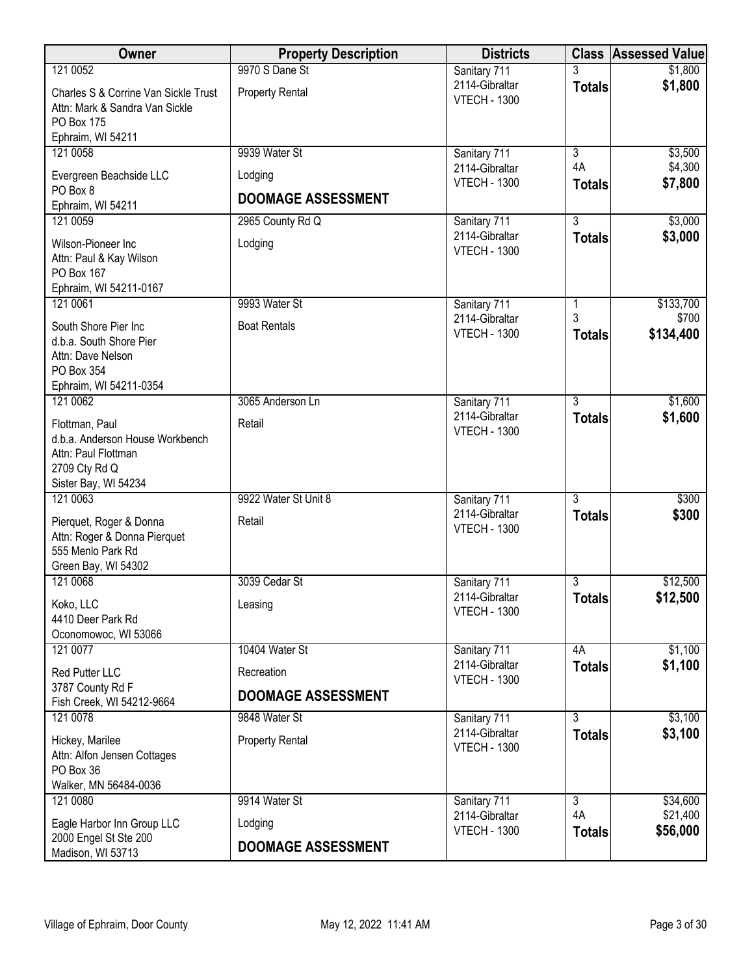| Owner                                                                                                           | <b>Property Description</b>    | <b>Districts</b>                                      |                                 | <b>Class Assessed Value</b> |
|-----------------------------------------------------------------------------------------------------------------|--------------------------------|-------------------------------------------------------|---------------------------------|-----------------------------|
| 121 0052                                                                                                        | 9970 S Dane St                 | Sanitary 711                                          |                                 | \$1,800                     |
| Charles S & Corrine Van Sickle Trust<br>Attn: Mark & Sandra Van Sickle                                          | <b>Property Rental</b>         | 2114-Gibraltar<br><b>VTECH - 1300</b>                 | <b>Totals</b>                   | \$1,800                     |
| PO Box 175<br>Ephraim, WI 54211                                                                                 |                                |                                                       |                                 |                             |
| 121 0058                                                                                                        | 9939 Water St                  | Sanitary 711                                          | $\overline{3}$                  | \$3,500                     |
| Evergreen Beachside LLC                                                                                         | Lodging                        | 2114-Gibraltar<br><b>VTECH - 1300</b>                 | 4A<br><b>Totals</b>             | \$4,300<br>\$7,800          |
| PO Box 8<br>Ephraim, WI 54211                                                                                   | <b>DOOMAGE ASSESSMENT</b>      |                                                       |                                 |                             |
| 121 0059                                                                                                        | 2965 County Rd Q               | Sanitary 711                                          | $\overline{3}$                  | \$3,000                     |
| Wilson-Pioneer Inc<br>Attn: Paul & Kay Wilson<br>PO Box 167<br>Ephraim, WI 54211-0167                           | Lodging                        | 2114-Gibraltar<br><b>VTECH - 1300</b>                 | <b>Totals</b>                   | \$3,000                     |
| 121 0061                                                                                                        | 9993 Water St                  | Sanitary 711                                          | 1                               | \$133,700                   |
| South Shore Pier Inc<br>d.b.a. South Shore Pier<br>Attn: Dave Nelson<br>PO Box 354                              | <b>Boat Rentals</b>            | 2114-Gibraltar<br><b>VTECH - 1300</b>                 | 3<br><b>Totals</b>              | \$700<br>\$134,400          |
| Ephraim, WI 54211-0354                                                                                          |                                |                                                       |                                 |                             |
| 121 0062                                                                                                        | 3065 Anderson Ln               | Sanitary 711                                          | $\overline{3}$                  | \$1,600                     |
| Flottman, Paul<br>d.b.a. Anderson House Workbench<br>Attn: Paul Flottman<br>2709 Cty Rd Q                       | Retail                         | 2114-Gibraltar<br><b>VTECH - 1300</b>                 | <b>Totals</b>                   | \$1,600                     |
| Sister Bay, WI 54234                                                                                            |                                |                                                       |                                 |                             |
| 121 0063<br>Pierquet, Roger & Donna<br>Attn: Roger & Donna Pierquet<br>555 Menlo Park Rd<br>Green Bay, WI 54302 | 9922 Water St Unit 8<br>Retail | Sanitary 711<br>2114-Gibraltar<br><b>VTECH - 1300</b> | $\overline{3}$<br><b>Totals</b> | \$300<br>\$300              |
| 121 0068                                                                                                        | 3039 Cedar St                  | Sanitary 711                                          | $\overline{3}$                  | \$12,500                    |
| Koko, LLC<br>4410 Deer Park Rd<br>Oconomowoc, WI 53066                                                          | Leasing                        | 2114-Gibraltar<br><b>VTECH - 1300</b>                 | <b>Totals</b>                   | \$12,500                    |
| 121 0077                                                                                                        | 10404 Water St                 | Sanitary 711                                          | 4A                              | \$1,100                     |
| Red Putter LLC                                                                                                  | Recreation                     | 2114-Gibraltar<br><b>VTECH - 1300</b>                 | <b>Totals</b>                   | \$1,100                     |
| 3787 County Rd F<br>Fish Creek, WI 54212-9664                                                                   | <b>DOOMAGE ASSESSMENT</b>      |                                                       |                                 |                             |
| 121 0078                                                                                                        | 9848 Water St                  | Sanitary 711                                          | $\overline{3}$                  | \$3,100                     |
| Hickey, Marilee<br>Attn: Alfon Jensen Cottages<br>PO Box 36<br>Walker, MN 56484-0036                            | <b>Property Rental</b>         | 2114-Gibraltar<br><b>VTECH - 1300</b>                 | <b>Totals</b>                   | \$3,100                     |
| 121 0080                                                                                                        | 9914 Water St                  | Sanitary 711                                          | 3                               | \$34,600                    |
| Eagle Harbor Inn Group LLC<br>2000 Engel St Ste 200                                                             | Lodging                        | 2114-Gibraltar<br><b>VTECH - 1300</b>                 | 4A<br><b>Totals</b>             | \$21,400<br>\$56,000        |
| Madison, WI 53713                                                                                               | <b>DOOMAGE ASSESSMENT</b>      |                                                       |                                 |                             |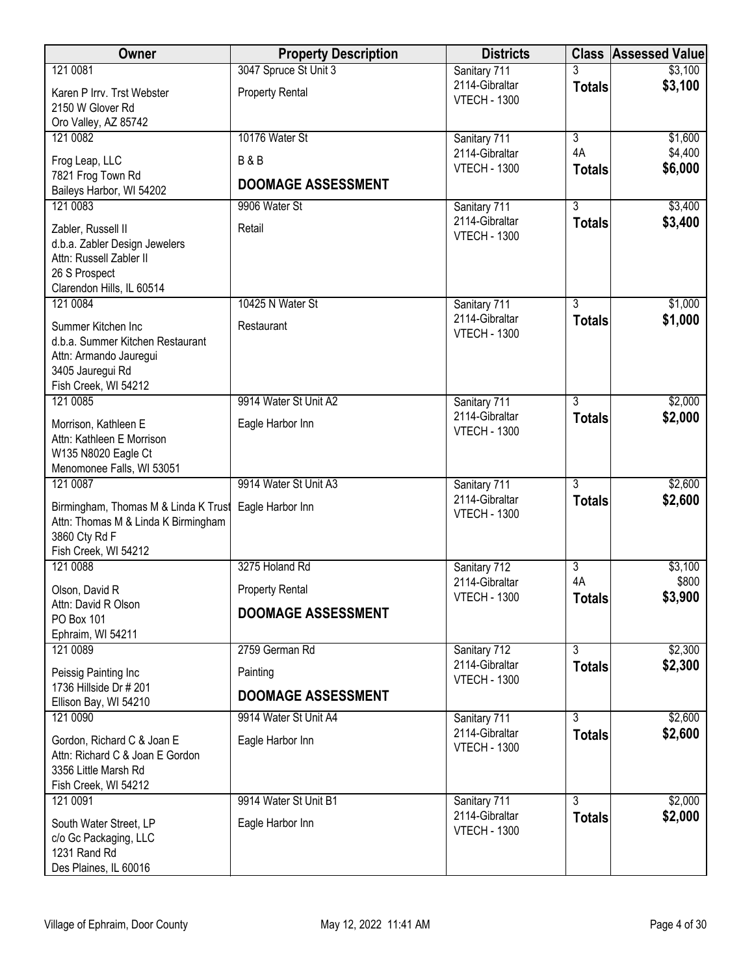| \$3,100<br>2114-Gibraltar<br><b>Totals</b><br><b>Property Rental</b><br>Karen P Irrv. Trst Webster<br><b>VTECH - 1300</b><br>2150 W Glover Rd<br>Oro Valley, AZ 85742<br>121 0082<br>10176 Water St<br>Sanitary 711<br>$\overline{3}$<br>\$1,600<br>4A<br>\$4,400<br>2114-Gibraltar<br><b>B&amp;B</b><br>Frog Leap, LLC<br><b>VTECH - 1300</b><br>\$6,000<br><b>Totals</b><br>7821 Frog Town Rd<br><b>DOOMAGE ASSESSMENT</b><br>Baileys Harbor, WI 54202<br>\$3,400<br>121 0083<br>3<br>9906 Water St<br>Sanitary 711<br>2114-Gibraltar<br>\$3,400<br><b>Totals</b><br>Zabler, Russell II<br>Retail<br><b>VTECH - 1300</b><br>d.b.a. Zabler Design Jewelers<br>Attn: Russell Zabler II<br>26 S Prospect<br>Clarendon Hills, IL 60514<br>121 0084<br>10425 N Water St<br>$\overline{3}$<br>\$1,000<br>Sanitary 711<br>\$1,000<br>2114-Gibraltar<br><b>Totals</b><br>Summer Kitchen Inc<br>Restaurant<br><b>VTECH - 1300</b><br>d.b.a. Summer Kitchen Restaurant<br>Attn: Armando Jauregui<br>3405 Jauregui Rd<br>Fish Creek, WI 54212<br>9914 Water St Unit A2<br>$\overline{3}$<br>\$2,000<br>121 0085<br>Sanitary 711<br>2114-Gibraltar<br>\$2,000<br><b>Totals</b><br>Morrison, Kathleen E<br>Eagle Harbor Inn<br><b>VTECH - 1300</b><br>Attn: Kathleen E Morrison<br>W135 N8020 Eagle Ct<br>Menomonee Falls, WI 53051<br>9914 Water St Unit A3<br>$\overline{3}$<br>\$2,600<br>121 0087<br>Sanitary 711<br>2114-Gibraltar<br>\$2,600<br><b>Totals</b><br>Birmingham, Thomas M & Linda K Trust<br>Eagle Harbor Inn<br><b>VTECH - 1300</b><br>Attn: Thomas M & Linda K Birmingham<br>3860 Cty Rd F<br>Fish Creek, WI 54212<br>121 0088<br>3275 Holand Rd<br>$\overline{3}$<br>Sanitary 712<br>\$3,100<br>\$800<br>4A<br>2114-Gibraltar<br><b>Property Rental</b><br>Olson, David R<br>\$3,900<br><b>VTECH - 1300</b><br><b>Totals</b><br>Attn: David R Olson<br><b>DOOMAGE ASSESSMENT</b><br>PO Box 101<br>Ephraim, WI 54211<br>121 0089<br>2759 German Rd<br>$\overline{3}$<br>\$2,300<br>Sanitary 712<br>2114-Gibraltar<br>\$2,300<br><b>Totals</b><br>Peissig Painting Inc<br>Painting<br><b>VTECH - 1300</b><br>1736 Hillside Dr # 201<br><b>DOOMAGE ASSESSMENT</b><br>Ellison Bay, WI 54210<br>\$2,600<br>$\overline{3}$<br>121 0090<br>9914 Water St Unit A4<br>Sanitary 711<br>\$2,600<br>2114-Gibraltar<br><b>Totals</b><br>Eagle Harbor Inn<br>Gordon, Richard C & Joan E | Owner                           | <b>Property Description</b> | <b>Districts</b>    | <b>Class</b> | <b>Assessed Value</b> |
|-------------------------------------------------------------------------------------------------------------------------------------------------------------------------------------------------------------------------------------------------------------------------------------------------------------------------------------------------------------------------------------------------------------------------------------------------------------------------------------------------------------------------------------------------------------------------------------------------------------------------------------------------------------------------------------------------------------------------------------------------------------------------------------------------------------------------------------------------------------------------------------------------------------------------------------------------------------------------------------------------------------------------------------------------------------------------------------------------------------------------------------------------------------------------------------------------------------------------------------------------------------------------------------------------------------------------------------------------------------------------------------------------------------------------------------------------------------------------------------------------------------------------------------------------------------------------------------------------------------------------------------------------------------------------------------------------------------------------------------------------------------------------------------------------------------------------------------------------------------------------------------------------------------------------------------------------------------------------------------------------------------------------------------------------------------------------------------------------------------------------------------------------------------------------------------------------------------------------------------------------------------------------------------------------------------------------------------------------------------------------------------|---------------------------------|-----------------------------|---------------------|--------------|-----------------------|
|                                                                                                                                                                                                                                                                                                                                                                                                                                                                                                                                                                                                                                                                                                                                                                                                                                                                                                                                                                                                                                                                                                                                                                                                                                                                                                                                                                                                                                                                                                                                                                                                                                                                                                                                                                                                                                                                                                                                                                                                                                                                                                                                                                                                                                                                                                                                                                                     | 121 0081                        | 3047 Spruce St Unit 3       | Sanitary 711        |              | \$3,100               |
|                                                                                                                                                                                                                                                                                                                                                                                                                                                                                                                                                                                                                                                                                                                                                                                                                                                                                                                                                                                                                                                                                                                                                                                                                                                                                                                                                                                                                                                                                                                                                                                                                                                                                                                                                                                                                                                                                                                                                                                                                                                                                                                                                                                                                                                                                                                                                                                     |                                 |                             |                     |              |                       |
|                                                                                                                                                                                                                                                                                                                                                                                                                                                                                                                                                                                                                                                                                                                                                                                                                                                                                                                                                                                                                                                                                                                                                                                                                                                                                                                                                                                                                                                                                                                                                                                                                                                                                                                                                                                                                                                                                                                                                                                                                                                                                                                                                                                                                                                                                                                                                                                     |                                 |                             |                     |              |                       |
|                                                                                                                                                                                                                                                                                                                                                                                                                                                                                                                                                                                                                                                                                                                                                                                                                                                                                                                                                                                                                                                                                                                                                                                                                                                                                                                                                                                                                                                                                                                                                                                                                                                                                                                                                                                                                                                                                                                                                                                                                                                                                                                                                                                                                                                                                                                                                                                     |                                 |                             |                     |              |                       |
|                                                                                                                                                                                                                                                                                                                                                                                                                                                                                                                                                                                                                                                                                                                                                                                                                                                                                                                                                                                                                                                                                                                                                                                                                                                                                                                                                                                                                                                                                                                                                                                                                                                                                                                                                                                                                                                                                                                                                                                                                                                                                                                                                                                                                                                                                                                                                                                     |                                 |                             |                     |              |                       |
|                                                                                                                                                                                                                                                                                                                                                                                                                                                                                                                                                                                                                                                                                                                                                                                                                                                                                                                                                                                                                                                                                                                                                                                                                                                                                                                                                                                                                                                                                                                                                                                                                                                                                                                                                                                                                                                                                                                                                                                                                                                                                                                                                                                                                                                                                                                                                                                     |                                 |                             |                     |              |                       |
|                                                                                                                                                                                                                                                                                                                                                                                                                                                                                                                                                                                                                                                                                                                                                                                                                                                                                                                                                                                                                                                                                                                                                                                                                                                                                                                                                                                                                                                                                                                                                                                                                                                                                                                                                                                                                                                                                                                                                                                                                                                                                                                                                                                                                                                                                                                                                                                     |                                 |                             |                     |              |                       |
|                                                                                                                                                                                                                                                                                                                                                                                                                                                                                                                                                                                                                                                                                                                                                                                                                                                                                                                                                                                                                                                                                                                                                                                                                                                                                                                                                                                                                                                                                                                                                                                                                                                                                                                                                                                                                                                                                                                                                                                                                                                                                                                                                                                                                                                                                                                                                                                     |                                 |                             |                     |              |                       |
|                                                                                                                                                                                                                                                                                                                                                                                                                                                                                                                                                                                                                                                                                                                                                                                                                                                                                                                                                                                                                                                                                                                                                                                                                                                                                                                                                                                                                                                                                                                                                                                                                                                                                                                                                                                                                                                                                                                                                                                                                                                                                                                                                                                                                                                                                                                                                                                     |                                 |                             |                     |              |                       |
|                                                                                                                                                                                                                                                                                                                                                                                                                                                                                                                                                                                                                                                                                                                                                                                                                                                                                                                                                                                                                                                                                                                                                                                                                                                                                                                                                                                                                                                                                                                                                                                                                                                                                                                                                                                                                                                                                                                                                                                                                                                                                                                                                                                                                                                                                                                                                                                     |                                 |                             |                     |              |                       |
|                                                                                                                                                                                                                                                                                                                                                                                                                                                                                                                                                                                                                                                                                                                                                                                                                                                                                                                                                                                                                                                                                                                                                                                                                                                                                                                                                                                                                                                                                                                                                                                                                                                                                                                                                                                                                                                                                                                                                                                                                                                                                                                                                                                                                                                                                                                                                                                     |                                 |                             |                     |              |                       |
|                                                                                                                                                                                                                                                                                                                                                                                                                                                                                                                                                                                                                                                                                                                                                                                                                                                                                                                                                                                                                                                                                                                                                                                                                                                                                                                                                                                                                                                                                                                                                                                                                                                                                                                                                                                                                                                                                                                                                                                                                                                                                                                                                                                                                                                                                                                                                                                     |                                 |                             |                     |              |                       |
|                                                                                                                                                                                                                                                                                                                                                                                                                                                                                                                                                                                                                                                                                                                                                                                                                                                                                                                                                                                                                                                                                                                                                                                                                                                                                                                                                                                                                                                                                                                                                                                                                                                                                                                                                                                                                                                                                                                                                                                                                                                                                                                                                                                                                                                                                                                                                                                     |                                 |                             |                     |              |                       |
|                                                                                                                                                                                                                                                                                                                                                                                                                                                                                                                                                                                                                                                                                                                                                                                                                                                                                                                                                                                                                                                                                                                                                                                                                                                                                                                                                                                                                                                                                                                                                                                                                                                                                                                                                                                                                                                                                                                                                                                                                                                                                                                                                                                                                                                                                                                                                                                     |                                 |                             |                     |              |                       |
|                                                                                                                                                                                                                                                                                                                                                                                                                                                                                                                                                                                                                                                                                                                                                                                                                                                                                                                                                                                                                                                                                                                                                                                                                                                                                                                                                                                                                                                                                                                                                                                                                                                                                                                                                                                                                                                                                                                                                                                                                                                                                                                                                                                                                                                                                                                                                                                     |                                 |                             |                     |              |                       |
|                                                                                                                                                                                                                                                                                                                                                                                                                                                                                                                                                                                                                                                                                                                                                                                                                                                                                                                                                                                                                                                                                                                                                                                                                                                                                                                                                                                                                                                                                                                                                                                                                                                                                                                                                                                                                                                                                                                                                                                                                                                                                                                                                                                                                                                                                                                                                                                     |                                 |                             |                     |              |                       |
|                                                                                                                                                                                                                                                                                                                                                                                                                                                                                                                                                                                                                                                                                                                                                                                                                                                                                                                                                                                                                                                                                                                                                                                                                                                                                                                                                                                                                                                                                                                                                                                                                                                                                                                                                                                                                                                                                                                                                                                                                                                                                                                                                                                                                                                                                                                                                                                     |                                 |                             |                     |              |                       |
|                                                                                                                                                                                                                                                                                                                                                                                                                                                                                                                                                                                                                                                                                                                                                                                                                                                                                                                                                                                                                                                                                                                                                                                                                                                                                                                                                                                                                                                                                                                                                                                                                                                                                                                                                                                                                                                                                                                                                                                                                                                                                                                                                                                                                                                                                                                                                                                     |                                 |                             |                     |              |                       |
|                                                                                                                                                                                                                                                                                                                                                                                                                                                                                                                                                                                                                                                                                                                                                                                                                                                                                                                                                                                                                                                                                                                                                                                                                                                                                                                                                                                                                                                                                                                                                                                                                                                                                                                                                                                                                                                                                                                                                                                                                                                                                                                                                                                                                                                                                                                                                                                     |                                 |                             |                     |              |                       |
|                                                                                                                                                                                                                                                                                                                                                                                                                                                                                                                                                                                                                                                                                                                                                                                                                                                                                                                                                                                                                                                                                                                                                                                                                                                                                                                                                                                                                                                                                                                                                                                                                                                                                                                                                                                                                                                                                                                                                                                                                                                                                                                                                                                                                                                                                                                                                                                     |                                 |                             |                     |              |                       |
|                                                                                                                                                                                                                                                                                                                                                                                                                                                                                                                                                                                                                                                                                                                                                                                                                                                                                                                                                                                                                                                                                                                                                                                                                                                                                                                                                                                                                                                                                                                                                                                                                                                                                                                                                                                                                                                                                                                                                                                                                                                                                                                                                                                                                                                                                                                                                                                     |                                 |                             |                     |              |                       |
|                                                                                                                                                                                                                                                                                                                                                                                                                                                                                                                                                                                                                                                                                                                                                                                                                                                                                                                                                                                                                                                                                                                                                                                                                                                                                                                                                                                                                                                                                                                                                                                                                                                                                                                                                                                                                                                                                                                                                                                                                                                                                                                                                                                                                                                                                                                                                                                     |                                 |                             |                     |              |                       |
|                                                                                                                                                                                                                                                                                                                                                                                                                                                                                                                                                                                                                                                                                                                                                                                                                                                                                                                                                                                                                                                                                                                                                                                                                                                                                                                                                                                                                                                                                                                                                                                                                                                                                                                                                                                                                                                                                                                                                                                                                                                                                                                                                                                                                                                                                                                                                                                     |                                 |                             |                     |              |                       |
|                                                                                                                                                                                                                                                                                                                                                                                                                                                                                                                                                                                                                                                                                                                                                                                                                                                                                                                                                                                                                                                                                                                                                                                                                                                                                                                                                                                                                                                                                                                                                                                                                                                                                                                                                                                                                                                                                                                                                                                                                                                                                                                                                                                                                                                                                                                                                                                     |                                 |                             |                     |              |                       |
|                                                                                                                                                                                                                                                                                                                                                                                                                                                                                                                                                                                                                                                                                                                                                                                                                                                                                                                                                                                                                                                                                                                                                                                                                                                                                                                                                                                                                                                                                                                                                                                                                                                                                                                                                                                                                                                                                                                                                                                                                                                                                                                                                                                                                                                                                                                                                                                     |                                 |                             |                     |              |                       |
|                                                                                                                                                                                                                                                                                                                                                                                                                                                                                                                                                                                                                                                                                                                                                                                                                                                                                                                                                                                                                                                                                                                                                                                                                                                                                                                                                                                                                                                                                                                                                                                                                                                                                                                                                                                                                                                                                                                                                                                                                                                                                                                                                                                                                                                                                                                                                                                     |                                 |                             |                     |              |                       |
|                                                                                                                                                                                                                                                                                                                                                                                                                                                                                                                                                                                                                                                                                                                                                                                                                                                                                                                                                                                                                                                                                                                                                                                                                                                                                                                                                                                                                                                                                                                                                                                                                                                                                                                                                                                                                                                                                                                                                                                                                                                                                                                                                                                                                                                                                                                                                                                     |                                 |                             |                     |              |                       |
|                                                                                                                                                                                                                                                                                                                                                                                                                                                                                                                                                                                                                                                                                                                                                                                                                                                                                                                                                                                                                                                                                                                                                                                                                                                                                                                                                                                                                                                                                                                                                                                                                                                                                                                                                                                                                                                                                                                                                                                                                                                                                                                                                                                                                                                                                                                                                                                     |                                 |                             |                     |              |                       |
|                                                                                                                                                                                                                                                                                                                                                                                                                                                                                                                                                                                                                                                                                                                                                                                                                                                                                                                                                                                                                                                                                                                                                                                                                                                                                                                                                                                                                                                                                                                                                                                                                                                                                                                                                                                                                                                                                                                                                                                                                                                                                                                                                                                                                                                                                                                                                                                     |                                 |                             |                     |              |                       |
|                                                                                                                                                                                                                                                                                                                                                                                                                                                                                                                                                                                                                                                                                                                                                                                                                                                                                                                                                                                                                                                                                                                                                                                                                                                                                                                                                                                                                                                                                                                                                                                                                                                                                                                                                                                                                                                                                                                                                                                                                                                                                                                                                                                                                                                                                                                                                                                     |                                 |                             |                     |              |                       |
|                                                                                                                                                                                                                                                                                                                                                                                                                                                                                                                                                                                                                                                                                                                                                                                                                                                                                                                                                                                                                                                                                                                                                                                                                                                                                                                                                                                                                                                                                                                                                                                                                                                                                                                                                                                                                                                                                                                                                                                                                                                                                                                                                                                                                                                                                                                                                                                     |                                 |                             |                     |              |                       |
|                                                                                                                                                                                                                                                                                                                                                                                                                                                                                                                                                                                                                                                                                                                                                                                                                                                                                                                                                                                                                                                                                                                                                                                                                                                                                                                                                                                                                                                                                                                                                                                                                                                                                                                                                                                                                                                                                                                                                                                                                                                                                                                                                                                                                                                                                                                                                                                     |                                 |                             |                     |              |                       |
|                                                                                                                                                                                                                                                                                                                                                                                                                                                                                                                                                                                                                                                                                                                                                                                                                                                                                                                                                                                                                                                                                                                                                                                                                                                                                                                                                                                                                                                                                                                                                                                                                                                                                                                                                                                                                                                                                                                                                                                                                                                                                                                                                                                                                                                                                                                                                                                     |                                 |                             |                     |              |                       |
|                                                                                                                                                                                                                                                                                                                                                                                                                                                                                                                                                                                                                                                                                                                                                                                                                                                                                                                                                                                                                                                                                                                                                                                                                                                                                                                                                                                                                                                                                                                                                                                                                                                                                                                                                                                                                                                                                                                                                                                                                                                                                                                                                                                                                                                                                                                                                                                     |                                 |                             |                     |              |                       |
|                                                                                                                                                                                                                                                                                                                                                                                                                                                                                                                                                                                                                                                                                                                                                                                                                                                                                                                                                                                                                                                                                                                                                                                                                                                                                                                                                                                                                                                                                                                                                                                                                                                                                                                                                                                                                                                                                                                                                                                                                                                                                                                                                                                                                                                                                                                                                                                     |                                 |                             |                     |              |                       |
|                                                                                                                                                                                                                                                                                                                                                                                                                                                                                                                                                                                                                                                                                                                                                                                                                                                                                                                                                                                                                                                                                                                                                                                                                                                                                                                                                                                                                                                                                                                                                                                                                                                                                                                                                                                                                                                                                                                                                                                                                                                                                                                                                                                                                                                                                                                                                                                     |                                 |                             |                     |              |                       |
|                                                                                                                                                                                                                                                                                                                                                                                                                                                                                                                                                                                                                                                                                                                                                                                                                                                                                                                                                                                                                                                                                                                                                                                                                                                                                                                                                                                                                                                                                                                                                                                                                                                                                                                                                                                                                                                                                                                                                                                                                                                                                                                                                                                                                                                                                                                                                                                     |                                 |                             |                     |              |                       |
|                                                                                                                                                                                                                                                                                                                                                                                                                                                                                                                                                                                                                                                                                                                                                                                                                                                                                                                                                                                                                                                                                                                                                                                                                                                                                                                                                                                                                                                                                                                                                                                                                                                                                                                                                                                                                                                                                                                                                                                                                                                                                                                                                                                                                                                                                                                                                                                     | Attn: Richard C & Joan E Gordon |                             | <b>VTECH - 1300</b> |              |                       |
| 3356 Little Marsh Rd                                                                                                                                                                                                                                                                                                                                                                                                                                                                                                                                                                                                                                                                                                                                                                                                                                                                                                                                                                                                                                                                                                                                                                                                                                                                                                                                                                                                                                                                                                                                                                                                                                                                                                                                                                                                                                                                                                                                                                                                                                                                                                                                                                                                                                                                                                                                                                |                                 |                             |                     |              |                       |
| Fish Creek, WI 54212                                                                                                                                                                                                                                                                                                                                                                                                                                                                                                                                                                                                                                                                                                                                                                                                                                                                                                                                                                                                                                                                                                                                                                                                                                                                                                                                                                                                                                                                                                                                                                                                                                                                                                                                                                                                                                                                                                                                                                                                                                                                                                                                                                                                                                                                                                                                                                |                                 |                             |                     |              |                       |
| 9914 Water St Unit B1<br>$\overline{3}$<br>\$2,000<br>121 0091<br>Sanitary 711<br>\$2,000<br>2114-Gibraltar                                                                                                                                                                                                                                                                                                                                                                                                                                                                                                                                                                                                                                                                                                                                                                                                                                                                                                                                                                                                                                                                                                                                                                                                                                                                                                                                                                                                                                                                                                                                                                                                                                                                                                                                                                                                                                                                                                                                                                                                                                                                                                                                                                                                                                                                         |                                 |                             |                     |              |                       |
| <b>Totals</b><br>Eagle Harbor Inn<br>South Water Street, LP<br><b>VTECH - 1300</b>                                                                                                                                                                                                                                                                                                                                                                                                                                                                                                                                                                                                                                                                                                                                                                                                                                                                                                                                                                                                                                                                                                                                                                                                                                                                                                                                                                                                                                                                                                                                                                                                                                                                                                                                                                                                                                                                                                                                                                                                                                                                                                                                                                                                                                                                                                  |                                 |                             |                     |              |                       |
| c/o Gc Packaging, LLC<br>1231 Rand Rd                                                                                                                                                                                                                                                                                                                                                                                                                                                                                                                                                                                                                                                                                                                                                                                                                                                                                                                                                                                                                                                                                                                                                                                                                                                                                                                                                                                                                                                                                                                                                                                                                                                                                                                                                                                                                                                                                                                                                                                                                                                                                                                                                                                                                                                                                                                                               |                                 |                             |                     |              |                       |
| Des Plaines, IL 60016                                                                                                                                                                                                                                                                                                                                                                                                                                                                                                                                                                                                                                                                                                                                                                                                                                                                                                                                                                                                                                                                                                                                                                                                                                                                                                                                                                                                                                                                                                                                                                                                                                                                                                                                                                                                                                                                                                                                                                                                                                                                                                                                                                                                                                                                                                                                                               |                                 |                             |                     |              |                       |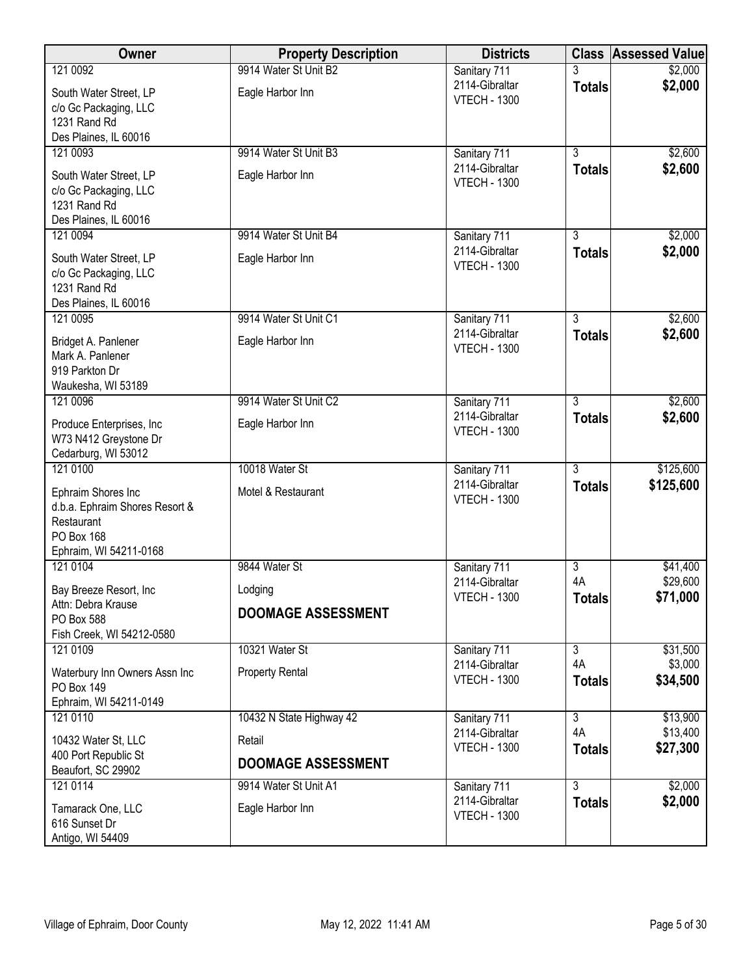| Owner                                              | <b>Property Description</b> | <b>Districts</b>                      |                     | <b>Class Assessed Value</b> |
|----------------------------------------------------|-----------------------------|---------------------------------------|---------------------|-----------------------------|
| 121 0092                                           | 9914 Water St Unit B2       | Sanitary 711                          |                     | \$2,000                     |
| South Water Street, LP                             | Eagle Harbor Inn            | 2114-Gibraltar<br><b>VTECH - 1300</b> | <b>Totals</b>       | \$2,000                     |
| c/o Gc Packaging, LLC                              |                             |                                       |                     |                             |
| 1231 Rand Rd<br>Des Plaines, IL 60016              |                             |                                       |                     |                             |
| 121 0093                                           | 9914 Water St Unit B3       | Sanitary 711                          | $\overline{3}$      | \$2,600                     |
| South Water Street, LP                             | Eagle Harbor Inn            | 2114-Gibraltar                        | <b>Totals</b>       | \$2,600                     |
| c/o Gc Packaging, LLC                              |                             | <b>VTECH - 1300</b>                   |                     |                             |
| 1231 Rand Rd                                       |                             |                                       |                     |                             |
| Des Plaines, IL 60016                              |                             |                                       |                     |                             |
| 121 0094                                           | 9914 Water St Unit B4       | Sanitary 711<br>2114-Gibraltar        | $\overline{3}$      | \$2,000<br>\$2,000          |
| South Water Street, LP                             | Eagle Harbor Inn            | <b>VTECH - 1300</b>                   | <b>Totals</b>       |                             |
| c/o Gc Packaging, LLC<br>1231 Rand Rd              |                             |                                       |                     |                             |
| Des Plaines, IL 60016                              |                             |                                       |                     |                             |
| 121 0095                                           | 9914 Water St Unit C1       | Sanitary 711                          | 3                   | \$2,600                     |
| Bridget A. Panlener                                | Eagle Harbor Inn            | 2114-Gibraltar                        | <b>Totals</b>       | \$2,600                     |
| Mark A. Panlener                                   |                             | <b>VTECH - 1300</b>                   |                     |                             |
| 919 Parkton Dr                                     |                             |                                       |                     |                             |
| Waukesha, WI 53189<br>121 0096                     | 9914 Water St Unit C2       | Sanitary 711                          | $\overline{3}$      | \$2,600                     |
|                                                    |                             | 2114-Gibraltar                        | <b>Totals</b>       | \$2,600                     |
| Produce Enterprises, Inc.<br>W73 N412 Greystone Dr | Eagle Harbor Inn            | <b>VTECH - 1300</b>                   |                     |                             |
| Cedarburg, WI 53012                                |                             |                                       |                     |                             |
| 121 0100                                           | 10018 Water St              | Sanitary 711                          | $\overline{3}$      | \$125,600                   |
| Ephraim Shores Inc                                 | Motel & Restaurant          | 2114-Gibraltar                        | <b>Totals</b>       | \$125,600                   |
| d.b.a. Ephraim Shores Resort &                     |                             | <b>VTECH - 1300</b>                   |                     |                             |
| Restaurant<br>PO Box 168                           |                             |                                       |                     |                             |
| Ephraim, WI 54211-0168                             |                             |                                       |                     |                             |
| 121 0104                                           | 9844 Water St               | Sanitary 711                          | $\overline{3}$      | \$41,400                    |
| Bay Breeze Resort, Inc                             | Lodging                     | 2114-Gibraltar                        | 4A                  | \$29,600                    |
| Attn: Debra Krause                                 | <b>DOOMAGE ASSESSMENT</b>   | <b>VTECH - 1300</b>                   | <b>Totals</b>       | \$71,000                    |
| PO Box 588                                         |                             |                                       |                     |                             |
| Fish Creek, WI 54212-0580<br>121 0109              | 10321 Water St              | Sanitary 711                          | $\overline{3}$      | \$31,500                    |
| Waterbury Inn Owners Assn Inc                      | <b>Property Rental</b>      | 2114-Gibraltar                        | 4A                  | \$3,000                     |
| <b>PO Box 149</b>                                  |                             | <b>VTECH - 1300</b>                   | <b>Totals</b>       | \$34,500                    |
| Ephraim, WI 54211-0149                             |                             |                                       |                     |                             |
| 121 0110                                           | 10432 N State Highway 42    | Sanitary 711                          | $\overline{3}$      | \$13,900                    |
| 10432 Water St, LLC                                | Retail                      | 2114-Gibraltar<br><b>VTECH - 1300</b> | 4A<br><b>Totals</b> | \$13,400<br>\$27,300        |
| 400 Port Republic St                               | <b>DOOMAGE ASSESSMENT</b>   |                                       |                     |                             |
| Beaufort, SC 29902<br>121 0114                     | 9914 Water St Unit A1       | Sanitary 711                          | 3                   | \$2,000                     |
|                                                    |                             | 2114-Gibraltar                        | <b>Totals</b>       | \$2,000                     |
| Tamarack One, LLC<br>616 Sunset Dr                 | Eagle Harbor Inn            | <b>VTECH - 1300</b>                   |                     |                             |
| Antigo, WI 54409                                   |                             |                                       |                     |                             |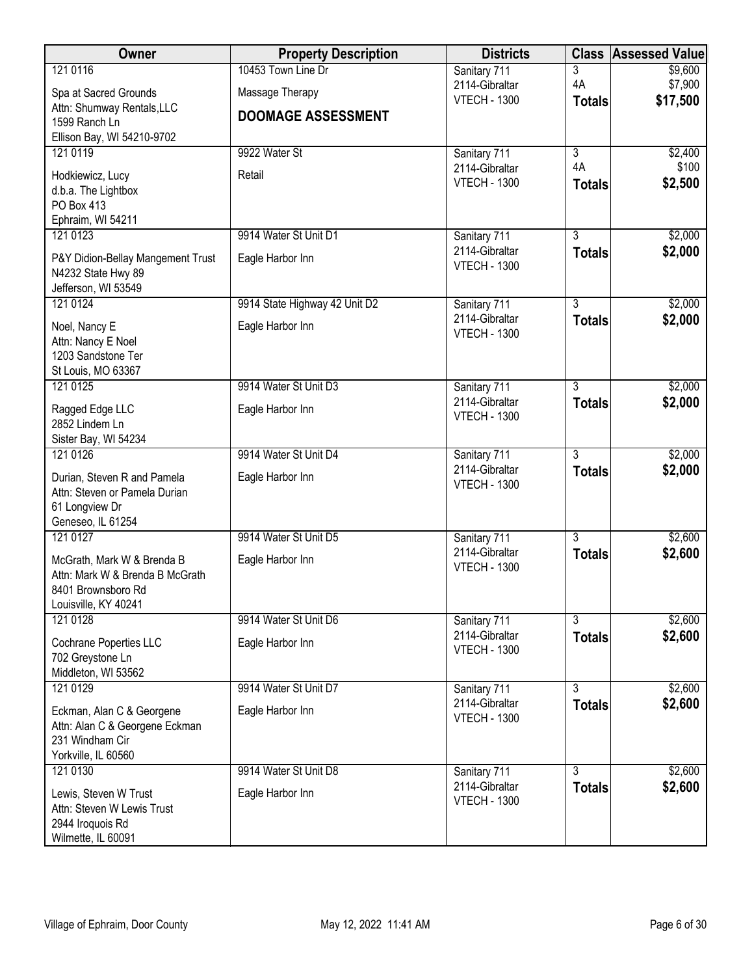| Owner                                               | <b>Property Description</b>   | <b>Districts</b>                      |                                 | <b>Class Assessed Value</b> |
|-----------------------------------------------------|-------------------------------|---------------------------------------|---------------------------------|-----------------------------|
| 121 0116                                            | 10453 Town Line Dr            | Sanitary 711                          | 3                               | \$9,600                     |
| Spa at Sacred Grounds                               | Massage Therapy               | 2114-Gibraltar<br><b>VTECH - 1300</b> | 4A                              | \$7,900<br>\$17,500         |
| Attn: Shumway Rentals, LLC                          | <b>DOOMAGE ASSESSMENT</b>     |                                       | <b>Totals</b>                   |                             |
| 1599 Ranch Ln                                       |                               |                                       |                                 |                             |
| Ellison Bay, WI 54210-9702<br>121 0119              | 9922 Water St                 | Sanitary 711                          | $\overline{\overline{3}}$       | \$2,400                     |
|                                                     |                               | 2114-Gibraltar                        | 4A                              | \$100                       |
| Hodkiewicz, Lucy<br>d.b.a. The Lightbox             | Retail                        | <b>VTECH - 1300</b>                   | <b>Totals</b>                   | \$2,500                     |
| PO Box 413                                          |                               |                                       |                                 |                             |
| Ephraim, WI 54211                                   |                               |                                       |                                 |                             |
| 121 0123                                            | 9914 Water St Unit D1         | Sanitary 711                          | $\overline{3}$                  | \$2,000                     |
| P&Y Didion-Bellay Mangement Trust                   | Eagle Harbor Inn              | 2114-Gibraltar<br><b>VTECH - 1300</b> | <b>Totals</b>                   | \$2,000                     |
| N4232 State Hwy 89                                  |                               |                                       |                                 |                             |
| Jefferson, WI 53549<br>121 0124                     | 9914 State Highway 42 Unit D2 | Sanitary 711                          | $\overline{3}$                  | \$2,000                     |
|                                                     |                               | 2114-Gibraltar                        | <b>Totals</b>                   | \$2,000                     |
| Noel, Nancy E<br>Attn: Nancy E Noel                 | Eagle Harbor Inn              | <b>VTECH - 1300</b>                   |                                 |                             |
| 1203 Sandstone Ter                                  |                               |                                       |                                 |                             |
| St Louis, MO 63367                                  |                               |                                       |                                 |                             |
| 121 0125                                            | 9914 Water St Unit D3         | Sanitary 711                          | $\overline{3}$                  | \$2,000                     |
| Ragged Edge LLC                                     | Eagle Harbor Inn              | 2114-Gibraltar<br><b>VTECH - 1300</b> | <b>Totals</b>                   | \$2,000                     |
| 2852 Lindem Ln                                      |                               |                                       |                                 |                             |
| Sister Bay, WI 54234                                |                               |                                       |                                 |                             |
| 121 0126                                            | 9914 Water St Unit D4         | Sanitary 711<br>2114-Gibraltar        | $\overline{3}$<br><b>Totals</b> | \$2,000<br>\$2,000          |
| Durian, Steven R and Pamela                         | Eagle Harbor Inn              | <b>VTECH - 1300</b>                   |                                 |                             |
| Attn: Steven or Pamela Durian<br>61 Longview Dr     |                               |                                       |                                 |                             |
| Geneseo, IL 61254                                   |                               |                                       |                                 |                             |
| 121 0127                                            | 9914 Water St Unit D5         | Sanitary 711                          | $\overline{3}$                  | \$2,600                     |
| McGrath, Mark W & Brenda B                          | Eagle Harbor Inn              | 2114-Gibraltar                        | <b>Totals</b>                   | \$2,600                     |
| Attn: Mark W & Brenda B McGrath                     |                               | <b>VTECH - 1300</b>                   |                                 |                             |
| 8401 Brownsboro Rd                                  |                               |                                       |                                 |                             |
| Louisville, KY 40241<br>121 0128                    | 9914 Water St Unit D6         | Sanitary 711                          | $\overline{3}$                  | \$2,600                     |
|                                                     |                               | 2114-Gibraltar                        | <b>Totals</b>                   | \$2,600                     |
| Cochrane Poperties LLC<br>702 Greystone Ln          | Eagle Harbor Inn              | <b>VTECH - 1300</b>                   |                                 |                             |
| Middleton, WI 53562                                 |                               |                                       |                                 |                             |
| 121 0129                                            | 9914 Water St Unit D7         | Sanitary 711                          | $\overline{3}$                  | \$2,600                     |
| Eckman, Alan C & Georgene                           | Eagle Harbor Inn              | 2114-Gibraltar                        | <b>Totals</b>                   | \$2,600                     |
| Attn: Alan C & Georgene Eckman                      |                               | <b>VTECH - 1300</b>                   |                                 |                             |
| 231 Windham Cir                                     |                               |                                       |                                 |                             |
| Yorkville, IL 60560<br>121 0130                     | 9914 Water St Unit D8         |                                       | 3                               | \$2,600                     |
|                                                     |                               | Sanitary 711<br>2114-Gibraltar        | <b>Totals</b>                   | \$2,600                     |
| Lewis, Steven W Trust<br>Attn: Steven W Lewis Trust | Eagle Harbor Inn              | <b>VTECH - 1300</b>                   |                                 |                             |
| 2944 Iroquois Rd                                    |                               |                                       |                                 |                             |
| Wilmette, IL 60091                                  |                               |                                       |                                 |                             |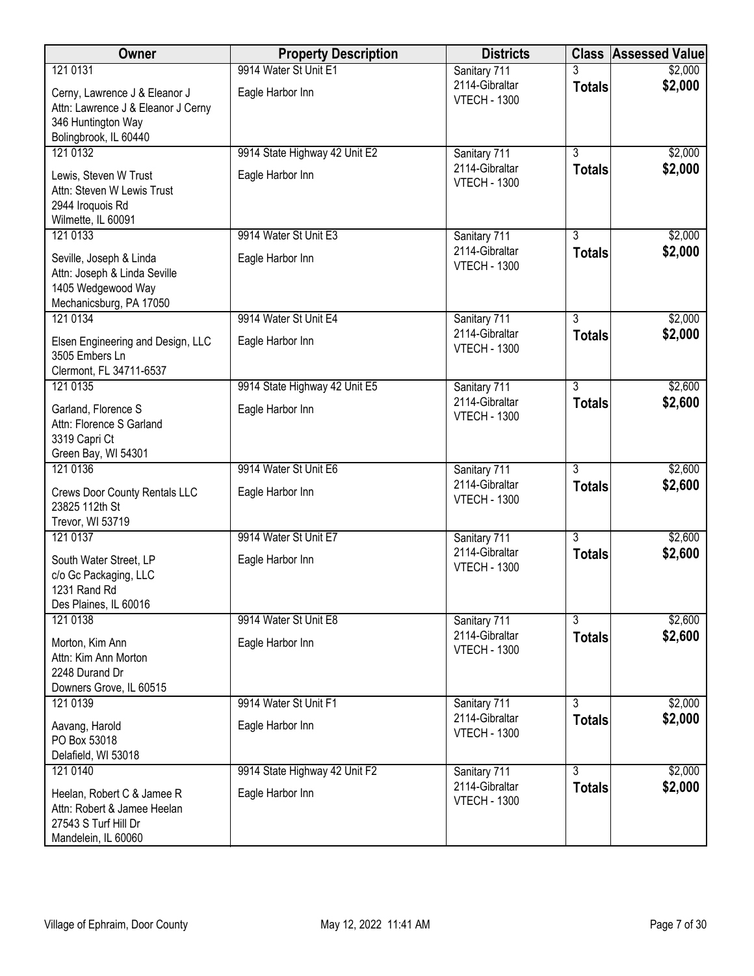| Owner                                                                                                    | <b>Property Description</b>   | <b>Districts</b>                      |                | <b>Class Assessed Value</b> |
|----------------------------------------------------------------------------------------------------------|-------------------------------|---------------------------------------|----------------|-----------------------------|
| 121 0131                                                                                                 | 9914 Water St Unit E1         | Sanitary 711                          | 3              | \$2,000                     |
| Cerny, Lawrence J & Eleanor J<br>Attn: Lawrence J & Eleanor J Cerny<br>346 Huntington Way                | Eagle Harbor Inn              | 2114-Gibraltar<br><b>VTECH - 1300</b> | <b>Totals</b>  | \$2,000                     |
| Bolingbrook, IL 60440                                                                                    |                               |                                       |                |                             |
| 121 0132                                                                                                 | 9914 State Highway 42 Unit E2 | Sanitary 711                          | $\overline{3}$ | \$2,000                     |
| Lewis, Steven W Trust<br>Attn: Steven W Lewis Trust<br>2944 Iroquois Rd<br>Wilmette, IL 60091            | Eagle Harbor Inn              | 2114-Gibraltar<br><b>VTECH - 1300</b> | <b>Totals</b>  | \$2,000                     |
| 121 0133                                                                                                 | 9914 Water St Unit E3         | Sanitary 711                          | 3              | \$2,000                     |
| Seville, Joseph & Linda<br>Attn: Joseph & Linda Seville<br>1405 Wedgewood Way<br>Mechanicsburg, PA 17050 | Eagle Harbor Inn              | 2114-Gibraltar<br><b>VTECH - 1300</b> | <b>Totals</b>  | \$2,000                     |
| 121 0134                                                                                                 | 9914 Water St Unit E4         | Sanitary 711                          | $\overline{3}$ | \$2,000                     |
| Elsen Engineering and Design, LLC<br>3505 Embers Ln<br>Clermont, FL 34711-6537                           | Eagle Harbor Inn              | 2114-Gibraltar<br><b>VTECH - 1300</b> | <b>Totals</b>  | \$2,000                     |
| 121 0135                                                                                                 | 9914 State Highway 42 Unit E5 | Sanitary 711                          | $\overline{3}$ | \$2,600                     |
| Garland, Florence S<br>Attn: Florence S Garland<br>3319 Capri Ct<br>Green Bay, WI 54301                  | Eagle Harbor Inn              | 2114-Gibraltar<br><b>VTECH - 1300</b> | <b>Totals</b>  | \$2,600                     |
| 121 0136                                                                                                 | 9914 Water St Unit E6         | Sanitary 711                          | $\overline{3}$ | \$2,600                     |
| Crews Door County Rentals LLC<br>23825 112th St<br>Trevor, WI 53719                                      | Eagle Harbor Inn              | 2114-Gibraltar<br><b>VTECH - 1300</b> | <b>Totals</b>  | \$2,600                     |
| 121 0137                                                                                                 | 9914 Water St Unit E7         | Sanitary 711                          | $\overline{3}$ | \$2,600                     |
| South Water Street, LP<br>c/o Gc Packaging, LLC<br>1231 Rand Rd<br>Des Plaines, IL 60016                 | Eagle Harbor Inn              | 2114-Gibraltar<br><b>VTECH - 1300</b> | <b>Totals</b>  | \$2,600                     |
| 121 0138                                                                                                 | 9914 Water St Unit E8         | Sanitary 711                          | $\overline{3}$ | \$2,600                     |
| Morton, Kim Ann<br>Attn: Kim Ann Morton<br>2248 Durand Dr<br>Downers Grove, IL 60515                     | Eagle Harbor Inn              | 2114-Gibraltar<br><b>VTECH - 1300</b> | <b>Totals</b>  | \$2,600                     |
| 121 0139                                                                                                 | 9914 Water St Unit F1         | Sanitary 711                          | $\overline{3}$ | \$2,000                     |
| Aavang, Harold<br>PO Box 53018<br>Delafield, WI 53018                                                    | Eagle Harbor Inn              | 2114-Gibraltar<br><b>VTECH - 1300</b> | <b>Totals</b>  | \$2,000                     |
| 121 0140                                                                                                 | 9914 State Highway 42 Unit F2 | Sanitary 711                          | $\overline{3}$ | \$2,000                     |
| Heelan, Robert C & Jamee R<br>Attn: Robert & Jamee Heelan<br>27543 S Turf Hill Dr<br>Mandelein, IL 60060 | Eagle Harbor Inn              | 2114-Gibraltar<br><b>VTECH - 1300</b> | <b>Totals</b>  | \$2,000                     |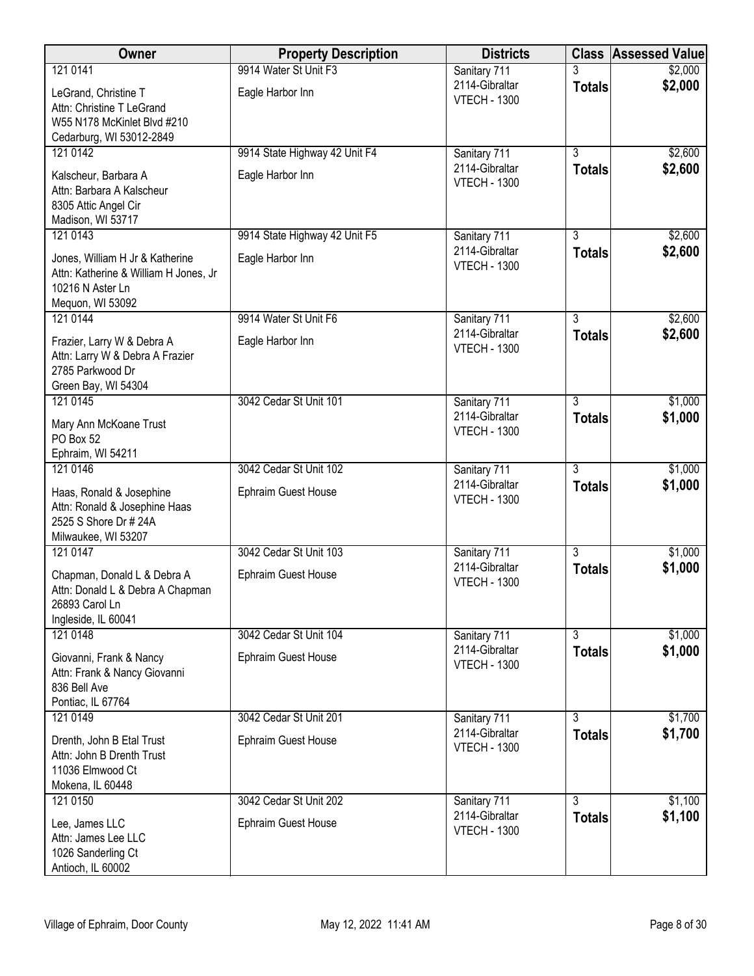| Owner                                                                    | <b>Property Description</b>   | <b>Districts</b>                      |                                 | <b>Class Assessed Value</b> |
|--------------------------------------------------------------------------|-------------------------------|---------------------------------------|---------------------------------|-----------------------------|
| 121 0141                                                                 | 9914 Water St Unit F3         | Sanitary 711                          |                                 | \$2,000                     |
| LeGrand, Christine T                                                     | Eagle Harbor Inn              | 2114-Gibraltar<br><b>VTECH - 1300</b> | <b>Totals</b>                   | \$2,000                     |
| Attn: Christine T LeGrand                                                |                               |                                       |                                 |                             |
| W55 N178 McKinlet Blvd #210<br>Cedarburg, WI 53012-2849                  |                               |                                       |                                 |                             |
| 121 0142                                                                 | 9914 State Highway 42 Unit F4 | Sanitary 711                          | $\overline{3}$                  | \$2,600                     |
| Kalscheur, Barbara A                                                     | Eagle Harbor Inn              | 2114-Gibraltar                        | <b>Totals</b>                   | \$2,600                     |
| Attn: Barbara A Kalscheur                                                |                               | <b>VTECH - 1300</b>                   |                                 |                             |
| 8305 Attic Angel Cir                                                     |                               |                                       |                                 |                             |
| Madison, WI 53717<br>121 0143                                            | 9914 State Highway 42 Unit F5 | Sanitary 711                          | $\overline{3}$                  | \$2,600                     |
|                                                                          |                               | 2114-Gibraltar                        | <b>Totals</b>                   | \$2,600                     |
| Jones, William H Jr & Katherine<br>Attn: Katherine & William H Jones, Jr | Eagle Harbor Inn              | <b>VTECH - 1300</b>                   |                                 |                             |
| 10216 N Aster Ln                                                         |                               |                                       |                                 |                             |
| Mequon, WI 53092                                                         |                               |                                       |                                 |                             |
| 121 0144                                                                 | 9914 Water St Unit F6         | Sanitary 711<br>2114-Gibraltar        | $\overline{3}$<br><b>Totals</b> | \$2,600<br>\$2,600          |
| Frazier, Larry W & Debra A                                               | Eagle Harbor Inn              | <b>VTECH - 1300</b>                   |                                 |                             |
| Attn: Larry W & Debra A Frazier<br>2785 Parkwood Dr                      |                               |                                       |                                 |                             |
| Green Bay, WI 54304                                                      |                               |                                       |                                 |                             |
| 121 0145                                                                 | 3042 Cedar St Unit 101        | Sanitary 711                          | $\overline{3}$                  | \$1,000                     |
| Mary Ann McKoane Trust                                                   |                               | 2114-Gibraltar<br><b>VTECH - 1300</b> | <b>Totals</b>                   | \$1,000                     |
| PO Box 52                                                                |                               |                                       |                                 |                             |
| Ephraim, WI 54211<br>121 0146                                            | 3042 Cedar St Unit 102        | Sanitary 711                          | $\overline{3}$                  | \$1,000                     |
| Haas, Ronald & Josephine                                                 | Ephraim Guest House           | 2114-Gibraltar                        | <b>Totals</b>                   | \$1,000                     |
| Attn: Ronald & Josephine Haas                                            |                               | <b>VTECH - 1300</b>                   |                                 |                             |
| 2525 S Shore Dr # 24A                                                    |                               |                                       |                                 |                             |
| Milwaukee, WI 53207<br>121 0147                                          | 3042 Cedar St Unit 103        |                                       | $\overline{3}$                  |                             |
|                                                                          |                               | Sanitary 711<br>2114-Gibraltar        | <b>Totals</b>                   | \$1,000<br>\$1,000          |
| Chapman, Donald L & Debra A<br>Attn: Donald L & Debra A Chapman          | Ephraim Guest House           | <b>VTECH - 1300</b>                   |                                 |                             |
| 26893 Carol Ln                                                           |                               |                                       |                                 |                             |
| Ingleside, IL 60041                                                      |                               |                                       |                                 |                             |
| 121 0148                                                                 | 3042 Cedar St Unit 104        | Sanitary 711<br>2114-Gibraltar        | $\overline{3}$                  | \$1,000<br>\$1,000          |
| Giovanni, Frank & Nancy                                                  | <b>Ephraim Guest House</b>    | <b>VTECH - 1300</b>                   | <b>Totals</b>                   |                             |
| Attn: Frank & Nancy Giovanni<br>836 Bell Ave                             |                               |                                       |                                 |                             |
| Pontiac, IL 67764                                                        |                               |                                       |                                 |                             |
| 121 0149                                                                 | 3042 Cedar St Unit 201        | Sanitary 711                          | $\overline{3}$                  | \$1,700                     |
| Drenth, John B Etal Trust                                                | <b>Ephraim Guest House</b>    | 2114-Gibraltar<br><b>VTECH - 1300</b> | <b>Totals</b>                   | \$1,700                     |
| Attn: John B Drenth Trust<br>11036 Elmwood Ct                            |                               |                                       |                                 |                             |
| Mokena, IL 60448                                                         |                               |                                       |                                 |                             |
| 121 0150                                                                 | 3042 Cedar St Unit 202        | Sanitary 711                          | $\overline{3}$                  | \$1,100                     |
| Lee, James LLC                                                           | Ephraim Guest House           | 2114-Gibraltar                        | <b>Totals</b>                   | \$1,100                     |
| Attn: James Lee LLC                                                      |                               | <b>VTECH - 1300</b>                   |                                 |                             |
| 1026 Sanderling Ct<br>Antioch, IL 60002                                  |                               |                                       |                                 |                             |
|                                                                          |                               |                                       |                                 |                             |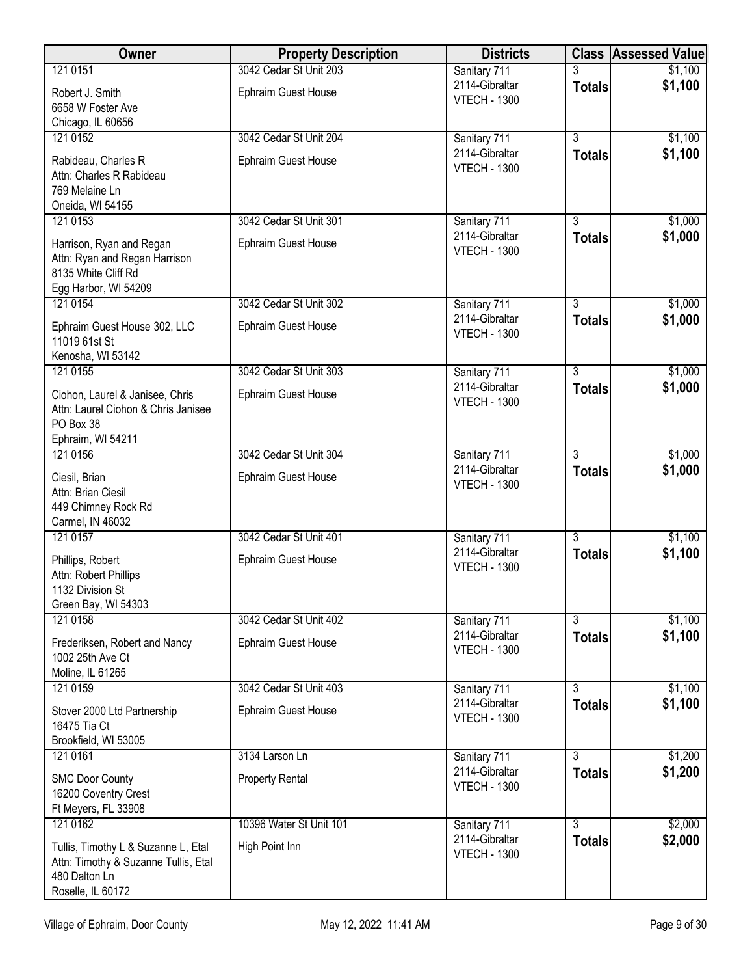| <b>Owner</b>                                                                                                      | <b>Property Description</b> | <b>Districts</b>                      |                | <b>Class Assessed Value</b> |
|-------------------------------------------------------------------------------------------------------------------|-----------------------------|---------------------------------------|----------------|-----------------------------|
| 121 0151                                                                                                          | 3042 Cedar St Unit 203      | Sanitary 711                          |                | \$1,100                     |
| Robert J. Smith<br>6658 W Foster Ave<br>Chicago, IL 60656                                                         | Ephraim Guest House         | 2114-Gibraltar<br><b>VTECH - 1300</b> | <b>Totals</b>  | \$1,100                     |
| 121 0152                                                                                                          | 3042 Cedar St Unit 204      | Sanitary 711                          | $\overline{3}$ | \$1,100                     |
| Rabideau, Charles R<br>Attn: Charles R Rabideau<br>769 Melaine Ln<br>Oneida, WI 54155                             | <b>Ephraim Guest House</b>  | 2114-Gibraltar<br><b>VTECH - 1300</b> | <b>Totals</b>  | \$1,100                     |
| 121 0153                                                                                                          | 3042 Cedar St Unit 301      | Sanitary 711                          | $\overline{3}$ | \$1,000                     |
| Harrison, Ryan and Regan<br>Attn: Ryan and Regan Harrison<br>8135 White Cliff Rd<br>Egg Harbor, WI 54209          | Ephraim Guest House         | 2114-Gibraltar<br><b>VTECH - 1300</b> | <b>Totals</b>  | \$1,000                     |
| 121 0154                                                                                                          | 3042 Cedar St Unit 302      | Sanitary 711                          | $\overline{3}$ | \$1,000                     |
| Ephraim Guest House 302, LLC<br>11019 61st St<br>Kenosha, WI 53142                                                | Ephraim Guest House         | 2114-Gibraltar<br><b>VTECH - 1300</b> | <b>Totals</b>  | \$1,000                     |
| 121 0155                                                                                                          | 3042 Cedar St Unit 303      | Sanitary 711                          | $\overline{3}$ | \$1,000                     |
| Ciohon, Laurel & Janisee, Chris<br>Attn: Laurel Ciohon & Chris Janisee<br>PO Box 38<br>Ephraim, WI 54211          | <b>Ephraim Guest House</b>  | 2114-Gibraltar<br><b>VTECH - 1300</b> | <b>Totals</b>  | \$1,000                     |
| 121 0156                                                                                                          | 3042 Cedar St Unit 304      | Sanitary 711                          | $\overline{3}$ | \$1,000                     |
| Ciesil, Brian<br>Attn: Brian Ciesil<br>449 Chimney Rock Rd<br>Carmel, IN 46032                                    | Ephraim Guest House         | 2114-Gibraltar<br><b>VTECH - 1300</b> | <b>Totals</b>  | \$1,000                     |
| 121 0157                                                                                                          | 3042 Cedar St Unit 401      | Sanitary 711                          | $\overline{3}$ | \$1,100                     |
| Phillips, Robert<br>Attn: Robert Phillips<br>1132 Division St<br>Green Bay, WI 54303                              | Ephraim Guest House         | 2114-Gibraltar<br><b>VTECH - 1300</b> | <b>Totals</b>  | \$1,100                     |
| 121 0158                                                                                                          | 3042 Cedar St Unit 402      | Sanitary 711                          | $\overline{3}$ | \$1,100                     |
| Frederiksen, Robert and Nancy<br>1002 25th Ave Ct<br>Moline, IL 61265                                             | Ephraim Guest House         | 2114-Gibraltar<br><b>VTECH - 1300</b> | <b>Totals</b>  | \$1,100                     |
| 121 0159                                                                                                          | 3042 Cedar St Unit 403      | Sanitary 711                          | $\overline{3}$ | \$1,100                     |
| Stover 2000 Ltd Partnership<br>16475 Tia Ct<br>Brookfield, WI 53005                                               | <b>Ephraim Guest House</b>  | 2114-Gibraltar<br><b>VTECH - 1300</b> | <b>Totals</b>  | \$1,100                     |
| 121 0161                                                                                                          | 3134 Larson Ln              | Sanitary 711                          | $\overline{3}$ | \$1,200                     |
| <b>SMC Door County</b><br>16200 Coventry Crest<br>Ft Meyers, FL 33908                                             | <b>Property Rental</b>      | 2114-Gibraltar<br><b>VTECH - 1300</b> | <b>Totals</b>  | \$1,200                     |
| 121 0162                                                                                                          | 10396 Water St Unit 101     | Sanitary 711                          | $\overline{3}$ | \$2,000                     |
| Tullis, Timothy L & Suzanne L, Etal<br>Attn: Timothy & Suzanne Tullis, Etal<br>480 Dalton Ln<br>Roselle, IL 60172 | High Point Inn              | 2114-Gibraltar<br><b>VTECH - 1300</b> | <b>Totals</b>  | \$2,000                     |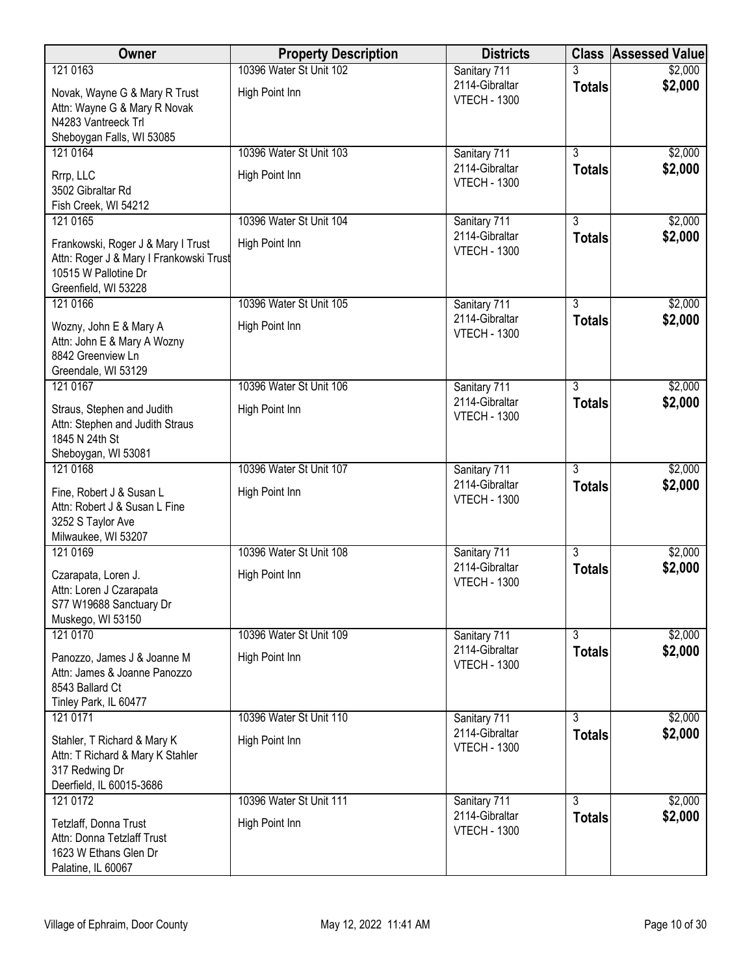| Owner                                                                                                                         | <b>Property Description</b> | <b>Districts</b>                      |                | <b>Class Assessed Value</b> |
|-------------------------------------------------------------------------------------------------------------------------------|-----------------------------|---------------------------------------|----------------|-----------------------------|
| 121 0163                                                                                                                      | 10396 Water St Unit 102     | Sanitary 711                          | 3              | \$2,000                     |
| Novak, Wayne G & Mary R Trust<br>Attn: Wayne G & Mary R Novak<br>N4283 Vantreeck Trl                                          | High Point Inn              | 2114-Gibraltar<br><b>VTECH - 1300</b> | <b>Totals</b>  | \$2,000                     |
| Sheboygan Falls, WI 53085                                                                                                     |                             |                                       |                |                             |
| 121 0164                                                                                                                      | 10396 Water St Unit 103     | Sanitary 711                          | $\overline{3}$ | \$2,000                     |
| Rrrp, LLC<br>3502 Gibraltar Rd<br>Fish Creek, WI 54212                                                                        | High Point Inn              | 2114-Gibraltar<br><b>VTECH - 1300</b> | <b>Totals</b>  | \$2,000                     |
| 121 0165                                                                                                                      | 10396 Water St Unit 104     | Sanitary 711                          | $\overline{3}$ | \$2,000                     |
| Frankowski, Roger J & Mary I Trust<br>Attn: Roger J & Mary I Frankowski Trust<br>10515 W Pallotine Dr<br>Greenfield, WI 53228 | High Point Inn              | 2114-Gibraltar<br><b>VTECH - 1300</b> | <b>Totals</b>  | \$2,000                     |
| 121 0166                                                                                                                      | 10396 Water St Unit 105     | Sanitary 711                          | $\overline{3}$ | \$2,000                     |
| Wozny, John E & Mary A<br>Attn: John E & Mary A Wozny<br>8842 Greenview Ln<br>Greendale, WI 53129                             | High Point Inn              | 2114-Gibraltar<br><b>VTECH - 1300</b> | <b>Totals</b>  | \$2,000                     |
| 121 0167                                                                                                                      | 10396 Water St Unit 106     | Sanitary 711                          | $\overline{3}$ | \$2,000                     |
| Straus, Stephen and Judith<br>Attn: Stephen and Judith Straus<br>1845 N 24th St                                               | High Point Inn              | 2114-Gibraltar<br><b>VTECH - 1300</b> | <b>Totals</b>  | \$2,000                     |
| Sheboygan, WI 53081<br>121 0168                                                                                               | 10396 Water St Unit 107     | Sanitary 711                          | $\overline{3}$ | \$2,000                     |
| Fine, Robert J & Susan L<br>Attn: Robert J & Susan L Fine<br>3252 S Taylor Ave<br>Milwaukee, WI 53207                         | High Point Inn              | 2114-Gibraltar<br><b>VTECH - 1300</b> | <b>Totals</b>  | \$2,000                     |
| 121 0169                                                                                                                      | 10396 Water St Unit 108     | Sanitary 711                          | $\overline{3}$ | \$2,000                     |
| Czarapata, Loren J.<br>Attn: Loren J Czarapata<br>S77 W19688 Sanctuary Dr<br>Muskego, WI 53150                                | High Point Inn              | 2114-Gibraltar<br><b>VTECH - 1300</b> | <b>Totals</b>  | \$2,000                     |
| 121 0170                                                                                                                      | 10396 Water St Unit 109     | Sanitary 711                          | $\overline{3}$ | \$2,000                     |
| Panozzo, James J & Joanne M<br>Attn: James & Joanne Panozzo<br>8543 Ballard Ct<br>Tinley Park, IL 60477                       | High Point Inn              | 2114-Gibraltar<br><b>VTECH - 1300</b> | <b>Totals</b>  | \$2,000                     |
| 121 0171                                                                                                                      | 10396 Water St Unit 110     | Sanitary 711                          | 3              | \$2,000                     |
| Stahler, T Richard & Mary K<br>Attn: T Richard & Mary K Stahler<br>317 Redwing Dr<br>Deerfield, IL 60015-3686                 | High Point Inn              | 2114-Gibraltar<br><b>VTECH - 1300</b> | <b>Totals</b>  | \$2,000                     |
| 121 0172                                                                                                                      | 10396 Water St Unit 111     | Sanitary 711                          | $\overline{3}$ | \$2,000                     |
| Tetzlaff, Donna Trust<br>Attn: Donna Tetzlaff Trust<br>1623 W Ethans Glen Dr<br>Palatine, IL 60067                            | High Point Inn              | 2114-Gibraltar<br><b>VTECH - 1300</b> | <b>Totals</b>  | \$2,000                     |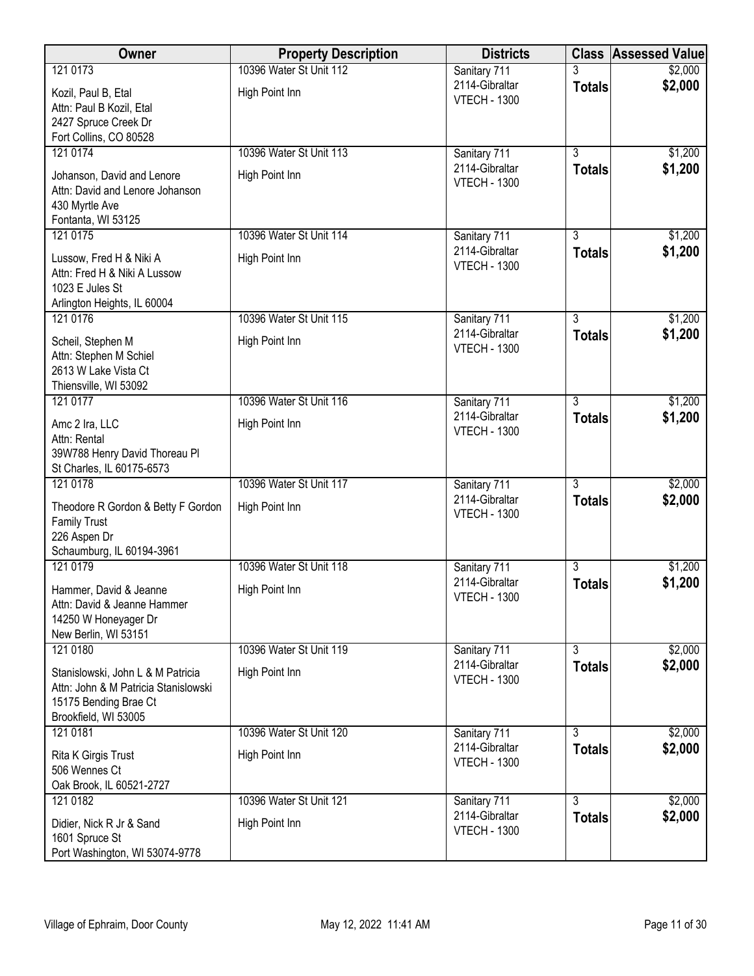| Owner                                                         | <b>Property Description</b> | <b>Districts</b>                      | <b>Class</b>   | <b>Assessed Value</b> |
|---------------------------------------------------------------|-----------------------------|---------------------------------------|----------------|-----------------------|
| 121 0173                                                      | 10396 Water St Unit 112     | Sanitary 711                          | 3              | \$2,000               |
| Kozil, Paul B, Etal                                           | High Point Inn              | 2114-Gibraltar<br><b>VTECH - 1300</b> | <b>Totals</b>  | \$2,000               |
| Attn: Paul B Kozil, Etal                                      |                             |                                       |                |                       |
| 2427 Spruce Creek Dr<br>Fort Collins, CO 80528                |                             |                                       |                |                       |
| 121 0174                                                      | 10396 Water St Unit 113     | Sanitary 711                          | $\overline{3}$ | \$1,200               |
|                                                               |                             | 2114-Gibraltar                        | <b>Totals</b>  | \$1,200               |
| Johanson, David and Lenore<br>Attn: David and Lenore Johanson | High Point Inn              | <b>VTECH - 1300</b>                   |                |                       |
| 430 Myrtle Ave                                                |                             |                                       |                |                       |
| Fontanta, WI 53125                                            |                             |                                       |                |                       |
| 121 0175                                                      | 10396 Water St Unit 114     | Sanitary 711<br>2114-Gibraltar        | 3              | \$1,200               |
| Lussow, Fred H & Niki A                                       | High Point Inn              | <b>VTECH - 1300</b>                   | <b>Totals</b>  | \$1,200               |
| Attn: Fred H & Niki A Lussow                                  |                             |                                       |                |                       |
| 1023 E Jules St<br>Arlington Heights, IL 60004                |                             |                                       |                |                       |
| 121 0176                                                      | 10396 Water St Unit 115     | Sanitary 711                          | $\overline{3}$ | \$1,200               |
| Scheil, Stephen M                                             | High Point Inn              | 2114-Gibraltar                        | <b>Totals</b>  | \$1,200               |
| Attn: Stephen M Schiel                                        |                             | <b>VTECH - 1300</b>                   |                |                       |
| 2613 W Lake Vista Ct                                          |                             |                                       |                |                       |
| Thiensville, WI 53092                                         |                             |                                       |                |                       |
| 121 0177                                                      | 10396 Water St Unit 116     | Sanitary 711<br>2114-Gibraltar        | $\overline{3}$ | \$1,200               |
| Amc 2 Ira, LLC                                                | High Point Inn              | <b>VTECH - 1300</b>                   | <b>Totals</b>  | \$1,200               |
| Attn: Rental<br>39W788 Henry David Thoreau PI                 |                             |                                       |                |                       |
| St Charles, IL 60175-6573                                     |                             |                                       |                |                       |
| 121 0178                                                      | 10396 Water St Unit 117     | Sanitary 711                          | $\overline{3}$ | \$2,000               |
| Theodore R Gordon & Betty F Gordon                            | High Point Inn              | 2114-Gibraltar                        | <b>Totals</b>  | \$2,000               |
| <b>Family Trust</b>                                           |                             | <b>VTECH - 1300</b>                   |                |                       |
| 226 Aspen Dr                                                  |                             |                                       |                |                       |
| Schaumburg, IL 60194-3961<br>121 0179                         | 10396 Water St Unit 118     |                                       | $\overline{3}$ | \$1,200               |
|                                                               |                             | Sanitary 711<br>2114-Gibraltar        | <b>Totals</b>  | \$1,200               |
| Hammer, David & Jeanne                                        | High Point Inn              | <b>VTECH - 1300</b>                   |                |                       |
| Attn: David & Jeanne Hammer<br>14250 W Honeyager Dr           |                             |                                       |                |                       |
| New Berlin, WI 53151                                          |                             |                                       |                |                       |
| 121 0180                                                      | 10396 Water St Unit 119     | Sanitary 711                          | $\overline{3}$ | \$2,000               |
| Stanislowski, John L & M Patricia                             | High Point Inn              | 2114-Gibraltar<br><b>VTECH - 1300</b> | <b>Totals</b>  | \$2,000               |
| Attn: John & M Patricia Stanislowski                          |                             |                                       |                |                       |
| 15175 Bending Brae Ct                                         |                             |                                       |                |                       |
| Brookfield, WI 53005<br>121 0181                              | 10396 Water St Unit 120     | Sanitary 711                          | $\overline{3}$ | \$2,000               |
|                                                               |                             | 2114-Gibraltar                        | <b>Totals</b>  | \$2,000               |
| Rita K Girgis Trust<br>506 Wennes Ct                          | High Point Inn              | <b>VTECH - 1300</b>                   |                |                       |
| Oak Brook, IL 60521-2727                                      |                             |                                       |                |                       |
| 121 0182                                                      | 10396 Water St Unit 121     | Sanitary 711                          | $\overline{3}$ | \$2,000               |
| Didier, Nick R Jr & Sand                                      | High Point Inn              | 2114-Gibraltar                        | <b>Totals</b>  | \$2,000               |
| 1601 Spruce St                                                |                             | <b>VTECH - 1300</b>                   |                |                       |
| Port Washington, WI 53074-9778                                |                             |                                       |                |                       |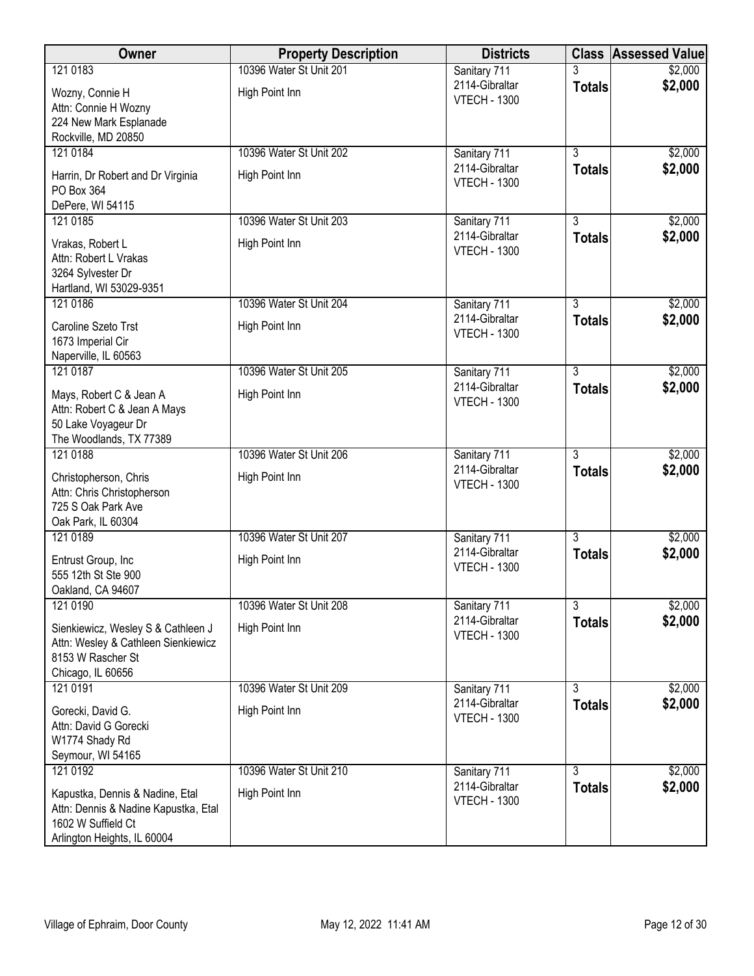| Owner                                                                                                                        | <b>Property Description</b>               | <b>Districts</b>                                      |                                 | <b>Class Assessed Value</b> |
|------------------------------------------------------------------------------------------------------------------------------|-------------------------------------------|-------------------------------------------------------|---------------------------------|-----------------------------|
| 121 0183                                                                                                                     | 10396 Water St Unit 201                   | Sanitary 711                                          | 3                               | \$2,000                     |
| Wozny, Connie H<br>Attn: Connie H Wozny                                                                                      | High Point Inn                            | 2114-Gibraltar<br><b>VTECH - 1300</b>                 | <b>Totals</b>                   | \$2,000                     |
| 224 New Mark Esplanade<br>Rockville, MD 20850                                                                                |                                           |                                                       |                                 |                             |
| 121 0184                                                                                                                     | 10396 Water St Unit 202                   | Sanitary 711                                          | $\overline{3}$                  | \$2,000                     |
| Harrin, Dr Robert and Dr Virginia<br>PO Box 364                                                                              | High Point Inn                            | 2114-Gibraltar<br><b>VTECH - 1300</b>                 | <b>Totals</b>                   | \$2,000                     |
| DePere, WI 54115                                                                                                             |                                           |                                                       |                                 |                             |
| 121 0185<br>Vrakas, Robert L<br>Attn: Robert L Vrakas<br>3264 Sylvester Dr                                                   | 10396 Water St Unit 203<br>High Point Inn | Sanitary 711<br>2114-Gibraltar<br><b>VTECH - 1300</b> | $\overline{3}$<br><b>Totals</b> | \$2,000<br>\$2,000          |
| Hartland, WI 53029-9351                                                                                                      |                                           |                                                       |                                 |                             |
| 121 0186                                                                                                                     | 10396 Water St Unit 204                   | Sanitary 711                                          | $\overline{3}$                  | \$2,000                     |
| Caroline Szeto Trst<br>1673 Imperial Cir<br>Naperville, IL 60563                                                             | High Point Inn                            | 2114-Gibraltar<br><b>VTECH - 1300</b>                 | <b>Totals</b>                   | \$2,000                     |
| 121 0187                                                                                                                     | 10396 Water St Unit 205                   | Sanitary 711                                          | $\overline{3}$                  | \$2,000                     |
| Mays, Robert C & Jean A<br>Attn: Robert C & Jean A Mays                                                                      | High Point Inn                            | 2114-Gibraltar<br><b>VTECH - 1300</b>                 | <b>Totals</b>                   | \$2,000                     |
| 50 Lake Voyageur Dr<br>The Woodlands, TX 77389                                                                               |                                           |                                                       |                                 |                             |
| 121 0188                                                                                                                     | 10396 Water St Unit 206                   | Sanitary 711                                          | $\overline{3}$                  | \$2,000                     |
| Christopherson, Chris<br>Attn: Chris Christopherson<br>725 S Oak Park Ave<br>Oak Park, IL 60304                              | High Point Inn                            | 2114-Gibraltar<br><b>VTECH - 1300</b>                 | <b>Totals</b>                   | \$2,000                     |
| 121 0189                                                                                                                     | 10396 Water St Unit 207                   | Sanitary 711                                          | $\overline{3}$                  | \$2,000                     |
| Entrust Group, Inc<br>555 12th St Ste 900<br>Oakland, CA 94607                                                               | High Point Inn                            | 2114-Gibraltar<br><b>VTECH - 1300</b>                 | <b>Totals</b>                   | \$2,000                     |
| 121 0190                                                                                                                     | 10396 Water St Unit 208                   | Sanitary 711                                          | $\overline{3}$                  | \$2,000                     |
| Sienkiewicz, Wesley S & Cathleen J<br>Attn: Wesley & Cathleen Sienkiewicz<br>8153 W Rascher St<br>Chicago, IL 60656          | High Point Inn                            | 2114-Gibraltar<br><b>VTECH - 1300</b>                 | <b>Totals</b>                   | \$2,000                     |
| 121 0191                                                                                                                     | 10396 Water St Unit 209                   | Sanitary 711                                          | $\overline{3}$                  | \$2,000                     |
| Gorecki, David G.<br>Attn: David G Gorecki<br>W1774 Shady Rd<br>Seymour, WI 54165                                            | High Point Inn                            | 2114-Gibraltar<br><b>VTECH - 1300</b>                 | <b>Totals</b>                   | \$2,000                     |
| 121 0192                                                                                                                     | 10396 Water St Unit 210                   | Sanitary 711                                          | $\overline{3}$                  | \$2,000                     |
| Kapustka, Dennis & Nadine, Etal<br>Attn: Dennis & Nadine Kapustka, Etal<br>1602 W Suffield Ct<br>Arlington Heights, IL 60004 | High Point Inn                            | 2114-Gibraltar<br><b>VTECH - 1300</b>                 | <b>Totals</b>                   | \$2,000                     |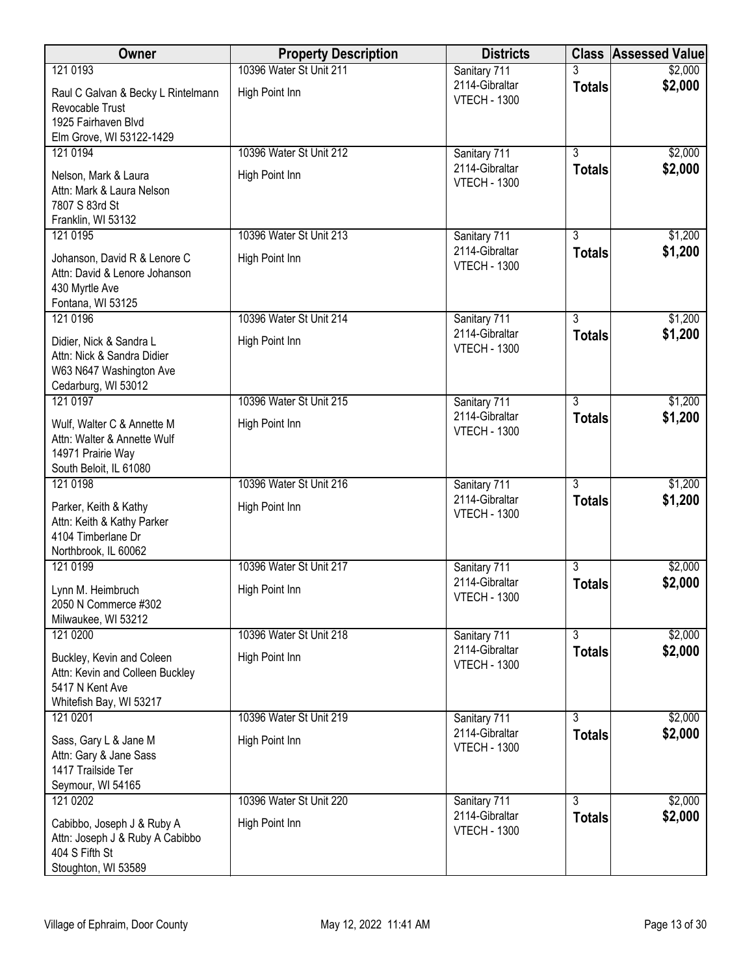| Owner                                                         | <b>Property Description</b> | <b>Districts</b>                      |                | <b>Class Assessed Value</b> |
|---------------------------------------------------------------|-----------------------------|---------------------------------------|----------------|-----------------------------|
| 121 0193                                                      | 10396 Water St Unit 211     | Sanitary 711                          |                | \$2,000                     |
| Raul C Galvan & Becky L Rintelmann                            | High Point Inn              | 2114-Gibraltar<br><b>VTECH - 1300</b> | <b>Totals</b>  | \$2,000                     |
| Revocable Trust<br>1925 Fairhaven Blvd                        |                             |                                       |                |                             |
| Elm Grove, WI 53122-1429                                      |                             |                                       |                |                             |
| 121 0194                                                      | 10396 Water St Unit 212     | Sanitary 711                          | $\overline{3}$ | \$2,000                     |
| Nelson, Mark & Laura                                          | High Point Inn              | 2114-Gibraltar<br><b>VTECH - 1300</b> | <b>Totals</b>  | \$2,000                     |
| Attn: Mark & Laura Nelson                                     |                             |                                       |                |                             |
| 7807 S 83rd St<br>Franklin, WI 53132                          |                             |                                       |                |                             |
| 121 0195                                                      | 10396 Water St Unit 213     | Sanitary 711                          | $\overline{3}$ | \$1,200                     |
| Johanson, David R & Lenore C                                  | High Point Inn              | 2114-Gibraltar<br><b>VTECH - 1300</b> | <b>Totals</b>  | \$1,200                     |
| Attn: David & Lenore Johanson                                 |                             |                                       |                |                             |
| 430 Myrtle Ave<br>Fontana, WI 53125                           |                             |                                       |                |                             |
| 121 0196                                                      | 10396 Water St Unit 214     | Sanitary 711                          | $\overline{3}$ | \$1,200                     |
| Didier, Nick & Sandra L                                       | High Point Inn              | 2114-Gibraltar                        | <b>Totals</b>  | \$1,200                     |
| Attn: Nick & Sandra Didier                                    |                             | <b>VTECH - 1300</b>                   |                |                             |
| W63 N647 Washington Ave<br>Cedarburg, WI 53012                |                             |                                       |                |                             |
| 121 0197                                                      | 10396 Water St Unit 215     | Sanitary 711                          | $\overline{3}$ | \$1,200                     |
| Wulf, Walter C & Annette M                                    | High Point Inn              | 2114-Gibraltar                        | <b>Totals</b>  | \$1,200                     |
| Attn: Walter & Annette Wulf                                   |                             | <b>VTECH - 1300</b>                   |                |                             |
| 14971 Prairie Way<br>South Beloit, IL 61080                   |                             |                                       |                |                             |
| 121 0198                                                      | 10396 Water St Unit 216     | Sanitary 711                          | $\overline{3}$ | \$1,200                     |
| Parker, Keith & Kathy                                         | High Point Inn              | 2114-Gibraltar                        | <b>Totals</b>  | \$1,200                     |
| Attn: Keith & Kathy Parker                                    |                             | <b>VTECH - 1300</b>                   |                |                             |
| 4104 Timberlane Dr<br>Northbrook, IL 60062                    |                             |                                       |                |                             |
| 121 0199                                                      | 10396 Water St Unit 217     | Sanitary 711                          | $\overline{3}$ | \$2,000                     |
| Lynn M. Heimbruch                                             | High Point Inn              | 2114-Gibraltar                        | <b>Totals</b>  | \$2,000                     |
| 2050 N Commerce #302                                          |                             | <b>VTECH - 1300</b>                   |                |                             |
| Milwaukee, WI 53212<br>121 0200                               | 10396 Water St Unit 218     | Sanitary 711                          | $\overline{3}$ | \$2,000                     |
| Buckley, Kevin and Coleen                                     | High Point Inn              | 2114-Gibraltar                        | <b>Totals</b>  | \$2,000                     |
| Attn: Kevin and Colleen Buckley                               |                             | <b>VTECH - 1300</b>                   |                |                             |
| 5417 N Kent Ave                                               |                             |                                       |                |                             |
| Whitefish Bay, WI 53217<br>121 0201                           | 10396 Water St Unit 219     | Sanitary 711                          | $\overline{3}$ | \$2,000                     |
|                                                               |                             | 2114-Gibraltar                        | <b>Totals</b>  | \$2,000                     |
| Sass, Gary L & Jane M<br>Attn: Gary & Jane Sass               | High Point Inn              | <b>VTECH - 1300</b>                   |                |                             |
| 1417 Trailside Ter                                            |                             |                                       |                |                             |
| Seymour, WI 54165<br>121 0202                                 | 10396 Water St Unit 220     |                                       | $\overline{3}$ | \$2,000                     |
|                                                               |                             | Sanitary 711<br>2114-Gibraltar        | <b>Totals</b>  | \$2,000                     |
| Cabibbo, Joseph J & Ruby A<br>Attn: Joseph J & Ruby A Cabibbo | High Point Inn              | <b>VTECH - 1300</b>                   |                |                             |
| 404 S Fifth St                                                |                             |                                       |                |                             |
| Stoughton, WI 53589                                           |                             |                                       |                |                             |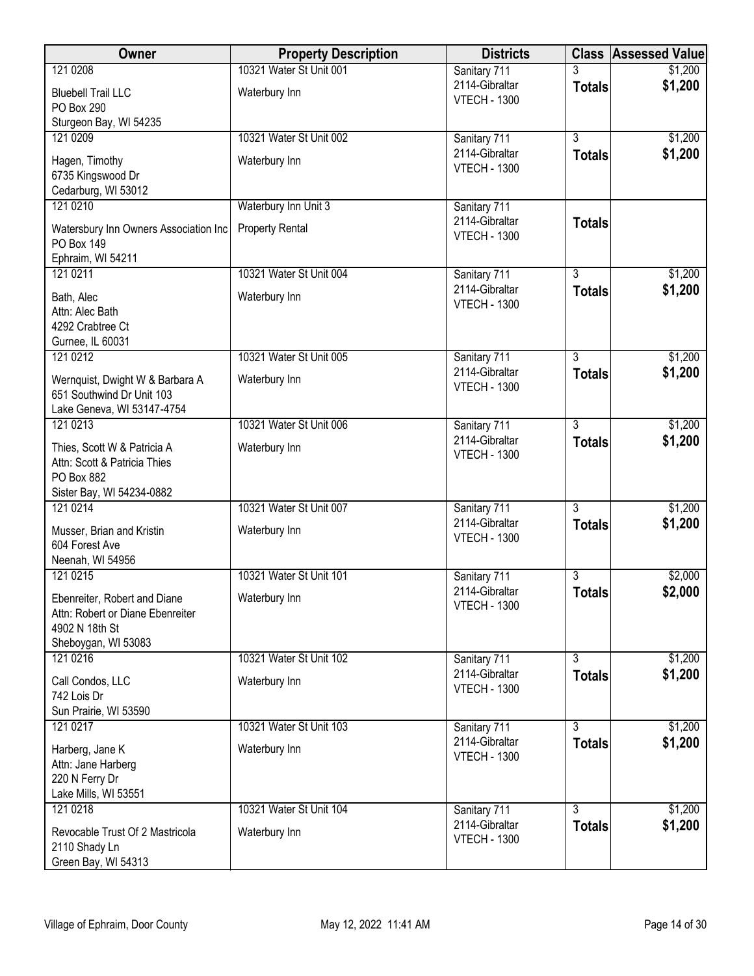| Owner                                 | <b>Property Description</b> | <b>Districts</b>                      | <b>Class</b>   | <b>Assessed Value</b> |
|---------------------------------------|-----------------------------|---------------------------------------|----------------|-----------------------|
| 121 0208                              | 10321 Water St Unit 001     | Sanitary 711                          |                | \$1,200               |
| <b>Bluebell Trail LLC</b>             | Waterbury Inn               | 2114-Gibraltar<br><b>VTECH - 1300</b> | <b>Totals</b>  | \$1,200               |
| <b>PO Box 290</b>                     |                             |                                       |                |                       |
| Sturgeon Bay, WI 54235                |                             |                                       | $\overline{3}$ |                       |
| 121 0209                              | 10321 Water St Unit 002     | Sanitary 711<br>2114-Gibraltar        |                | \$1,200               |
| Hagen, Timothy                        | Waterbury Inn               | <b>VTECH - 1300</b>                   | <b>Totals</b>  | \$1,200               |
| 6735 Kingswood Dr                     |                             |                                       |                |                       |
| Cedarburg, WI 53012<br>121 0210       | Waterbury Inn Unit 3        | Sanitary 711                          |                |                       |
|                                       |                             | 2114-Gibraltar                        | <b>Totals</b>  |                       |
| Watersbury Inn Owners Association Inc | <b>Property Rental</b>      | <b>VTECH - 1300</b>                   |                |                       |
| PO Box 149<br>Ephraim, WI 54211       |                             |                                       |                |                       |
| 121 0211                              | 10321 Water St Unit 004     | Sanitary 711                          | $\overline{3}$ | \$1,200               |
|                                       |                             | 2114-Gibraltar                        | <b>Totals</b>  | \$1,200               |
| Bath, Alec<br>Attn: Alec Bath         | Waterbury Inn               | <b>VTECH - 1300</b>                   |                |                       |
| 4292 Crabtree Ct                      |                             |                                       |                |                       |
| Gurnee, IL 60031                      |                             |                                       |                |                       |
| 121 0212                              | 10321 Water St Unit 005     | Sanitary 711                          | $\overline{3}$ | \$1,200               |
| Wernquist, Dwight W & Barbara A       | Waterbury Inn               | 2114-Gibraltar                        | <b>Totals</b>  | \$1,200               |
| 651 Southwind Dr Unit 103             |                             | <b>VTECH - 1300</b>                   |                |                       |
| Lake Geneva, WI 53147-4754            |                             |                                       |                |                       |
| 121 0213                              | 10321 Water St Unit 006     | Sanitary 711                          | $\overline{3}$ | \$1,200               |
| Thies, Scott W & Patricia A           | Waterbury Inn               | 2114-Gibraltar                        | <b>Totals</b>  | \$1,200               |
| Attn: Scott & Patricia Thies          |                             | <b>VTECH - 1300</b>                   |                |                       |
| PO Box 882                            |                             |                                       |                |                       |
| Sister Bay, WI 54234-0882             |                             |                                       |                |                       |
| 121 0214                              | 10321 Water St Unit 007     | Sanitary 711                          | $\overline{3}$ | \$1,200               |
| Musser, Brian and Kristin             | Waterbury Inn               | 2114-Gibraltar<br><b>VTECH - 1300</b> | <b>Totals</b>  | \$1,200               |
| 604 Forest Ave                        |                             |                                       |                |                       |
| Neenah, WI 54956                      |                             |                                       |                |                       |
| 121 0215                              | 10321 Water St Unit 101     | Sanitary 711<br>2114-Gibraltar        | 3              | \$2,000               |
| Ebenreiter, Robert and Diane          | Waterbury Inn               | <b>VTECH - 1300</b>                   | <b>Totals</b>  | \$2,000               |
| Attn: Robert or Diane Ebenreiter      |                             |                                       |                |                       |
| 4902 N 18th St<br>Sheboygan, WI 53083 |                             |                                       |                |                       |
| 121 0216                              | 10321 Water St Unit 102     | Sanitary 711                          | $\overline{3}$ | \$1,200               |
|                                       |                             | 2114-Gibraltar                        | <b>Totals</b>  | \$1,200               |
| Call Condos, LLC<br>742 Lois Dr       | Waterbury Inn               | <b>VTECH - 1300</b>                   |                |                       |
| Sun Prairie, WI 53590                 |                             |                                       |                |                       |
| 121 0217                              | 10321 Water St Unit 103     | Sanitary 711                          | $\overline{3}$ | \$1,200               |
|                                       | Waterbury Inn               | 2114-Gibraltar                        | <b>Totals</b>  | \$1,200               |
| Harberg, Jane K<br>Attn: Jane Harberg |                             | <b>VTECH - 1300</b>                   |                |                       |
| 220 N Ferry Dr                        |                             |                                       |                |                       |
| Lake Mills, WI 53551                  |                             |                                       |                |                       |
| 121 0218                              | 10321 Water St Unit 104     | Sanitary 711                          | $\overline{3}$ | \$1,200               |
| Revocable Trust Of 2 Mastricola       | Waterbury Inn               | 2114-Gibraltar                        | <b>Totals</b>  | \$1,200               |
| 2110 Shady Ln                         |                             | <b>VTECH - 1300</b>                   |                |                       |
| Green Bay, WI 54313                   |                             |                                       |                |                       |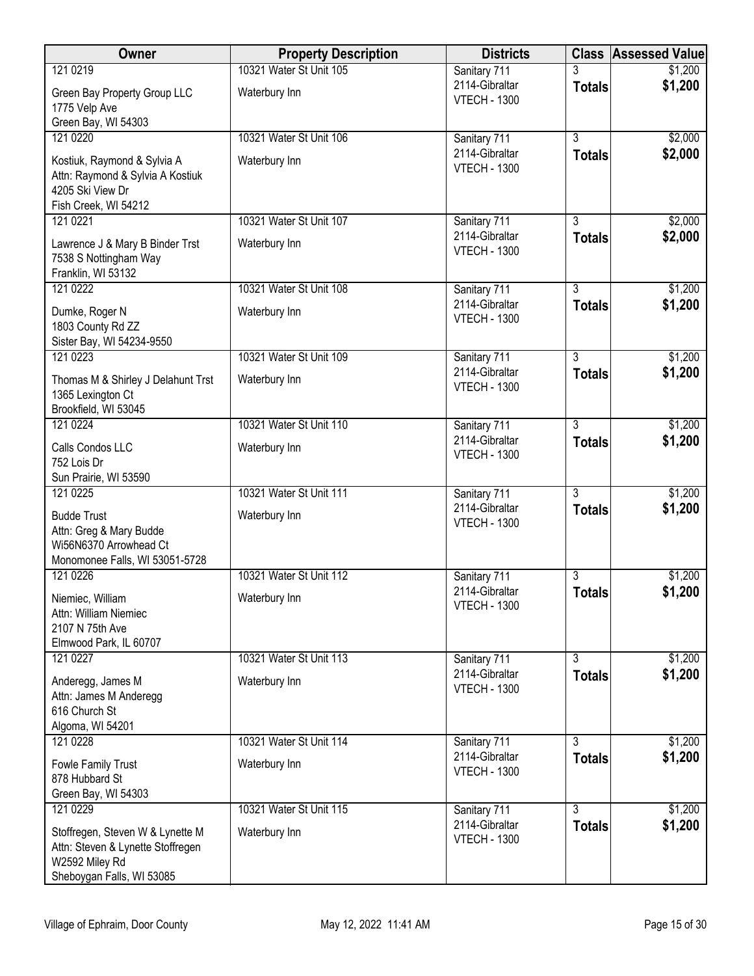| Owner                                                                                                                | <b>Property Description</b> | <b>Districts</b>                      | <b>Class</b>   | <b>Assessed Value</b> |
|----------------------------------------------------------------------------------------------------------------------|-----------------------------|---------------------------------------|----------------|-----------------------|
| 121 0219                                                                                                             | 10321 Water St Unit 105     | Sanitary 711                          |                | \$1,200               |
| Green Bay Property Group LLC<br>1775 Velp Ave                                                                        | Waterbury Inn               | 2114-Gibraltar<br><b>VTECH - 1300</b> | Totals         | \$1,200               |
| Green Bay, WI 54303<br>121 0220                                                                                      | 10321 Water St Unit 106     | Sanitary 711                          | $\overline{3}$ | \$2,000               |
| Kostiuk, Raymond & Sylvia A<br>Attn: Raymond & Sylvia A Kostiuk<br>4205 Ski View Dr<br>Fish Creek, WI 54212          | Waterbury Inn               | 2114-Gibraltar<br><b>VTECH - 1300</b> | <b>Totals</b>  | \$2,000               |
| 121 0221                                                                                                             | 10321 Water St Unit 107     | Sanitary 711                          | 3              | \$2,000               |
| Lawrence J & Mary B Binder Trst<br>7538 S Nottingham Way<br>Franklin, WI 53132                                       | Waterbury Inn               | 2114-Gibraltar<br><b>VTECH - 1300</b> | <b>Totals</b>  | \$2,000               |
| 121 0222                                                                                                             | 10321 Water St Unit 108     | Sanitary 711                          | $\overline{3}$ | \$1,200               |
| Dumke, Roger N<br>1803 County Rd ZZ<br>Sister Bay, WI 54234-9550                                                     | Waterbury Inn               | 2114-Gibraltar<br><b>VTECH - 1300</b> | <b>Totals</b>  | \$1,200               |
| 121 0223                                                                                                             | 10321 Water St Unit 109     | Sanitary 711                          | $\overline{3}$ | \$1,200               |
| Thomas M & Shirley J Delahunt Trst<br>1365 Lexington Ct<br>Brookfield, WI 53045                                      | Waterbury Inn               | 2114-Gibraltar<br><b>VTECH - 1300</b> | <b>Totals</b>  | \$1,200               |
| 121 0224                                                                                                             | 10321 Water St Unit 110     | Sanitary 711                          | $\overline{3}$ | \$1,200               |
| Calls Condos LLC<br>752 Lois Dr<br>Sun Prairie, WI 53590                                                             | Waterbury Inn               | 2114-Gibraltar<br><b>VTECH - 1300</b> | <b>Totals</b>  | \$1,200               |
| 121 0225                                                                                                             | 10321 Water St Unit 111     | Sanitary 711                          | $\overline{3}$ | \$1,200               |
| <b>Budde Trust</b><br>Attn: Greg & Mary Budde<br>Wi56N6370 Arrowhead Ct<br>Monomonee Falls, WI 53051-5728            | Waterbury Inn               | 2114-Gibraltar<br><b>VTECH - 1300</b> | <b>Totals</b>  | \$1,200               |
| 121 0226                                                                                                             | 10321 Water St Unit 112     | Sanitary 711                          | 3              | \$1,200               |
| Niemiec, William<br>Attn: William Niemiec<br>2107 N 75th Ave<br>Elmwood Park, IL 60707                               | Waterbury Inn               | 2114-Gibraltar<br><b>VTECH - 1300</b> | <b>Totals</b>  | \$1,200               |
| 121 0227                                                                                                             | 10321 Water St Unit 113     | Sanitary 711                          | $\overline{3}$ | \$1,200               |
| Anderegg, James M<br>Attn: James M Anderegg<br>616 Church St<br>Algoma, WI 54201                                     | Waterbury Inn               | 2114-Gibraltar<br><b>VTECH - 1300</b> | <b>Totals</b>  | \$1,200               |
| 121 0228                                                                                                             | 10321 Water St Unit 114     | Sanitary 711                          | $\overline{3}$ | \$1,200               |
| Fowle Family Trust<br>878 Hubbard St<br>Green Bay, WI 54303                                                          | Waterbury Inn               | 2114-Gibraltar<br><b>VTECH - 1300</b> | <b>Totals</b>  | \$1,200               |
| 121 0229                                                                                                             | 10321 Water St Unit 115     | Sanitary 711                          | $\overline{3}$ | \$1,200               |
| Stoffregen, Steven W & Lynette M<br>Attn: Steven & Lynette Stoffregen<br>W2592 Miley Rd<br>Sheboygan Falls, WI 53085 | Waterbury Inn               | 2114-Gibraltar<br><b>VTECH - 1300</b> | <b>Totals</b>  | \$1,200               |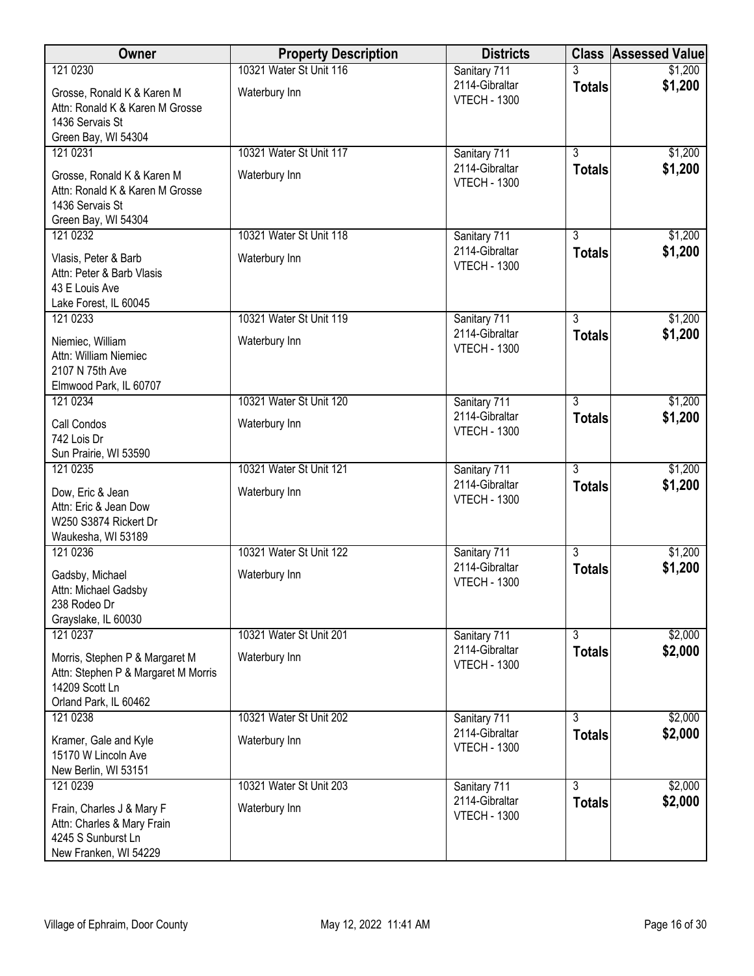| Owner                                                                                                            | <b>Property Description</b> | <b>Districts</b>                      |                | <b>Class Assessed Value</b> |
|------------------------------------------------------------------------------------------------------------------|-----------------------------|---------------------------------------|----------------|-----------------------------|
| 121 0230                                                                                                         | 10321 Water St Unit 116     | Sanitary 711                          |                | \$1,200                     |
| Grosse, Ronald K & Karen M<br>Attn: Ronald K & Karen M Grosse<br>1436 Servais St<br>Green Bay, WI 54304          | Waterbury Inn               | 2114-Gibraltar<br><b>VTECH - 1300</b> | <b>Totals</b>  | \$1,200                     |
| 121 0231                                                                                                         | 10321 Water St Unit 117     | Sanitary 711                          | $\overline{3}$ | \$1,200                     |
| Grosse, Ronald K & Karen M<br>Attn: Ronald K & Karen M Grosse<br>1436 Servais St<br>Green Bay, WI 54304          | Waterbury Inn               | 2114-Gibraltar<br><b>VTECH - 1300</b> | <b>Totals</b>  | \$1,200                     |
| 121 0232                                                                                                         | 10321 Water St Unit 118     | Sanitary 711                          | $\overline{3}$ | \$1,200                     |
| Vlasis, Peter & Barb<br>Attn: Peter & Barb Vlasis<br>43 E Louis Ave<br>Lake Forest, IL 60045                     | Waterbury Inn               | 2114-Gibraltar<br><b>VTECH - 1300</b> | <b>Totals</b>  | \$1,200                     |
| 121 0233                                                                                                         | 10321 Water St Unit 119     | Sanitary 711                          | $\overline{3}$ | \$1,200                     |
| Niemiec, William<br>Attn: William Niemiec<br>2107 N 75th Ave<br>Elmwood Park, IL 60707                           | Waterbury Inn               | 2114-Gibraltar<br><b>VTECH - 1300</b> | <b>Totals</b>  | \$1,200                     |
| 121 0234                                                                                                         | 10321 Water St Unit 120     | Sanitary 711                          | $\overline{3}$ | \$1,200                     |
| Call Condos<br>742 Lois Dr<br>Sun Prairie, WI 53590                                                              | Waterbury Inn               | 2114-Gibraltar<br><b>VTECH - 1300</b> | <b>Totals</b>  | \$1,200                     |
| 121 0235                                                                                                         | 10321 Water St Unit 121     | Sanitary 711                          | $\overline{3}$ | \$1,200                     |
| Dow, Eric & Jean<br>Attn: Eric & Jean Dow<br>W250 S3874 Rickert Dr<br>Waukesha, WI 53189                         | Waterbury Inn               | 2114-Gibraltar<br><b>VTECH - 1300</b> | <b>Totals</b>  | \$1,200                     |
| 121 0236                                                                                                         | 10321 Water St Unit 122     | Sanitary 711                          | $\overline{3}$ | \$1,200                     |
| Gadsby, Michael<br>Attn: Michael Gadsby<br>238 Rodeo Dr<br>Grayslake, IL 60030                                   | Waterbury Inn               | 2114-Gibraltar<br><b>VTECH - 1300</b> | <b>Totals</b>  | \$1,200                     |
| 121 0237                                                                                                         | 10321 Water St Unit 201     | Sanitary 711                          | $\overline{3}$ | \$2,000                     |
| Morris, Stephen P & Margaret M<br>Attn: Stephen P & Margaret M Morris<br>14209 Scott Ln<br>Orland Park, IL 60462 | Waterbury Inn               | 2114-Gibraltar<br><b>VTECH - 1300</b> | <b>Totals</b>  | \$2,000                     |
| 121 0238                                                                                                         | 10321 Water St Unit 202     | Sanitary 711                          | 3              | \$2,000                     |
| Kramer, Gale and Kyle<br>15170 W Lincoln Ave<br>New Berlin, WI 53151                                             | Waterbury Inn               | 2114-Gibraltar<br><b>VTECH - 1300</b> | <b>Totals</b>  | \$2,000                     |
| 121 0239                                                                                                         | 10321 Water St Unit 203     | Sanitary 711                          | $\overline{3}$ | \$2,000                     |
| Frain, Charles J & Mary F<br>Attn: Charles & Mary Frain<br>4245 S Sunburst Ln<br>New Franken, WI 54229           | Waterbury Inn               | 2114-Gibraltar<br><b>VTECH - 1300</b> | <b>Totals</b>  | \$2,000                     |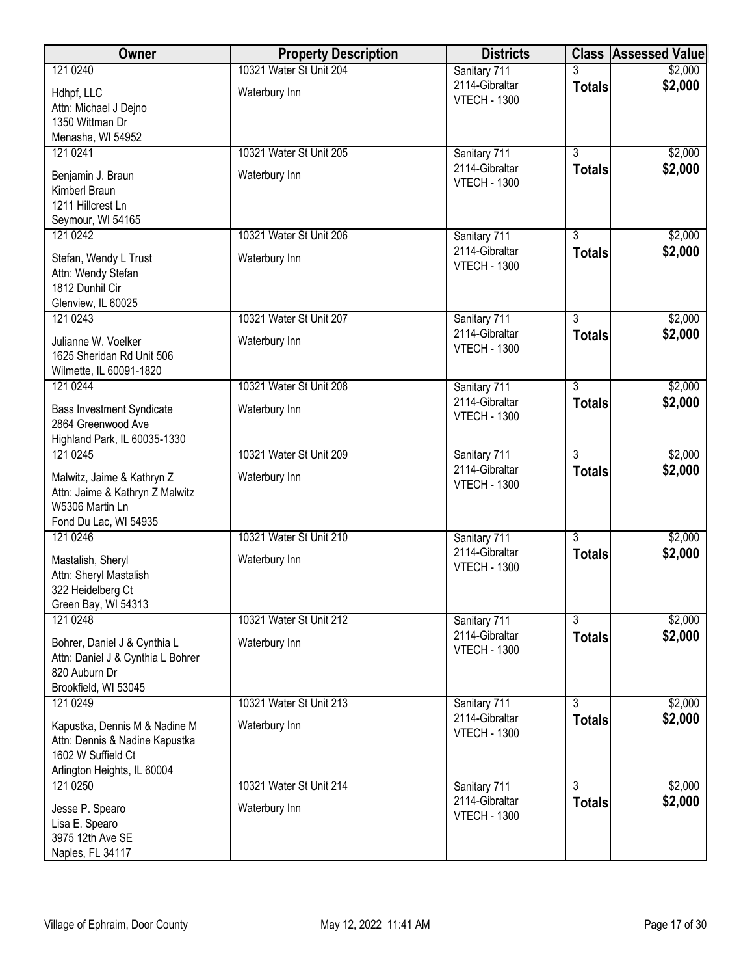| Owner                                                                                                                | <b>Property Description</b> | <b>Districts</b>                      |                | <b>Class Assessed Value</b> |
|----------------------------------------------------------------------------------------------------------------------|-----------------------------|---------------------------------------|----------------|-----------------------------|
| 121 0240                                                                                                             | 10321 Water St Unit 204     | Sanitary 711                          |                | \$2,000                     |
| Hdhpf, LLC<br>Attn: Michael J Dejno                                                                                  | Waterbury Inn               | 2114-Gibraltar<br><b>VTECH - 1300</b> | <b>Totals</b>  | \$2,000                     |
| 1350 Wittman Dr                                                                                                      |                             |                                       |                |                             |
| Menasha, WI 54952<br>121 0241                                                                                        | 10321 Water St Unit 205     | Sanitary 711                          | $\overline{3}$ | \$2,000                     |
|                                                                                                                      |                             | 2114-Gibraltar                        | <b>Totals</b>  | \$2,000                     |
| Benjamin J. Braun                                                                                                    | Waterbury Inn               | <b>VTECH - 1300</b>                   |                |                             |
| Kimberl Braun<br>1211 Hillcrest Ln                                                                                   |                             |                                       |                |                             |
| Seymour, WI 54165                                                                                                    |                             |                                       |                |                             |
| 121 0242                                                                                                             | 10321 Water St Unit 206     | Sanitary 711                          | $\overline{3}$ | \$2,000                     |
| Stefan, Wendy L Trust<br>Attn: Wendy Stefan<br>1812 Dunhil Cir                                                       | Waterbury Inn               | 2114-Gibraltar<br><b>VTECH - 1300</b> | <b>Totals</b>  | \$2,000                     |
| Glenview, IL 60025                                                                                                   |                             |                                       |                |                             |
| 121 0243                                                                                                             | 10321 Water St Unit 207     | Sanitary 711<br>2114-Gibraltar        | $\overline{3}$ | \$2,000<br>\$2,000          |
| Julianne W. Voelker<br>1625 Sheridan Rd Unit 506<br>Wilmette, IL 60091-1820                                          | Waterbury Inn               | <b>VTECH - 1300</b>                   | <b>Totals</b>  |                             |
| 121 0244                                                                                                             | 10321 Water St Unit 208     | Sanitary 711                          | $\overline{3}$ | \$2,000                     |
| <b>Bass Investment Syndicate</b><br>2864 Greenwood Ave<br>Highland Park, IL 60035-1330                               | Waterbury Inn               | 2114-Gibraltar<br><b>VTECH - 1300</b> | <b>Totals</b>  | \$2,000                     |
| 121 0245                                                                                                             | 10321 Water St Unit 209     | Sanitary 711                          | $\overline{3}$ | \$2,000                     |
| Malwitz, Jaime & Kathryn Z<br>Attn: Jaime & Kathryn Z Malwitz<br>W5306 Martin Ln<br>Fond Du Lac, WI 54935            | Waterbury Inn               | 2114-Gibraltar<br><b>VTECH - 1300</b> | <b>Totals</b>  | \$2,000                     |
| 121 0246                                                                                                             | 10321 Water St Unit 210     | Sanitary 711                          | $\overline{3}$ | \$2,000                     |
| Mastalish, Sheryl<br>Attn: Sheryl Mastalish<br>322 Heidelberg Ct<br>Green Bay, WI 54313                              | Waterbury Inn               | 2114-Gibraltar<br><b>VTECH - 1300</b> | <b>Totals</b>  | \$2,000                     |
| 121 0248                                                                                                             | 10321 Water St Unit 212     | Sanitary 711                          | $\overline{3}$ | \$2,000                     |
| Bohrer, Daniel J & Cynthia L<br>Attn: Daniel J & Cynthia L Bohrer<br>820 Auburn Dr                                   | Waterbury Inn               | 2114-Gibraltar<br><b>VTECH - 1300</b> | <b>Totals</b>  | \$2,000                     |
| Brookfield, WI 53045                                                                                                 |                             |                                       |                |                             |
| 121 0249                                                                                                             | 10321 Water St Unit 213     | Sanitary 711                          | $\overline{3}$ | \$2,000                     |
| Kapustka, Dennis M & Nadine M<br>Attn: Dennis & Nadine Kapustka<br>1602 W Suffield Ct<br>Arlington Heights, IL 60004 | Waterbury Inn               | 2114-Gibraltar<br><b>VTECH - 1300</b> | <b>Totals</b>  | \$2,000                     |
| 121 0250                                                                                                             | 10321 Water St Unit 214     | Sanitary 711                          | $\overline{3}$ | \$2,000                     |
| Jesse P. Spearo<br>Lisa E. Spearo<br>3975 12th Ave SE<br>Naples, FL 34117                                            | Waterbury Inn               | 2114-Gibraltar<br><b>VTECH - 1300</b> | <b>Totals</b>  | \$2,000                     |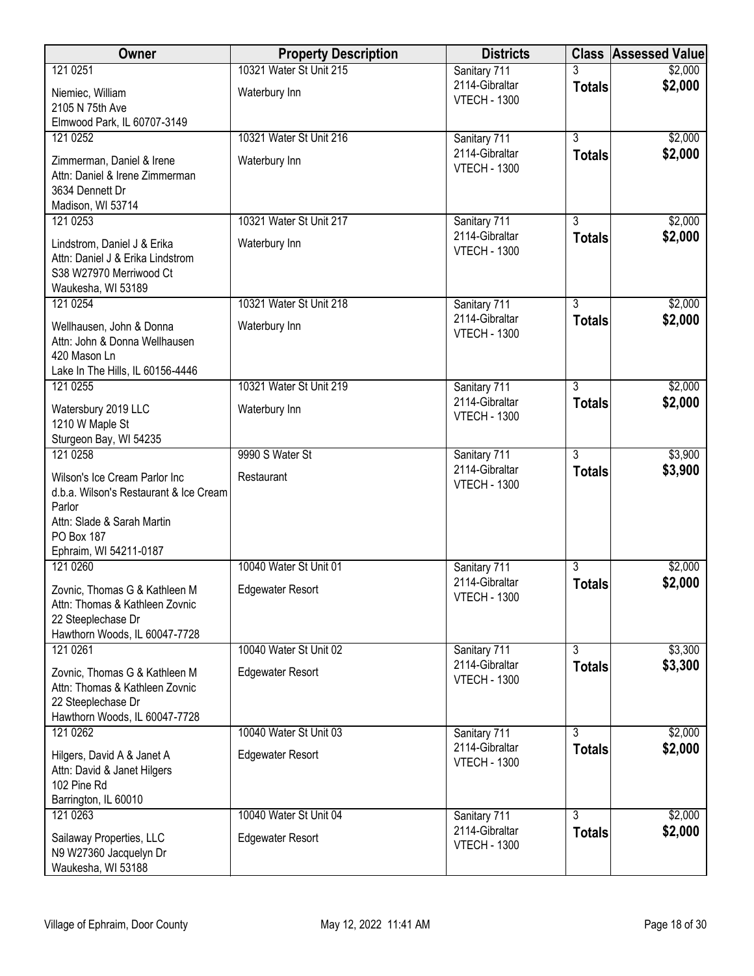| Owner                                                           | <b>Property Description</b> | <b>Districts</b>                      |                | <b>Class Assessed Value</b> |
|-----------------------------------------------------------------|-----------------------------|---------------------------------------|----------------|-----------------------------|
| 121 0251                                                        | 10321 Water St Unit 215     | Sanitary 711                          |                | \$2,000                     |
| Niemiec, William                                                | Waterbury Inn               | 2114-Gibraltar<br><b>VTECH - 1300</b> | <b>Totals</b>  | \$2,000                     |
| 2105 N 75th Ave                                                 |                             |                                       |                |                             |
| Elmwood Park, IL 60707-3149                                     |                             |                                       |                |                             |
| 121 0252                                                        | 10321 Water St Unit 216     | Sanitary 711<br>2114-Gibraltar        | $\overline{3}$ | \$2,000                     |
| Zimmerman, Daniel & Irene                                       | Waterbury Inn               | <b>VTECH - 1300</b>                   | <b>Totals</b>  | \$2,000                     |
| Attn: Daniel & Irene Zimmerman                                  |                             |                                       |                |                             |
| 3634 Dennett Dr<br>Madison, WI 53714                            |                             |                                       |                |                             |
| 121 0253                                                        | 10321 Water St Unit 217     | Sanitary 711                          | $\overline{3}$ | \$2,000                     |
|                                                                 |                             | 2114-Gibraltar                        | <b>Totals</b>  | \$2,000                     |
| Lindstrom, Daniel J & Erika<br>Attn: Daniel J & Erika Lindstrom | Waterbury Inn               | <b>VTECH - 1300</b>                   |                |                             |
| S38 W27970 Merriwood Ct                                         |                             |                                       |                |                             |
| Waukesha, WI 53189                                              |                             |                                       |                |                             |
| 121 0254                                                        | 10321 Water St Unit 218     | Sanitary 711                          | $\overline{3}$ | \$2,000                     |
| Wellhausen, John & Donna                                        | Waterbury Inn               | 2114-Gibraltar                        | <b>Totals</b>  | \$2,000                     |
| Attn: John & Donna Wellhausen                                   |                             | <b>VTECH - 1300</b>                   |                |                             |
| 420 Mason Ln                                                    |                             |                                       |                |                             |
| Lake In The Hills, IL 60156-4446<br>121 0255                    | 10321 Water St Unit 219     |                                       | $\overline{3}$ | \$2,000                     |
|                                                                 |                             | Sanitary 711<br>2114-Gibraltar        | <b>Totals</b>  | \$2,000                     |
| Watersbury 2019 LLC                                             | Waterbury Inn               | <b>VTECH - 1300</b>                   |                |                             |
| 1210 W Maple St<br>Sturgeon Bay, WI 54235                       |                             |                                       |                |                             |
| 121 0258                                                        | 9990 S Water St             | Sanitary 711                          | $\overline{3}$ | \$3,900                     |
| Wilson's Ice Cream Parlor Inc                                   | Restaurant                  | 2114-Gibraltar                        | <b>Totals</b>  | \$3,900                     |
| d.b.a. Wilson's Restaurant & Ice Cream                          |                             | <b>VTECH - 1300</b>                   |                |                             |
| Parlor                                                          |                             |                                       |                |                             |
| Attn: Slade & Sarah Martin                                      |                             |                                       |                |                             |
| PO Box 187                                                      |                             |                                       |                |                             |
| Ephraim, WI 54211-0187<br>121 0260                              | 10040 Water St Unit 01      |                                       | $\overline{3}$ |                             |
|                                                                 |                             | Sanitary 711<br>2114-Gibraltar        | <b>Totals</b>  | \$2,000<br>\$2,000          |
| Zovnic, Thomas G & Kathleen M                                   | <b>Edgewater Resort</b>     | <b>VTECH - 1300</b>                   |                |                             |
| Attn: Thomas & Kathleen Zovnic<br>22 Steeplechase Dr            |                             |                                       |                |                             |
| Hawthorn Woods, IL 60047-7728                                   |                             |                                       |                |                             |
| 121 0261                                                        | 10040 Water St Unit 02      | Sanitary 711                          | $\overline{3}$ | \$3,300                     |
| Zovnic, Thomas G & Kathleen M                                   | <b>Edgewater Resort</b>     | 2114-Gibraltar                        | <b>Totals</b>  | \$3,300                     |
| Attn: Thomas & Kathleen Zovnic                                  |                             | <b>VTECH - 1300</b>                   |                |                             |
| 22 Steeplechase Dr                                              |                             |                                       |                |                             |
| Hawthorn Woods, IL 60047-7728                                   |                             |                                       |                |                             |
| 121 0262                                                        | 10040 Water St Unit 03      | Sanitary 711<br>2114-Gibraltar        | 3              | \$2,000                     |
| Hilgers, David A & Janet A                                      | <b>Edgewater Resort</b>     | <b>VTECH - 1300</b>                   | <b>Totals</b>  | \$2,000                     |
| Attn: David & Janet Hilgers                                     |                             |                                       |                |                             |
| 102 Pine Rd<br>Barrington, IL 60010                             |                             |                                       |                |                             |
| 121 0263                                                        | 10040 Water St Unit 04      | Sanitary 711                          | $\overline{3}$ | \$2,000                     |
|                                                                 |                             | 2114-Gibraltar                        | <b>Totals</b>  | \$2,000                     |
| Sailaway Properties, LLC<br>N9 W27360 Jacquelyn Dr              | <b>Edgewater Resort</b>     | <b>VTECH - 1300</b>                   |                |                             |
| Waukesha, WI 53188                                              |                             |                                       |                |                             |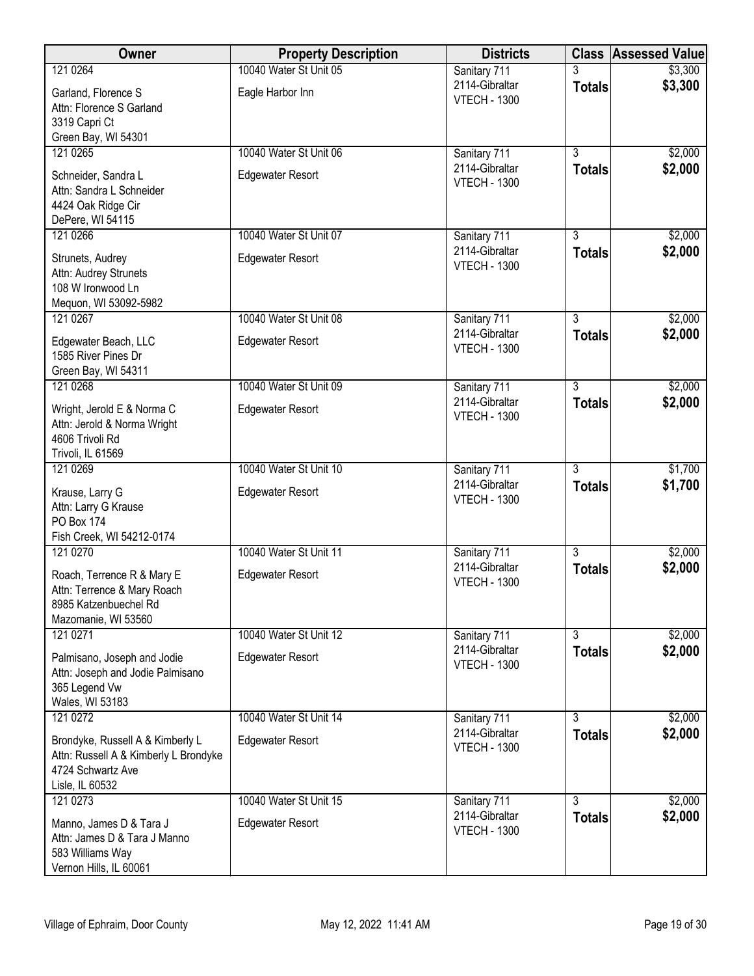| Owner                                                                     | <b>Property Description</b> | <b>Districts</b>                      |                                 | <b>Class Assessed Value</b> |
|---------------------------------------------------------------------------|-----------------------------|---------------------------------------|---------------------------------|-----------------------------|
| 121 0264                                                                  | 10040 Water St Unit 05      | Sanitary 711                          |                                 | \$3,300                     |
| Garland, Florence S                                                       | Eagle Harbor Inn            | 2114-Gibraltar<br><b>VTECH - 1300</b> | <b>Totals</b>                   | \$3,300                     |
| Attn: Florence S Garland                                                  |                             |                                       |                                 |                             |
| 3319 Capri Ct<br>Green Bay, WI 54301                                      |                             |                                       |                                 |                             |
| 121 0265                                                                  | 10040 Water St Unit 06      | Sanitary 711                          | $\overline{3}$                  | \$2,000                     |
| Schneider, Sandra L                                                       | <b>Edgewater Resort</b>     | 2114-Gibraltar                        | <b>Totals</b>                   | \$2,000                     |
| Attn: Sandra L Schneider                                                  |                             | <b>VTECH - 1300</b>                   |                                 |                             |
| 4424 Oak Ridge Cir                                                        |                             |                                       |                                 |                             |
| DePere, WI 54115<br>121 0266                                              | 10040 Water St Unit 07      | Sanitary 711                          | $\overline{3}$                  | \$2,000                     |
|                                                                           |                             | 2114-Gibraltar                        | <b>Totals</b>                   | \$2,000                     |
| Strunets, Audrey<br>Attn: Audrey Strunets                                 | <b>Edgewater Resort</b>     | <b>VTECH - 1300</b>                   |                                 |                             |
| 108 W Ironwood Ln                                                         |                             |                                       |                                 |                             |
| Mequon, WI 53092-5982                                                     |                             |                                       |                                 |                             |
| 121 0267                                                                  | 10040 Water St Unit 08      | Sanitary 711                          | $\overline{3}$                  | \$2,000                     |
| Edgewater Beach, LLC                                                      | <b>Edgewater Resort</b>     | 2114-Gibraltar<br><b>VTECH - 1300</b> | <b>Totals</b>                   | \$2,000                     |
| 1585 River Pines Dr<br>Green Bay, WI 54311                                |                             |                                       |                                 |                             |
| 121 0268                                                                  | 10040 Water St Unit 09      | Sanitary 711                          | $\overline{3}$                  | \$2,000                     |
| Wright, Jerold E & Norma C                                                | <b>Edgewater Resort</b>     | 2114-Gibraltar                        | <b>Totals</b>                   | \$2,000                     |
| Attn: Jerold & Norma Wright                                               |                             | <b>VTECH - 1300</b>                   |                                 |                             |
| 4606 Trivoli Rd                                                           |                             |                                       |                                 |                             |
| Trivoli, IL 61569                                                         | 10040 Water St Unit 10      |                                       | $\overline{3}$                  |                             |
| 121 0269                                                                  |                             | Sanitary 711<br>2114-Gibraltar        | <b>Totals</b>                   | \$1,700<br>\$1,700          |
| Krause, Larry G<br>Attn: Larry G Krause                                   | <b>Edgewater Resort</b>     | <b>VTECH - 1300</b>                   |                                 |                             |
| PO Box 174                                                                |                             |                                       |                                 |                             |
| Fish Creek, WI 54212-0174                                                 |                             |                                       |                                 |                             |
| 121 0270                                                                  | 10040 Water St Unit 11      | Sanitary 711                          | $\overline{3}$                  | \$2,000                     |
| Roach, Terrence R & Mary E                                                | <b>Edgewater Resort</b>     | 2114-Gibraltar<br><b>VTECH - 1300</b> | <b>Totals</b>                   | \$2,000                     |
| Attn: Terrence & Mary Roach                                               |                             |                                       |                                 |                             |
| 8985 Katzenbuechel Rd<br>Mazomanie, WI 53560                              |                             |                                       |                                 |                             |
| 121 0271                                                                  | 10040 Water St Unit 12      | Sanitary 711                          | $\overline{3}$                  | \$2,000                     |
| Palmisano, Joseph and Jodie                                               | <b>Edgewater Resort</b>     | 2114-Gibraltar                        | <b>Totals</b>                   | \$2,000                     |
| Attn: Joseph and Jodie Palmisano                                          |                             | <b>VTECH - 1300</b>                   |                                 |                             |
| 365 Legend Vw                                                             |                             |                                       |                                 |                             |
| Wales, WI 53183<br>121 0272                                               | 10040 Water St Unit 14      | Sanitary 711                          | $\overline{3}$                  | \$2,000                     |
|                                                                           |                             | 2114-Gibraltar                        | <b>Totals</b>                   | \$2,000                     |
| Brondyke, Russell A & Kimberly L<br>Attn: Russell A & Kimberly L Brondyke | <b>Edgewater Resort</b>     | <b>VTECH - 1300</b>                   |                                 |                             |
| 4724 Schwartz Ave                                                         |                             |                                       |                                 |                             |
| Lisle, IL 60532                                                           |                             |                                       |                                 |                             |
| 121 0273                                                                  | 10040 Water St Unit 15      | Sanitary 711<br>2114-Gibraltar        | $\overline{3}$<br><b>Totals</b> | \$2,000<br>\$2,000          |
| Manno, James D & Tara J                                                   | <b>Edgewater Resort</b>     | <b>VTECH - 1300</b>                   |                                 |                             |
| Attn: James D & Tara J Manno<br>583 Williams Way                          |                             |                                       |                                 |                             |
| Vernon Hills, IL 60061                                                    |                             |                                       |                                 |                             |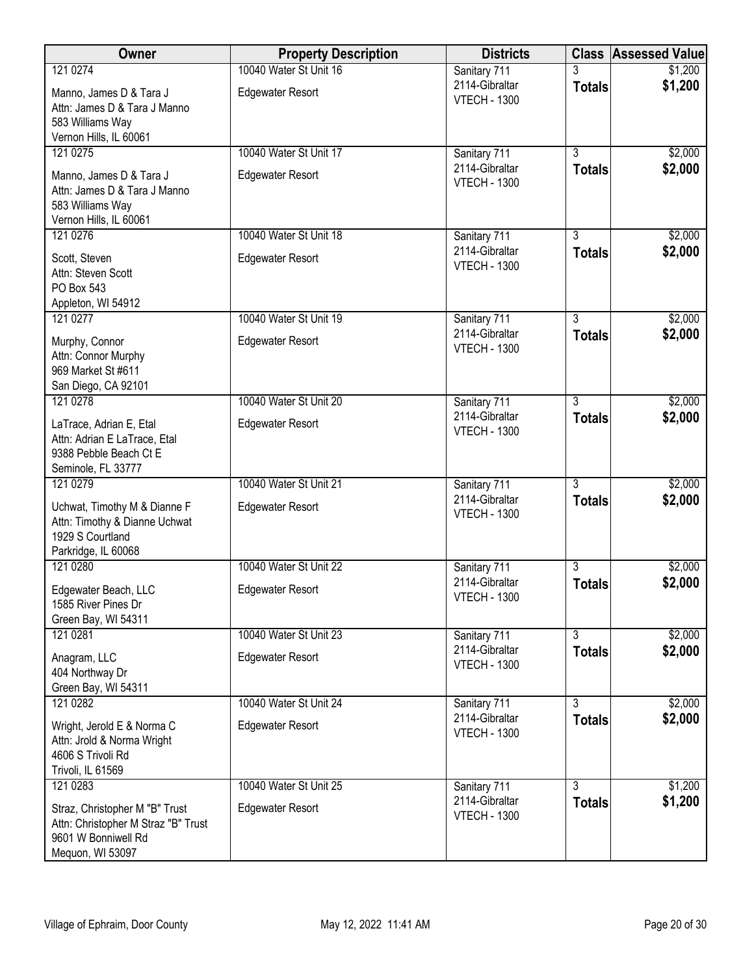| Owner                                                                                                            | <b>Property Description</b>                       | <b>Districts</b>                                      |                                 | <b>Class Assessed Value</b> |
|------------------------------------------------------------------------------------------------------------------|---------------------------------------------------|-------------------------------------------------------|---------------------------------|-----------------------------|
| 121 0274                                                                                                         | 10040 Water St Unit 16                            | Sanitary 711                                          |                                 | \$1,200                     |
| Manno, James D & Tara J<br>Attn: James D & Tara J Manno<br>583 Williams Way                                      | <b>Edgewater Resort</b>                           | 2114-Gibraltar<br><b>VTECH - 1300</b>                 | <b>Totals</b>                   | \$1,200                     |
| Vernon Hills, IL 60061                                                                                           |                                                   |                                                       |                                 |                             |
| 121 0275                                                                                                         | 10040 Water St Unit 17                            | Sanitary 711                                          | $\overline{3}$                  | \$2,000                     |
| Manno, James D & Tara J<br>Attn: James D & Tara J Manno<br>583 Williams Way<br>Vernon Hills, IL 60061            | <b>Edgewater Resort</b>                           | 2114-Gibraltar<br><b>VTECH - 1300</b>                 | <b>Totals</b>                   | \$2,000                     |
| 121 0276                                                                                                         | 10040 Water St Unit 18                            | Sanitary 711                                          | 3                               | \$2,000                     |
| Scott, Steven<br>Attn: Steven Scott<br>PO Box 543<br>Appleton, WI 54912                                          | <b>Edgewater Resort</b>                           | 2114-Gibraltar<br><b>VTECH - 1300</b>                 | <b>Totals</b>                   | \$2,000                     |
| 121 0277                                                                                                         | 10040 Water St Unit 19                            | Sanitary 711                                          | $\overline{3}$                  | \$2,000                     |
| Murphy, Connor<br>Attn: Connor Murphy<br>969 Market St #611<br>San Diego, CA 92101                               | <b>Edgewater Resort</b>                           | 2114-Gibraltar<br><b>VTECH - 1300</b>                 | <b>Totals</b>                   | \$2,000                     |
| 121 0278                                                                                                         | 10040 Water St Unit 20                            | Sanitary 711                                          | $\overline{3}$                  | \$2,000                     |
| LaTrace, Adrian E, Etal<br>Attn: Adrian E LaTrace, Etal<br>9388 Pebble Beach Ct E<br>Seminole, FL 33777          | <b>Edgewater Resort</b>                           | 2114-Gibraltar<br><b>VTECH - 1300</b>                 | <b>Totals</b>                   | \$2,000                     |
| 121 0279                                                                                                         | 10040 Water St Unit 21                            | Sanitary 711                                          | $\overline{3}$                  | \$2,000                     |
| Uchwat, Timothy M & Dianne F<br>Attn: Timothy & Dianne Uchwat<br>1929 S Courtland                                | <b>Edgewater Resort</b>                           | 2114-Gibraltar<br><b>VTECH - 1300</b>                 | <b>Totals</b>                   | \$2,000                     |
| Parkridge, IL 60068<br>121 0280                                                                                  | 10040 Water St Unit 22                            | Sanitary 711                                          | $\overline{3}$                  | \$2,000                     |
| Edgewater Beach, LLC<br>1585 River Pines Dr<br>Green Bay, WI 54311                                               | <b>Edgewater Resort</b>                           | 2114-Gibraltar<br><b>VTECH - 1300</b>                 | <b>Totals</b>                   | \$2,000                     |
| 121 0281                                                                                                         | 10040 Water St Unit 23                            | Sanitary 711                                          | $\overline{3}$                  | \$2,000                     |
| Anagram, LLC<br>404 Northway Dr                                                                                  | <b>Edgewater Resort</b>                           | 2114-Gibraltar<br><b>VTECH - 1300</b>                 | <b>Totals</b>                   | \$2,000                     |
| Green Bay, WI 54311                                                                                              |                                                   |                                                       |                                 |                             |
| 121 0282<br>Wright, Jerold E & Norma C<br>Attn: Jrold & Norma Wright<br>4606 S Trivoli Rd<br>Trivoli, IL 61569   | 10040 Water St Unit 24<br><b>Edgewater Resort</b> | Sanitary 711<br>2114-Gibraltar<br><b>VTECH - 1300</b> | $\overline{3}$<br><b>Totals</b> | \$2,000<br>\$2,000          |
| 121 0283                                                                                                         | 10040 Water St Unit 25                            | Sanitary 711                                          | 3                               | \$1,200                     |
| Straz, Christopher M "B" Trust<br>Attn: Christopher M Straz "B" Trust<br>9601 W Bonniwell Rd<br>Mequon, WI 53097 | <b>Edgewater Resort</b>                           | 2114-Gibraltar<br><b>VTECH - 1300</b>                 | <b>Totals</b>                   | \$1,200                     |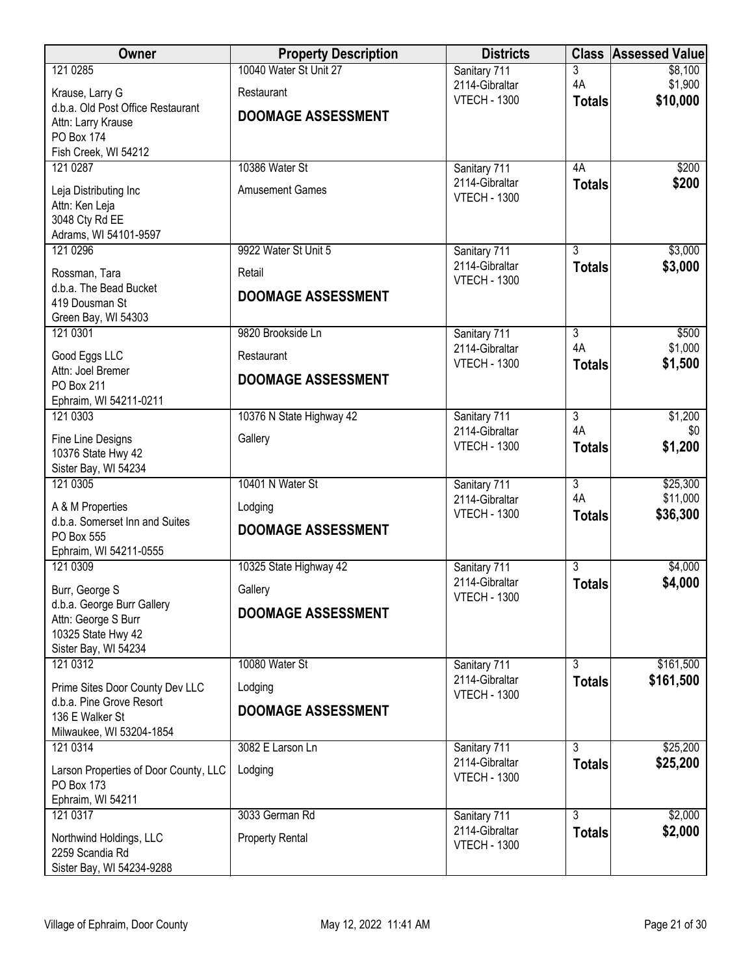| Owner                                               | <b>Property Description</b> | <b>Districts</b>                      |                      | <b>Class Assessed Value</b> |
|-----------------------------------------------------|-----------------------------|---------------------------------------|----------------------|-----------------------------|
| 121 0285                                            | 10040 Water St Unit 27      | Sanitary 711                          | 3                    | \$8,100                     |
| Krause, Larry G                                     | Restaurant                  | 2114-Gibraltar<br><b>VTECH - 1300</b> | 4A<br><b>Totals</b>  | \$1,900<br>\$10,000         |
| d.b.a. Old Post Office Restaurant                   | <b>DOOMAGE ASSESSMENT</b>   |                                       |                      |                             |
| Attn: Larry Krause<br>PO Box 174                    |                             |                                       |                      |                             |
| Fish Creek, WI 54212                                |                             |                                       |                      |                             |
| 121 0287                                            | 10386 Water St              | Sanitary 711                          | 4A                   | \$200                       |
| Leja Distributing Inc                               | <b>Amusement Games</b>      | 2114-Gibraltar<br><b>VTECH - 1300</b> | <b>Totals</b>        | \$200                       |
| Attn: Ken Leja                                      |                             |                                       |                      |                             |
| 3048 Cty Rd EE<br>Adrams, WI 54101-9597             |                             |                                       |                      |                             |
| 121 0296                                            | 9922 Water St Unit 5        | Sanitary 711                          | $\overline{3}$       | \$3,000                     |
| Rossman, Tara                                       | Retail                      | 2114-Gibraltar                        | <b>Totals</b>        | \$3,000                     |
| d.b.a. The Bead Bucket                              |                             | <b>VTECH - 1300</b>                   |                      |                             |
| 419 Dousman St                                      | <b>DOOMAGE ASSESSMENT</b>   |                                       |                      |                             |
| Green Bay, WI 54303<br>121 0301                     | 9820 Brookside Ln           | Sanitary 711                          | $\overline{3}$       | \$500                       |
|                                                     |                             | 2114-Gibraltar                        | 4A                   | \$1,000                     |
| Good Eggs LLC<br>Attn: Joel Bremer                  | Restaurant                  | <b>VTECH - 1300</b>                   | <b>Totals</b>        | \$1,500                     |
| PO Box 211                                          | <b>DOOMAGE ASSESSMENT</b>   |                                       |                      |                             |
| Ephraim, WI 54211-0211                              |                             |                                       |                      |                             |
| 121 0303                                            | 10376 N State Highway 42    | Sanitary 711<br>2114-Gibraltar        | $\overline{3}$<br>4A | \$1,200<br>\$0              |
| Fine Line Designs                                   | Gallery                     | <b>VTECH - 1300</b>                   | <b>Totals</b>        | \$1,200                     |
| 10376 State Hwy 42<br>Sister Bay, WI 54234          |                             |                                       |                      |                             |
| 121 0305                                            | 10401 N Water St            | Sanitary 711                          | $\overline{3}$       | \$25,300                    |
| A & M Properties                                    | Lodging                     | 2114-Gibraltar                        | 4A                   | \$11,000                    |
| d.b.a. Somerset Inn and Suites                      | <b>DOOMAGE ASSESSMENT</b>   | <b>VTECH - 1300</b>                   | <b>Totals</b>        | \$36,300                    |
| PO Box 555                                          |                             |                                       |                      |                             |
| Ephraim, WI 54211-0555<br>121 0309                  | 10325 State Highway 42      | Sanitary 711                          | $\overline{3}$       | \$4,000                     |
|                                                     | Gallery                     | 2114-Gibraltar                        | <b>Totals</b>        | \$4,000                     |
| Burr, George S<br>d.b.a. George Burr Gallery        |                             | <b>VTECH - 1300</b>                   |                      |                             |
| Attn: George S Burr                                 | <b>DOOMAGE ASSESSMENT</b>   |                                       |                      |                             |
| 10325 State Hwy 42                                  |                             |                                       |                      |                             |
| Sister Bay, WI 54234<br>121 0312                    | 10080 Water St              | Sanitary 711                          | $\overline{3}$       | \$161,500                   |
| Prime Sites Door County Dev LLC                     | Lodging                     | 2114-Gibraltar                        | <b>Totals</b>        | \$161,500                   |
| d.b.a. Pine Grove Resort                            |                             | <b>VTECH - 1300</b>                   |                      |                             |
| 136 E Walker St                                     | <b>DOOMAGE ASSESSMENT</b>   |                                       |                      |                             |
| Milwaukee, WI 53204-1854                            |                             |                                       |                      |                             |
| 121 0314                                            | 3082 E Larson Ln            | Sanitary 711<br>2114-Gibraltar        | 3<br><b>Totals</b>   | \$25,200<br>\$25,200        |
| Larson Properties of Door County, LLC<br>PO Box 173 | Lodging                     | <b>VTECH - 1300</b>                   |                      |                             |
| Ephraim, WI 54211                                   |                             |                                       |                      |                             |
| 121 0317                                            | 3033 German Rd              | Sanitary 711                          | $\overline{3}$       | \$2,000                     |
| Northwind Holdings, LLC                             | <b>Property Rental</b>      | 2114-Gibraltar                        | <b>Totals</b>        | \$2,000                     |
| 2259 Scandia Rd                                     |                             | <b>VTECH - 1300</b>                   |                      |                             |
| Sister Bay, WI 54234-9288                           |                             |                                       |                      |                             |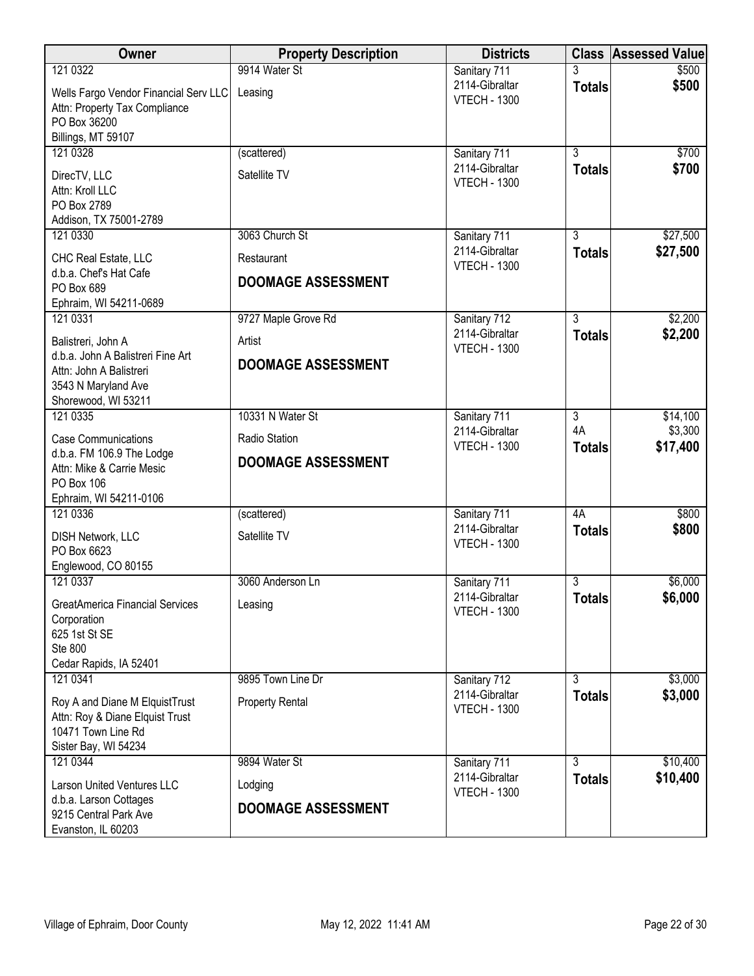| Owner                                                | <b>Property Description</b> | <b>Districts</b>                      |                                 | <b>Class Assessed Value</b> |
|------------------------------------------------------|-----------------------------|---------------------------------------|---------------------------------|-----------------------------|
| 121 0322                                             | 9914 Water St               | Sanitary 711                          |                                 | \$500                       |
| Wells Fargo Vendor Financial Serv LLC                | Leasing                     | 2114-Gibraltar<br><b>VTECH - 1300</b> | <b>Totals</b>                   | \$500                       |
| Attn: Property Tax Compliance                        |                             |                                       |                                 |                             |
| PO Box 36200<br>Billings, MT 59107                   |                             |                                       |                                 |                             |
| 121 0328                                             | (scattered)                 | Sanitary 711                          | $\overline{3}$                  | \$700                       |
| DirecTV, LLC                                         | Satellite TV                | 2114-Gibraltar                        | <b>Totals</b>                   | \$700                       |
| Attn: Kroll LLC                                      |                             | <b>VTECH - 1300</b>                   |                                 |                             |
| PO Box 2789                                          |                             |                                       |                                 |                             |
| Addison, TX 75001-2789                               |                             |                                       |                                 |                             |
| 121 0330                                             | 3063 Church St              | Sanitary 711<br>2114-Gibraltar        | $\overline{3}$<br><b>Totals</b> | \$27,500<br>\$27,500        |
| CHC Real Estate, LLC                                 | Restaurant                  | <b>VTECH - 1300</b>                   |                                 |                             |
| d.b.a. Chef's Hat Cafe<br>PO Box 689                 | <b>DOOMAGE ASSESSMENT</b>   |                                       |                                 |                             |
| Ephraim, WI 54211-0689                               |                             |                                       |                                 |                             |
| 121 0331                                             | 9727 Maple Grove Rd         | Sanitary 712                          | $\overline{3}$                  | \$2,200                     |
| Balistreri, John A                                   | Artist                      | 2114-Gibraltar                        | <b>Totals</b>                   | \$2,200                     |
| d.b.a. John A Balistreri Fine Art                    | <b>DOOMAGE ASSESSMENT</b>   | <b>VTECH - 1300</b>                   |                                 |                             |
| Attn: John A Balistreri                              |                             |                                       |                                 |                             |
| 3543 N Maryland Ave<br>Shorewood, WI 53211           |                             |                                       |                                 |                             |
| 121 0335                                             | 10331 N Water St            | Sanitary 711                          | $\overline{3}$                  | \$14,100                    |
| <b>Case Communications</b>                           | Radio Station               | 2114-Gibraltar                        | 4A                              | \$3,300                     |
| d.b.a. FM 106.9 The Lodge                            |                             | <b>VTECH - 1300</b>                   | <b>Totals</b>                   | \$17,400                    |
| Attn: Mike & Carrie Mesic                            | <b>DOOMAGE ASSESSMENT</b>   |                                       |                                 |                             |
| PO Box 106<br>Ephraim, WI 54211-0106                 |                             |                                       |                                 |                             |
| 121 0336                                             | (scattered)                 | Sanitary 711                          | 4A                              | \$800                       |
| <b>DISH Network, LLC</b>                             | Satellite TV                | 2114-Gibraltar                        | <b>Totals</b>                   | \$800                       |
| PO Box 6623                                          |                             | <b>VTECH - 1300</b>                   |                                 |                             |
| Englewood, CO 80155                                  |                             |                                       |                                 |                             |
| 121 0337                                             | 3060 Anderson Ln            | Sanitary 711                          | $\overline{3}$                  | \$6,000                     |
| <b>GreatAmerica Financial Services</b>               | Leasing                     | 2114-Gibraltar<br><b>VTECH - 1300</b> | <b>Totals</b>                   | \$6,000                     |
| Corporation                                          |                             |                                       |                                 |                             |
| 625 1st St SE<br>Ste 800                             |                             |                                       |                                 |                             |
| Cedar Rapids, IA 52401                               |                             |                                       |                                 |                             |
| 121 0341                                             | 9895 Town Line Dr           | Sanitary 712                          | $\overline{3}$                  | \$3,000                     |
| Roy A and Diane M ElquistTrust                       | <b>Property Rental</b>      | 2114-Gibraltar                        | <b>Totals</b>                   | \$3,000                     |
| Attn: Roy & Diane Elquist Trust                      |                             | <b>VTECH - 1300</b>                   |                                 |                             |
| 10471 Town Line Rd                                   |                             |                                       |                                 |                             |
| Sister Bay, WI 54234<br>121 0344                     | 9894 Water St               | Sanitary 711                          | 3                               | \$10,400                    |
|                                                      |                             | 2114-Gibraltar                        | <b>Totals</b>                   | \$10,400                    |
| Larson United Ventures LLC<br>d.b.a. Larson Cottages | Lodging                     | <b>VTECH - 1300</b>                   |                                 |                             |
| 9215 Central Park Ave                                | <b>DOOMAGE ASSESSMENT</b>   |                                       |                                 |                             |
| Evanston, IL 60203                                   |                             |                                       |                                 |                             |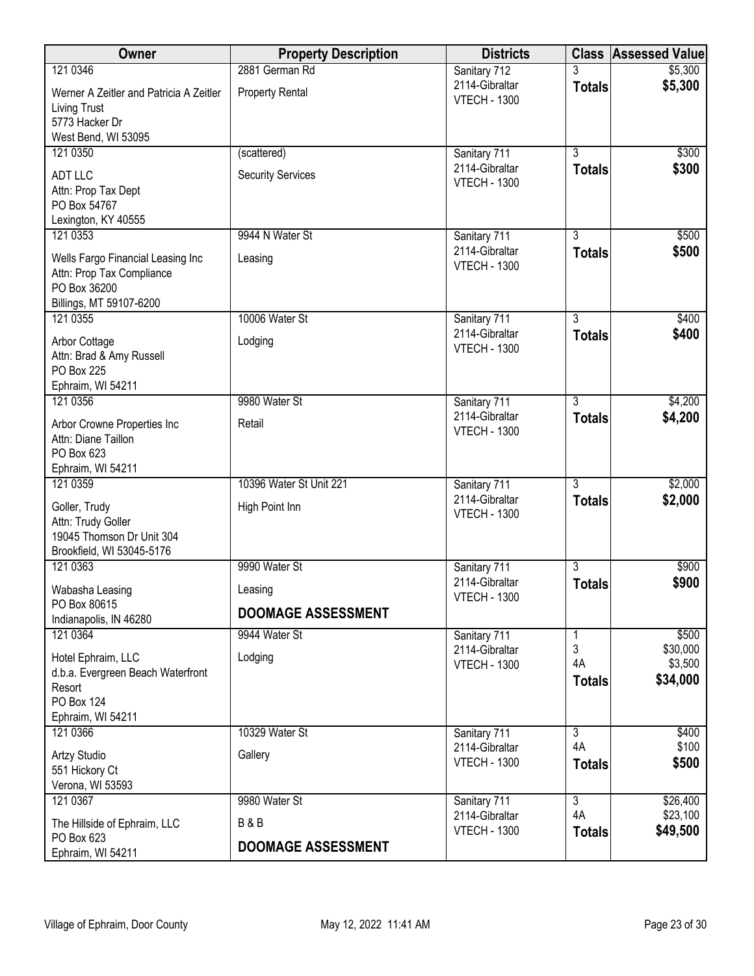| Owner                                                          | <b>Property Description</b> | <b>Districts</b>                      | <b>Class</b>         | <b>Assessed Value</b> |
|----------------------------------------------------------------|-----------------------------|---------------------------------------|----------------------|-----------------------|
| 121 0346                                                       | 2881 German Rd              | Sanitary 712                          |                      | \$5,300               |
| Werner A Zeitler and Patricia A Zeitler<br>Living Trust        | <b>Property Rental</b>      | 2114-Gibraltar<br><b>VTECH - 1300</b> | <b>Totals</b>        | \$5,300               |
| 5773 Hacker Dr                                                 |                             |                                       |                      |                       |
| West Bend, WI 53095                                            |                             |                                       |                      |                       |
| 121 0350                                                       | (scattered)                 | Sanitary 711                          | $\overline{3}$       | \$300                 |
| <b>ADT LLC</b>                                                 | <b>Security Services</b>    | 2114-Gibraltar<br><b>VTECH - 1300</b> | <b>Totals</b>        | \$300                 |
| Attn: Prop Tax Dept                                            |                             |                                       |                      |                       |
| PO Box 54767                                                   |                             |                                       |                      |                       |
| Lexington, KY 40555<br>121 0353                                | 9944 N Water St             | Sanitary 711                          | $\overline{3}$       | \$500                 |
|                                                                |                             | 2114-Gibraltar                        | <b>Totals</b>        | \$500                 |
| Wells Fargo Financial Leasing Inc<br>Attn: Prop Tax Compliance | Leasing                     | <b>VTECH - 1300</b>                   |                      |                       |
| PO Box 36200                                                   |                             |                                       |                      |                       |
| Billings, MT 59107-6200                                        |                             |                                       |                      |                       |
| 121 0355                                                       | 10006 Water St              | Sanitary 711                          | $\overline{3}$       | \$400                 |
| Arbor Cottage                                                  | Lodging                     | 2114-Gibraltar                        | <b>Totals</b>        | \$400                 |
| Attn: Brad & Amy Russell                                       |                             | <b>VTECH - 1300</b>                   |                      |                       |
| <b>PO Box 225</b>                                              |                             |                                       |                      |                       |
| Ephraim, WI 54211<br>121 0356                                  | 9980 Water St               | Sanitary 711                          | $\overline{3}$       | \$4,200               |
|                                                                |                             | 2114-Gibraltar                        | <b>Totals</b>        | \$4,200               |
| Arbor Crowne Properties Inc<br>Attn: Diane Taillon             | Retail                      | <b>VTECH - 1300</b>                   |                      |                       |
| PO Box 623                                                     |                             |                                       |                      |                       |
| Ephraim, WI 54211                                              |                             |                                       |                      |                       |
| 121 0359                                                       | 10396 Water St Unit 221     | Sanitary 711                          | $\overline{3}$       | \$2,000               |
| Goller, Trudy                                                  | High Point Inn              | 2114-Gibraltar<br><b>VTECH - 1300</b> | <b>Totals</b>        | \$2,000               |
| Attn: Trudy Goller                                             |                             |                                       |                      |                       |
| 19045 Thomson Dr Unit 304<br>Brookfield, WI 53045-5176         |                             |                                       |                      |                       |
| 121 0363                                                       | 9990 Water St               | Sanitary 711                          | $\overline{3}$       | \$900                 |
| Wabasha Leasing                                                | Leasing                     | 2114-Gibraltar                        | <b>Totals</b>        | \$900                 |
| PO Box 80615                                                   |                             | <b>VTECH - 1300</b>                   |                      |                       |
| Indianapolis, IN 46280                                         | <b>DOOMAGE ASSESSMENT</b>   |                                       |                      |                       |
| 121 0364                                                       | 9944 Water St               | Sanitary 711                          | 1                    | \$500                 |
| Hotel Ephraim, LLC                                             | Lodging                     | 2114-Gibraltar<br><b>VTECH - 1300</b> | 3<br>4A              | \$30,000<br>\$3,500   |
| d.b.a. Evergreen Beach Waterfront                              |                             |                                       | <b>Totals</b>        | \$34,000              |
| Resort<br>PO Box 124                                           |                             |                                       |                      |                       |
| Ephraim, WI 54211                                              |                             |                                       |                      |                       |
| 121 0366                                                       | 10329 Water St              | Sanitary 711                          | $\overline{3}$       | \$400                 |
| <b>Artzy Studio</b>                                            | Gallery                     | 2114-Gibraltar                        | 4A                   | \$100                 |
| 551 Hickory Ct                                                 |                             | <b>VTECH - 1300</b>                   | <b>Totals</b>        | \$500                 |
| Verona, WI 53593                                               |                             |                                       |                      |                       |
| 121 0367                                                       | 9980 Water St               | Sanitary 711<br>2114-Gibraltar        | $\overline{3}$<br>4A | \$26,400<br>\$23,100  |
| The Hillside of Ephraim, LLC                                   | <b>B&amp;B</b>              | <b>VTECH - 1300</b>                   | <b>Totals</b>        | \$49,500              |
| PO Box 623<br>Ephraim, WI 54211                                | <b>DOOMAGE ASSESSMENT</b>   |                                       |                      |                       |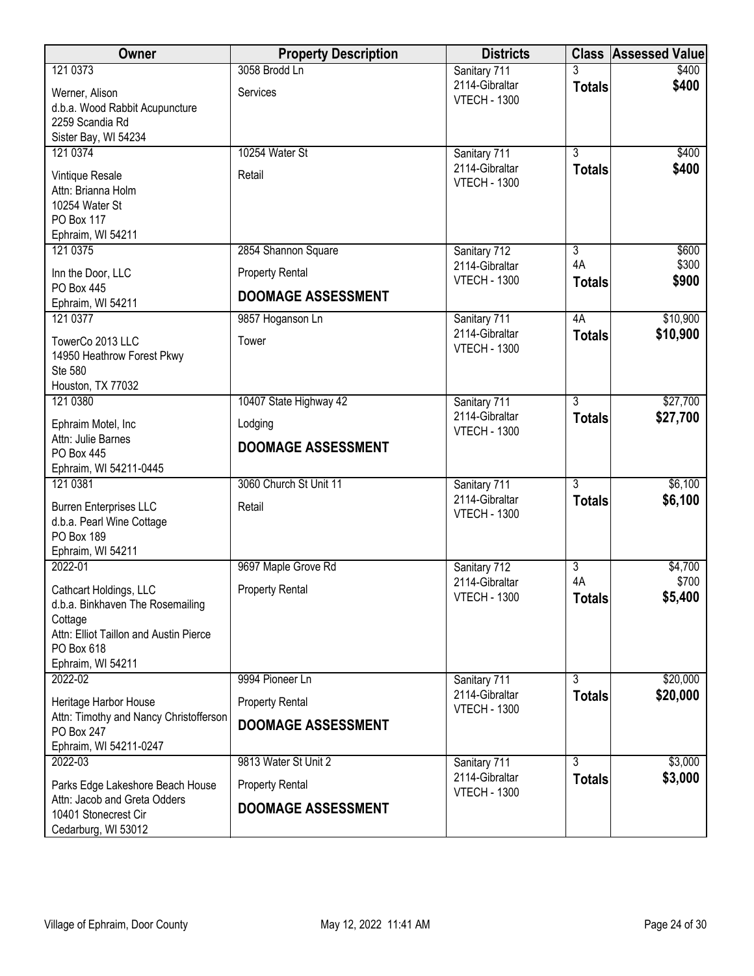| Owner                                       | <b>Property Description</b> | <b>Districts</b>                      |                | <b>Class Assessed Value</b> |
|---------------------------------------------|-----------------------------|---------------------------------------|----------------|-----------------------------|
| 121 0373                                    | 3058 Brodd Ln               | Sanitary 711                          |                | \$400                       |
| Werner, Alison                              | Services                    | 2114-Gibraltar                        | <b>Totals</b>  | \$400                       |
| d.b.a. Wood Rabbit Acupuncture              |                             | <b>VTECH - 1300</b>                   |                |                             |
| 2259 Scandia Rd                             |                             |                                       |                |                             |
| Sister Bay, WI 54234                        |                             |                                       |                |                             |
| 121 0374                                    | 10254 Water St              | Sanitary 711<br>2114-Gibraltar        | $\overline{3}$ | \$400                       |
| Vintique Resale                             | Retail                      | <b>VTECH - 1300</b>                   | <b>Totals</b>  | \$400                       |
| Attn: Brianna Holm                          |                             |                                       |                |                             |
| 10254 Water St                              |                             |                                       |                |                             |
| PO Box 117<br>Ephraim, WI 54211             |                             |                                       |                |                             |
| 121 0375                                    | 2854 Shannon Square         | Sanitary 712                          | $\overline{3}$ | \$600                       |
|                                             |                             | 2114-Gibraltar                        | 4A             | \$300                       |
| Inn the Door, LLC<br>PO Box 445             | <b>Property Rental</b>      | <b>VTECH - 1300</b>                   | <b>Totals</b>  | \$900                       |
| Ephraim, WI 54211                           | <b>DOOMAGE ASSESSMENT</b>   |                                       |                |                             |
| 121 0377                                    | 9857 Hoganson Ln            | Sanitary 711                          | 4A             | \$10,900                    |
| TowerCo 2013 LLC                            | Tower                       | 2114-Gibraltar                        | <b>Totals</b>  | \$10,900                    |
| 14950 Heathrow Forest Pkwy                  |                             | <b>VTECH - 1300</b>                   |                |                             |
| Ste 580                                     |                             |                                       |                |                             |
| Houston, TX 77032                           |                             |                                       |                |                             |
| 121 0380                                    | 10407 State Highway 42      | Sanitary 711                          | $\overline{3}$ | \$27,700                    |
| Ephraim Motel, Inc                          | Lodging                     | 2114-Gibraltar                        | <b>Totals</b>  | \$27,700                    |
| Attn: Julie Barnes                          |                             | <b>VTECH - 1300</b>                   |                |                             |
| PO Box 445                                  | <b>DOOMAGE ASSESSMENT</b>   |                                       |                |                             |
| Ephraim, WI 54211-0445                      |                             |                                       |                |                             |
| 121 0381                                    | 3060 Church St Unit 11      | Sanitary 711                          | $\overline{3}$ | \$6,100                     |
| <b>Burren Enterprises LLC</b>               | Retail                      | 2114-Gibraltar<br><b>VTECH - 1300</b> | <b>Totals</b>  | \$6,100                     |
| d.b.a. Pearl Wine Cottage                   |                             |                                       |                |                             |
| PO Box 189                                  |                             |                                       |                |                             |
| Ephraim, WI 54211<br>2022-01                | 9697 Maple Grove Rd         | Sanitary 712                          | $\overline{3}$ | \$4,700                     |
|                                             |                             | 2114-Gibraltar                        | 4A             | \$700                       |
| Cathcart Holdings, LLC                      | <b>Property Rental</b>      | <b>VTECH - 1300</b>                   | <b>Totals</b>  | \$5,400                     |
| d.b.a. Binkhaven The Rosemailing<br>Cottage |                             |                                       |                |                             |
| Attn: Elliot Taillon and Austin Pierce      |                             |                                       |                |                             |
| PO Box 618                                  |                             |                                       |                |                             |
| Ephraim, WI 54211                           |                             |                                       |                |                             |
| 2022-02                                     | 9994 Pioneer Ln             | Sanitary 711                          | $\overline{3}$ | \$20,000                    |
| Heritage Harbor House                       | <b>Property Rental</b>      | 2114-Gibraltar                        | <b>Totals</b>  | \$20,000                    |
| Attn: Timothy and Nancy Christofferson      | <b>DOOMAGE ASSESSMENT</b>   | <b>VTECH - 1300</b>                   |                |                             |
| PO Box 247                                  |                             |                                       |                |                             |
| Ephraim, WI 54211-0247                      |                             |                                       |                |                             |
| 2022-03                                     | 9813 Water St Unit 2        | Sanitary 711<br>2114-Gibraltar        | 3              | \$3,000<br>\$3,000          |
| Parks Edge Lakeshore Beach House            | <b>Property Rental</b>      | <b>VTECH - 1300</b>                   | <b>Totals</b>  |                             |
| Attn: Jacob and Greta Odders                | <b>DOOMAGE ASSESSMENT</b>   |                                       |                |                             |
| 10401 Stonecrest Cir<br>Cedarburg, WI 53012 |                             |                                       |                |                             |
|                                             |                             |                                       |                |                             |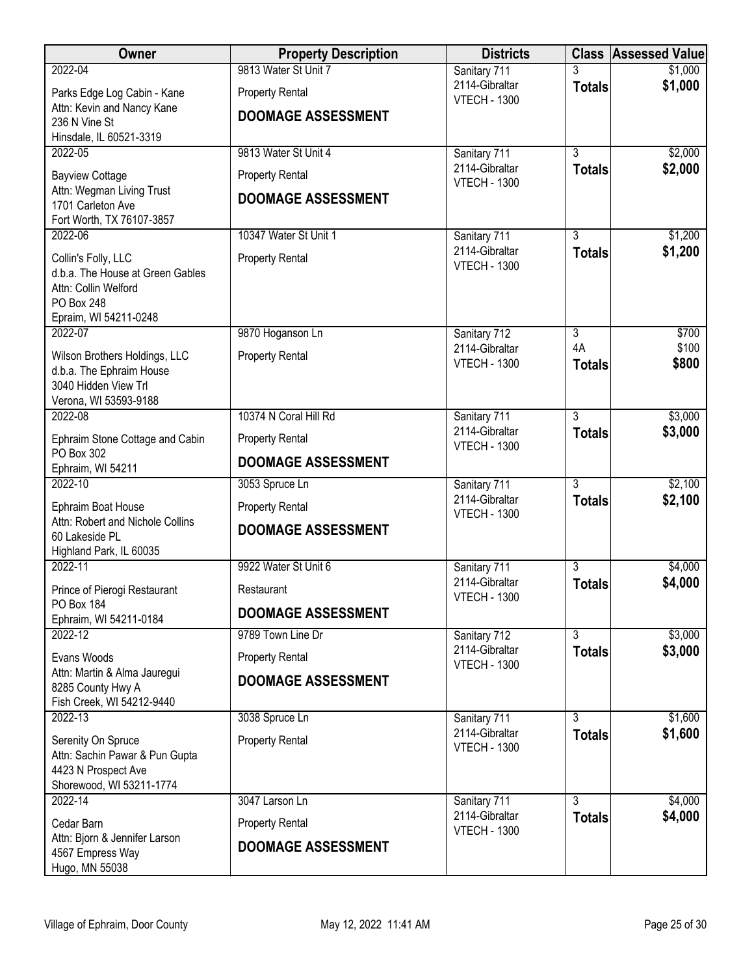| Owner                                              | <b>Property Description</b> | <b>Districts</b>                      |                     | <b>Class Assessed Value</b> |
|----------------------------------------------------|-----------------------------|---------------------------------------|---------------------|-----------------------------|
| 2022-04                                            | 9813 Water St Unit 7        | Sanitary 711                          |                     | \$1,000                     |
| Parks Edge Log Cabin - Kane                        | <b>Property Rental</b>      | 2114-Gibraltar<br><b>VTECH - 1300</b> | <b>Totals</b>       | \$1,000                     |
| Attn: Kevin and Nancy Kane<br>236 N Vine St        | <b>DOOMAGE ASSESSMENT</b>   |                                       |                     |                             |
| Hinsdale, IL 60521-3319                            |                             |                                       |                     |                             |
| 2022-05                                            | 9813 Water St Unit 4        | Sanitary 711                          | $\overline{3}$      | \$2,000                     |
| <b>Bayview Cottage</b>                             | <b>Property Rental</b>      | 2114-Gibraltar<br><b>VTECH - 1300</b> | <b>Totals</b>       | \$2,000                     |
| Attn: Wegman Living Trust                          | <b>DOOMAGE ASSESSMENT</b>   |                                       |                     |                             |
| 1701 Carleton Ave<br>Fort Worth, TX 76107-3857     |                             |                                       |                     |                             |
| 2022-06                                            | 10347 Water St Unit 1       | Sanitary 711                          | 3                   | \$1,200                     |
| Collin's Folly, LLC                                | <b>Property Rental</b>      | 2114-Gibraltar<br><b>VTECH - 1300</b> | <b>Totals</b>       | \$1,200                     |
| d.b.a. The House at Green Gables                   |                             |                                       |                     |                             |
| Attn: Collin Welford<br>PO Box 248                 |                             |                                       |                     |                             |
| Epraim, WI 54211-0248                              |                             |                                       |                     |                             |
| 2022-07                                            | 9870 Hoganson Ln            | Sanitary 712                          | $\overline{3}$      | \$700                       |
| Wilson Brothers Holdings, LLC                      | <b>Property Rental</b>      | 2114-Gibraltar<br><b>VTECH - 1300</b> | 4A<br><b>Totals</b> | \$100<br>\$800              |
| d.b.a. The Ephraim House<br>3040 Hidden View Trl   |                             |                                       |                     |                             |
| Verona, WI 53593-9188                              |                             |                                       |                     |                             |
| 2022-08                                            | 10374 N Coral Hill Rd       | Sanitary 711                          | $\overline{3}$      | \$3,000                     |
| Ephraim Stone Cottage and Cabin<br>PO Box 302      | <b>Property Rental</b>      | 2114-Gibraltar<br><b>VTECH - 1300</b> | <b>Totals</b>       | \$3,000                     |
| Ephraim, WI 54211                                  | <b>DOOMAGE ASSESSMENT</b>   |                                       |                     |                             |
| 2022-10                                            | 3053 Spruce Ln              | Sanitary 711                          | $\overline{3}$      | \$2,100                     |
| Ephraim Boat House                                 | <b>Property Rental</b>      | 2114-Gibraltar<br><b>VTECH - 1300</b> | <b>Totals</b>       | \$2,100                     |
| Attn: Robert and Nichole Collins<br>60 Lakeside PL | <b>DOOMAGE ASSESSMENT</b>   |                                       |                     |                             |
| Highland Park, IL 60035                            |                             |                                       |                     |                             |
| 2022-11                                            | 9922 Water St Unit 6        | Sanitary 711                          | $\overline{3}$      | \$4,000                     |
| Prince of Pierogi Restaurant                       | Restaurant                  | 2114-Gibraltar<br><b>VTECH - 1300</b> | <b>Totals</b>       | \$4,000                     |
| PO Box 184<br>Ephraim, WI 54211-0184               | <b>DOOMAGE ASSESSMENT</b>   |                                       |                     |                             |
| 2022-12                                            | 9789 Town Line Dr           | Sanitary 712                          | $\overline{3}$      | \$3,000                     |
| Evans Woods                                        | <b>Property Rental</b>      | 2114-Gibraltar<br><b>VTECH - 1300</b> | <b>Totals</b>       | \$3,000                     |
| Attn: Martin & Alma Jauregui                       | <b>DOOMAGE ASSESSMENT</b>   |                                       |                     |                             |
| 8285 County Hwy A<br>Fish Creek, WI 54212-9440     |                             |                                       |                     |                             |
| 2022-13                                            | 3038 Spruce Ln              | Sanitary 711                          | 3                   | \$1,600                     |
| Serenity On Spruce                                 | <b>Property Rental</b>      | 2114-Gibraltar<br><b>VTECH - 1300</b> | <b>Totals</b>       | \$1,600                     |
| Attn: Sachin Pawar & Pun Gupta                     |                             |                                       |                     |                             |
| 4423 N Prospect Ave<br>Shorewood, WI 53211-1774    |                             |                                       |                     |                             |
| 2022-14                                            | 3047 Larson Ln              | Sanitary 711                          | 3                   | \$4,000                     |
| Cedar Barn                                         | <b>Property Rental</b>      | 2114-Gibraltar<br><b>VTECH - 1300</b> | <b>Totals</b>       | \$4,000                     |
| Attn: Bjorn & Jennifer Larson                      | <b>DOOMAGE ASSESSMENT</b>   |                                       |                     |                             |
| 4567 Empress Way<br>Hugo, MN 55038                 |                             |                                       |                     |                             |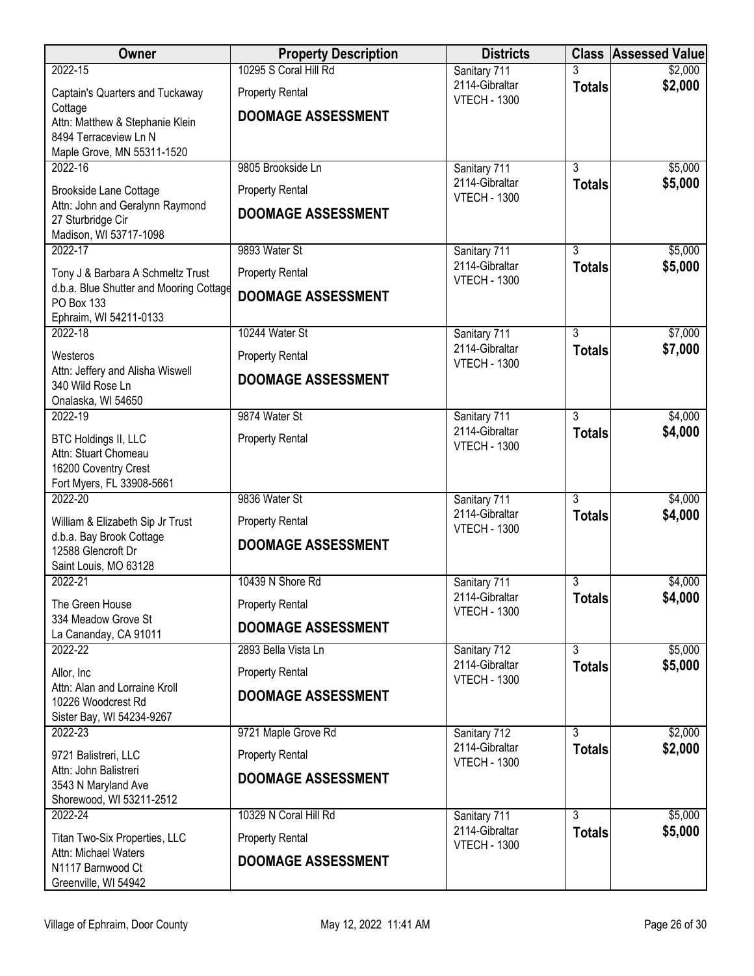| <b>Owner</b>                                                                 | <b>Property Description</b> | <b>Districts</b>                      |                                 | <b>Class Assessed Value</b> |
|------------------------------------------------------------------------------|-----------------------------|---------------------------------------|---------------------------------|-----------------------------|
| 2022-15                                                                      | 10295 S Coral Hill Rd       | Sanitary 711                          |                                 | \$2,000                     |
| Captain's Quarters and Tuckaway                                              | <b>Property Rental</b>      | 2114-Gibraltar<br><b>VTECH - 1300</b> | <b>Totals</b>                   | \$2,000                     |
| Cottage<br>Attn: Matthew & Stephanie Klein                                   | <b>DOOMAGE ASSESSMENT</b>   |                                       |                                 |                             |
| 8494 Terraceview Ln N                                                        |                             |                                       |                                 |                             |
| Maple Grove, MN 55311-1520<br>2022-16                                        | 9805 Brookside Ln           |                                       | $\overline{3}$                  | \$5,000                     |
|                                                                              |                             | Sanitary 711<br>2114-Gibraltar        | <b>Totals</b>                   | \$5,000                     |
| Brookside Lane Cottage<br>Attn: John and Geralynn Raymond                    | <b>Property Rental</b>      | <b>VTECH - 1300</b>                   |                                 |                             |
| 27 Sturbridge Cir                                                            | <b>DOOMAGE ASSESSMENT</b>   |                                       |                                 |                             |
| Madison, WI 53717-1098<br>2022-17                                            | 9893 Water St               | Sanitary 711                          | 3                               | \$5,000                     |
|                                                                              |                             | 2114-Gibraltar                        | <b>Totals</b>                   | \$5,000                     |
| Tony J & Barbara A Schmeltz Trust<br>d.b.a. Blue Shutter and Mooring Cottage | <b>Property Rental</b>      | <b>VTECH - 1300</b>                   |                                 |                             |
| PO Box 133                                                                   | <b>DOOMAGE ASSESSMENT</b>   |                                       |                                 |                             |
| Ephraim, WI 54211-0133<br>2022-18                                            | 10244 Water St              | Sanitary 711                          | $\overline{3}$                  | \$7,000                     |
|                                                                              |                             | 2114-Gibraltar                        | <b>Totals</b>                   | \$7,000                     |
| Westeros<br>Attn: Jeffery and Alisha Wiswell                                 | <b>Property Rental</b>      | <b>VTECH - 1300</b>                   |                                 |                             |
| 340 Wild Rose Ln                                                             | <b>DOOMAGE ASSESSMENT</b>   |                                       |                                 |                             |
| Onalaska, WI 54650<br>2022-19                                                | 9874 Water St               | Sanitary 711                          | 3                               | \$4,000                     |
|                                                                              |                             | 2114-Gibraltar                        | <b>Totals</b>                   | \$4,000                     |
| <b>BTC Holdings II, LLC</b><br>Attn: Stuart Chomeau                          | <b>Property Rental</b>      | <b>VTECH - 1300</b>                   |                                 |                             |
| 16200 Coventry Crest                                                         |                             |                                       |                                 |                             |
| Fort Myers, FL 33908-5661<br>2022-20                                         | 9836 Water St               |                                       | $\overline{3}$                  | \$4,000                     |
|                                                                              |                             | Sanitary 711<br>2114-Gibraltar        | <b>Totals</b>                   | \$4,000                     |
| William & Elizabeth Sip Jr Trust<br>d.b.a. Bay Brook Cottage                 | <b>Property Rental</b>      | <b>VTECH - 1300</b>                   |                                 |                             |
| 12588 Glencroft Dr                                                           | <b>DOOMAGE ASSESSMENT</b>   |                                       |                                 |                             |
| Saint Louis, MO 63128<br>2022-21                                             | 10439 N Shore Rd            | Sanitary 711                          | $\overline{3}$                  | \$4,000                     |
|                                                                              |                             | 2114-Gibraltar                        | <b>Totals</b>                   | \$4,000                     |
| The Green House<br>334 Meadow Grove St                                       | <b>Property Rental</b>      | <b>VTECH - 1300</b>                   |                                 |                             |
| La Cananday, CA 91011                                                        | <b>DOOMAGE ASSESSMENT</b>   |                                       |                                 |                             |
| 2022-22                                                                      | 2893 Bella Vista Ln         | Sanitary 712<br>2114-Gibraltar        | $\overline{3}$                  | \$5,000<br>\$5,000          |
| Allor, Inc<br>Attn: Alan and Lorraine Kroll                                  | <b>Property Rental</b>      | <b>VTECH - 1300</b>                   | <b>Totals</b>                   |                             |
| 10226 Woodcrest Rd                                                           | <b>DOOMAGE ASSESSMENT</b>   |                                       |                                 |                             |
| Sister Bay, WI 54234-9267                                                    |                             |                                       |                                 |                             |
| 2022-23                                                                      | 9721 Maple Grove Rd         | Sanitary 712<br>2114-Gibraltar        | 3<br><b>Totals</b>              | \$2,000<br>\$2,000          |
| 9721 Balistreri, LLC<br>Attn: John Balistreri                                | <b>Property Rental</b>      | <b>VTECH - 1300</b>                   |                                 |                             |
| 3543 N Maryland Ave                                                          | <b>DOOMAGE ASSESSMENT</b>   |                                       |                                 |                             |
| Shorewood, WI 53211-2512                                                     |                             |                                       |                                 |                             |
| 2022-24                                                                      | 10329 N Coral Hill Rd       | Sanitary 711<br>2114-Gibraltar        | $\overline{3}$<br><b>Totals</b> | \$5,000<br>\$5,000          |
| Titan Two-Six Properties, LLC<br>Attn: Michael Waters                        | <b>Property Rental</b>      | <b>VTECH - 1300</b>                   |                                 |                             |
| N1117 Barnwood Ct                                                            | <b>DOOMAGE ASSESSMENT</b>   |                                       |                                 |                             |
| Greenville, WI 54942                                                         |                             |                                       |                                 |                             |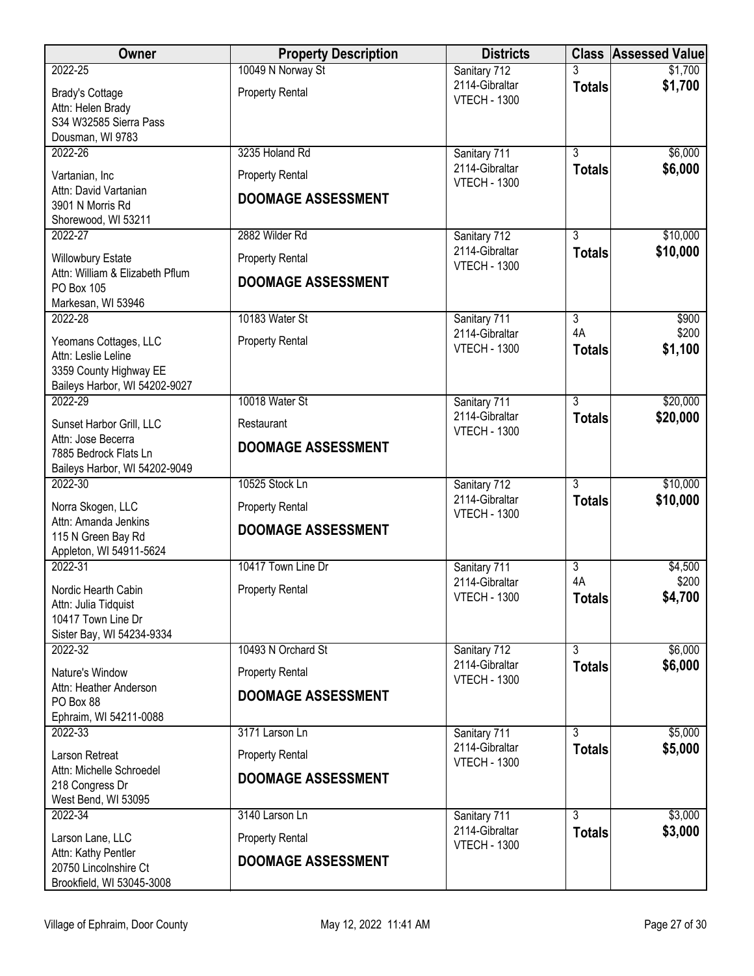| Owner                                           | <b>Property Description</b> | <b>Districts</b>                      |                | <b>Class Assessed Value</b> |
|-------------------------------------------------|-----------------------------|---------------------------------------|----------------|-----------------------------|
| 2022-25                                         | 10049 N Norway St           | Sanitary 712                          |                | \$1,700                     |
| <b>Brady's Cottage</b>                          | <b>Property Rental</b>      | 2114-Gibraltar<br><b>VTECH - 1300</b> | <b>Totals</b>  | \$1,700                     |
| Attn: Helen Brady                               |                             |                                       |                |                             |
| S34 W32585 Sierra Pass<br>Dousman, WI 9783      |                             |                                       |                |                             |
| 2022-26                                         | 3235 Holand Rd              | Sanitary 711                          | $\overline{3}$ | \$6,000                     |
| Vartanian, Inc                                  | <b>Property Rental</b>      | 2114-Gibraltar                        | <b>Totals</b>  | \$6,000                     |
| Attn: David Vartanian                           | <b>DOOMAGE ASSESSMENT</b>   | <b>VTECH - 1300</b>                   |                |                             |
| 3901 N Morris Rd                                |                             |                                       |                |                             |
| Shorewood, WI 53211<br>2022-27                  | 2882 Wilder Rd              | Sanitary 712                          | 3              | \$10,000                    |
| <b>Willowbury Estate</b>                        | <b>Property Rental</b>      | 2114-Gibraltar                        | <b>Totals</b>  | \$10,000                    |
| Attn: William & Elizabeth Pflum                 |                             | <b>VTECH - 1300</b>                   |                |                             |
| PO Box 105                                      | <b>DOOMAGE ASSESSMENT</b>   |                                       |                |                             |
| Markesan, WI 53946<br>2022-28                   | 10183 Water St              |                                       | $\overline{3}$ | \$900                       |
|                                                 |                             | Sanitary 711<br>2114-Gibraltar        | 4A             | \$200                       |
| Yeomans Cottages, LLC<br>Attn: Leslie Leline    | <b>Property Rental</b>      | <b>VTECH - 1300</b>                   | <b>Totals</b>  | \$1,100                     |
| 3359 County Highway EE                          |                             |                                       |                |                             |
| Baileys Harbor, WI 54202-9027                   |                             |                                       |                |                             |
| 2022-29                                         | 10018 Water St              | Sanitary 711<br>2114-Gibraltar        | $\overline{3}$ | \$20,000                    |
| Sunset Harbor Grill, LLC                        | Restaurant                  | <b>VTECH - 1300</b>                   | <b>Totals</b>  | \$20,000                    |
| Attn: Jose Becerra<br>7885 Bedrock Flats Ln     | <b>DOOMAGE ASSESSMENT</b>   |                                       |                |                             |
| Baileys Harbor, WI 54202-9049                   |                             |                                       |                |                             |
| 2022-30                                         | 10525 Stock Ln              | Sanitary 712                          | $\overline{3}$ | \$10,000                    |
| Norra Skogen, LLC                               | <b>Property Rental</b>      | 2114-Gibraltar<br><b>VTECH - 1300</b> | <b>Totals</b>  | \$10,000                    |
| Attn: Amanda Jenkins                            | <b>DOOMAGE ASSESSMENT</b>   |                                       |                |                             |
| 115 N Green Bay Rd<br>Appleton, WI 54911-5624   |                             |                                       |                |                             |
| 2022-31                                         | 10417 Town Line Dr          | Sanitary 711                          | $\overline{3}$ | \$4,500                     |
| Nordic Hearth Cabin                             | <b>Property Rental</b>      | 2114-Gibraltar                        | 4A             | \$200                       |
| Attn: Julia Tidquist                            |                             | <b>VTECH - 1300</b>                   | <b>Totals</b>  | \$4,700                     |
| 10417 Town Line Dr<br>Sister Bay, WI 54234-9334 |                             |                                       |                |                             |
| 2022-32                                         | 10493 N Orchard St          | Sanitary 712                          | $\overline{3}$ | \$6,000                     |
| Nature's Window                                 | <b>Property Rental</b>      | 2114-Gibraltar                        | <b>Totals</b>  | \$6,000                     |
| Attn: Heather Anderson                          | <b>DOOMAGE ASSESSMENT</b>   | <b>VTECH - 1300</b>                   |                |                             |
| PO Box 88<br>Ephraim, WI 54211-0088             |                             |                                       |                |                             |
| 2022-33                                         | 3171 Larson Ln              | Sanitary 711                          | $\overline{3}$ | \$5,000                     |
| Larson Retreat                                  | <b>Property Rental</b>      | 2114-Gibraltar                        | <b>Totals</b>  | \$5,000                     |
| Attn: Michelle Schroedel                        |                             | <b>VTECH - 1300</b>                   |                |                             |
| 218 Congress Dr                                 | <b>DOOMAGE ASSESSMENT</b>   |                                       |                |                             |
| West Bend, WI 53095<br>2022-34                  | 3140 Larson Ln              | Sanitary 711                          | $\overline{3}$ | \$3,000                     |
|                                                 |                             | 2114-Gibraltar                        | <b>Totals</b>  | \$3,000                     |
| Larson Lane, LLC<br>Attn: Kathy Pentler         | <b>Property Rental</b>      | <b>VTECH - 1300</b>                   |                |                             |
| 20750 Lincolnshire Ct                           | <b>DOOMAGE ASSESSMENT</b>   |                                       |                |                             |
| Brookfield, WI 53045-3008                       |                             |                                       |                |                             |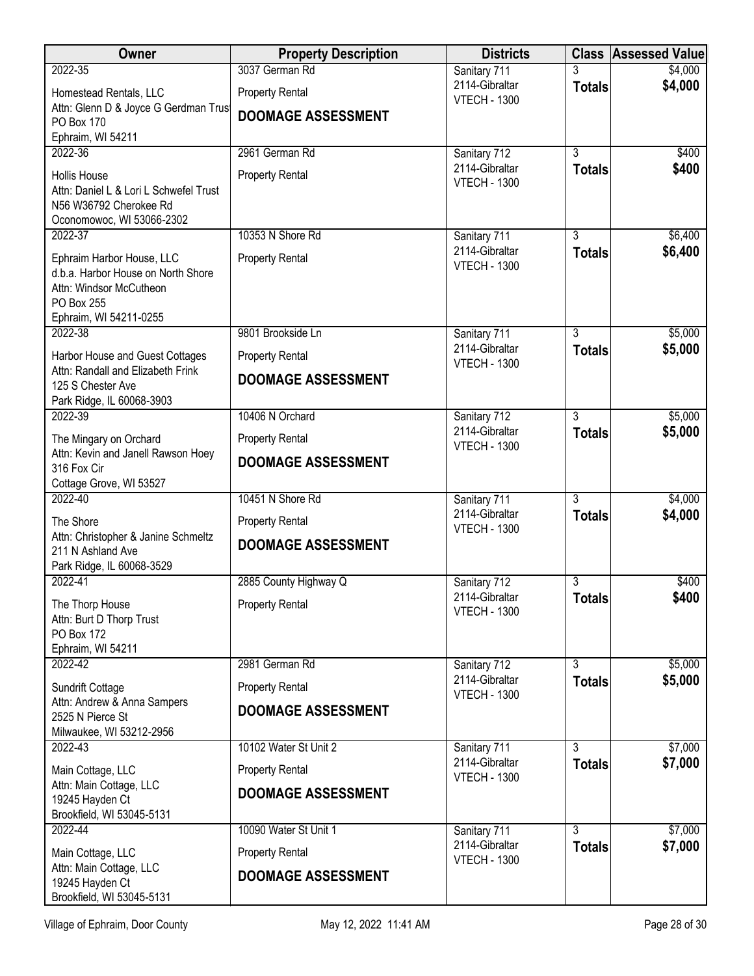| Owner                                                                                                                              | <b>Property Description</b> | <b>Districts</b>                      |                | <b>Class Assessed Value</b> |
|------------------------------------------------------------------------------------------------------------------------------------|-----------------------------|---------------------------------------|----------------|-----------------------------|
| 2022-35                                                                                                                            | 3037 German Rd              | Sanitary 711                          | 3              | \$4,000                     |
| Homestead Rentals, LLC<br>Attn: Glenn D & Joyce G Gerdman Trust                                                                    | <b>Property Rental</b>      | 2114-Gibraltar<br><b>VTECH - 1300</b> | <b>Totals</b>  | \$4,000                     |
| PO Box 170<br>Ephraim, WI 54211                                                                                                    | <b>DOOMAGE ASSESSMENT</b>   |                                       |                |                             |
| 2022-36                                                                                                                            | 2961 German Rd              | Sanitary 712                          | $\overline{3}$ | \$400                       |
|                                                                                                                                    |                             | 2114-Gibraltar                        | <b>Totals</b>  | \$400                       |
| <b>Hollis House</b><br>Attn: Daniel L & Lori L Schwefel Trust<br>N56 W36792 Cherokee Rd<br>Oconomowoc, WI 53066-2302               | <b>Property Rental</b>      | <b>VTECH - 1300</b>                   |                |                             |
| 2022-37                                                                                                                            | 10353 N Shore Rd            | Sanitary 711                          | $\overline{3}$ | \$6,400                     |
| Ephraim Harbor House, LLC<br>d.b.a. Harbor House on North Shore<br>Attn: Windsor McCutheon<br>PO Box 255<br>Ephraim, WI 54211-0255 | <b>Property Rental</b>      | 2114-Gibraltar<br><b>VTECH - 1300</b> | <b>Totals</b>  | \$6,400                     |
| 2022-38                                                                                                                            | 9801 Brookside Ln           | Sanitary 711                          | $\overline{3}$ | \$5,000                     |
| Harbor House and Guest Cottages                                                                                                    | <b>Property Rental</b>      | 2114-Gibraltar                        | <b>Totals</b>  | \$5,000                     |
| Attn: Randall and Elizabeth Frink<br>125 S Chester Ave<br>Park Ridge, IL 60068-3903                                                | <b>DOOMAGE ASSESSMENT</b>   | <b>VTECH - 1300</b>                   |                |                             |
| 2022-39                                                                                                                            | 10406 N Orchard             | Sanitary 712                          | 3              | \$5,000                     |
| The Mingary on Orchard                                                                                                             | <b>Property Rental</b>      | 2114-Gibraltar<br><b>VTECH - 1300</b> | <b>Totals</b>  | \$5,000                     |
| Attn: Kevin and Janell Rawson Hoey<br>316 Fox Cir<br>Cottage Grove, WI 53527                                                       | <b>DOOMAGE ASSESSMENT</b>   |                                       |                |                             |
| 2022-40                                                                                                                            | 10451 N Shore Rd            | Sanitary 711                          | 3              | \$4,000                     |
| The Shore                                                                                                                          | <b>Property Rental</b>      | 2114-Gibraltar<br><b>VTECH - 1300</b> | <b>Totals</b>  | \$4,000                     |
| Attn: Christopher & Janine Schmeltz<br>211 N Ashland Ave<br>Park Ridge, IL 60068-3529                                              | <b>DOOMAGE ASSESSMENT</b>   |                                       |                |                             |
| 2022-41                                                                                                                            | 2885 County Highway Q       | Sanitary 712                          | 3              | \$400                       |
| The Thorp House<br>Attn: Burt D Thorp Trust<br>PO Box 172                                                                          | <b>Property Rental</b>      | 2114-Gibraltar<br><b>VTECH - 1300</b> | <b>Totals</b>  | \$400                       |
| Ephraim, WI 54211                                                                                                                  |                             |                                       |                |                             |
| 2022-42                                                                                                                            | 2981 German Rd              | Sanitary 712                          | $\overline{3}$ | \$5,000                     |
| Sundrift Cottage<br>Attn: Andrew & Anna Sampers                                                                                    | <b>Property Rental</b>      | 2114-Gibraltar<br><b>VTECH - 1300</b> | <b>Totals</b>  | \$5,000                     |
| 2525 N Pierce St<br>Milwaukee, WI 53212-2956                                                                                       | <b>DOOMAGE ASSESSMENT</b>   |                                       |                |                             |
| 2022-43                                                                                                                            | 10102 Water St Unit 2       | Sanitary 711                          | $\overline{3}$ | \$7,000                     |
| Main Cottage, LLC                                                                                                                  | <b>Property Rental</b>      | 2114-Gibraltar<br><b>VTECH - 1300</b> | <b>Totals</b>  | \$7,000                     |
| Attn: Main Cottage, LLC<br>19245 Hayden Ct<br>Brookfield, WI 53045-5131                                                            | <b>DOOMAGE ASSESSMENT</b>   |                                       |                |                             |
| 2022-44                                                                                                                            | 10090 Water St Unit 1       | Sanitary 711                          | 3              | \$7,000                     |
| Main Cottage, LLC                                                                                                                  | <b>Property Rental</b>      | 2114-Gibraltar<br><b>VTECH - 1300</b> | <b>Totals</b>  | \$7,000                     |
| Attn: Main Cottage, LLC<br>19245 Hayden Ct<br>Brookfield, WI 53045-5131                                                            | <b>DOOMAGE ASSESSMENT</b>   |                                       |                |                             |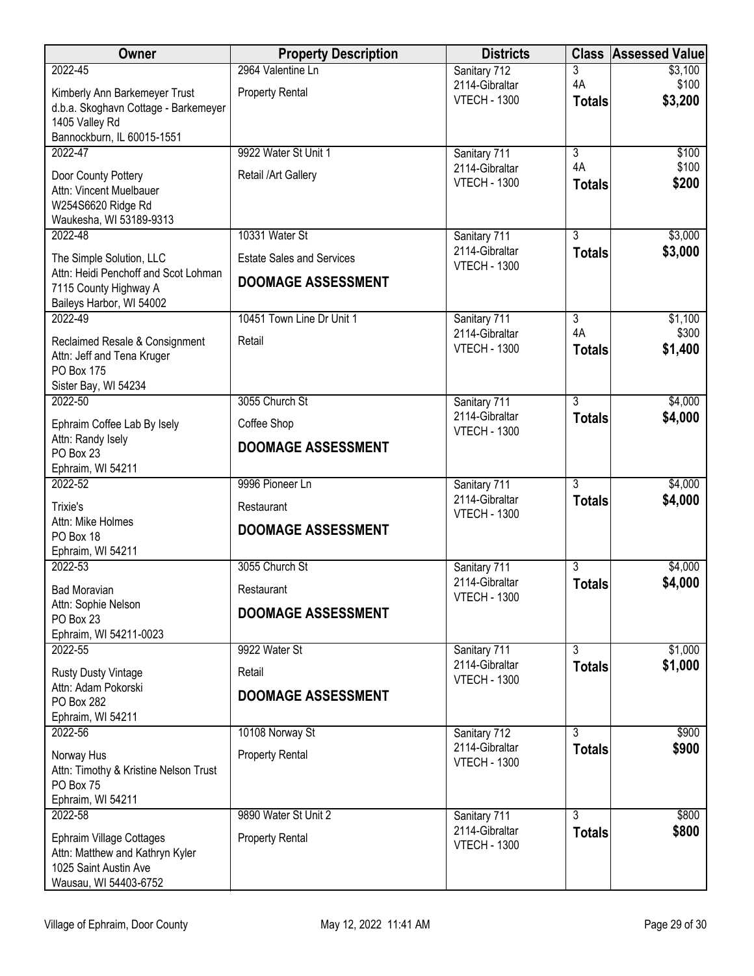| Owner                                                        | <b>Property Description</b>      | <b>Districts</b>                      |                                 | <b>Class Assessed Value</b> |
|--------------------------------------------------------------|----------------------------------|---------------------------------------|---------------------------------|-----------------------------|
| 2022-45                                                      | 2964 Valentine Ln                | Sanitary 712                          | 3                               | \$3,100                     |
| Kimberly Ann Barkemeyer Trust                                | <b>Property Rental</b>           | 2114-Gibraltar<br><b>VTECH - 1300</b> | 4A                              | \$100<br>\$3,200            |
| d.b.a. Skoghavn Cottage - Barkemeyer                         |                                  |                                       | <b>Totals</b>                   |                             |
| 1405 Valley Rd<br>Bannockburn, IL 60015-1551                 |                                  |                                       |                                 |                             |
| 2022-47                                                      | 9922 Water St Unit 1             | Sanitary 711                          | 3                               | \$100                       |
|                                                              |                                  | 2114-Gibraltar                        | 4A                              | \$100                       |
| Door County Pottery<br>Attn: Vincent Muelbauer               | Retail /Art Gallery              | <b>VTECH - 1300</b>                   | <b>Totals</b>                   | \$200                       |
| W254S6620 Ridge Rd                                           |                                  |                                       |                                 |                             |
| Waukesha, WI 53189-9313                                      |                                  |                                       |                                 |                             |
| 2022-48                                                      | 10331 Water St                   | Sanitary 711                          | $\overline{3}$                  | \$3,000                     |
| The Simple Solution, LLC                                     | <b>Estate Sales and Services</b> | 2114-Gibraltar<br><b>VTECH - 1300</b> | <b>Totals</b>                   | \$3,000                     |
| Attn: Heidi Penchoff and Scot Lohman                         | <b>DOOMAGE ASSESSMENT</b>        |                                       |                                 |                             |
| 7115 County Highway A<br>Baileys Harbor, WI 54002            |                                  |                                       |                                 |                             |
| 2022-49                                                      | 10451 Town Line Dr Unit 1        | Sanitary 711                          | $\overline{3}$                  | \$1,100                     |
|                                                              | Retail                           | 2114-Gibraltar                        | 4A                              | \$300                       |
| Reclaimed Resale & Consignment<br>Attn: Jeff and Tena Kruger |                                  | <b>VTECH - 1300</b>                   | <b>Totals</b>                   | \$1,400                     |
| PO Box 175                                                   |                                  |                                       |                                 |                             |
| Sister Bay, WI 54234                                         |                                  |                                       |                                 |                             |
| 2022-50                                                      | 3055 Church St                   | Sanitary 711                          | $\overline{3}$                  | \$4,000                     |
| Ephraim Coffee Lab By Isely                                  | Coffee Shop                      | 2114-Gibraltar<br><b>VTECH - 1300</b> | <b>Totals</b>                   | \$4,000                     |
| Attn: Randy Isely<br>PO Box 23                               | <b>DOOMAGE ASSESSMENT</b>        |                                       |                                 |                             |
| Ephraim, WI 54211                                            |                                  |                                       |                                 |                             |
| 2022-52                                                      | 9996 Pioneer Ln                  | Sanitary 711                          | $\overline{3}$                  | \$4,000                     |
| Trixie's                                                     | Restaurant                       | 2114-Gibraltar                        | <b>Totals</b>                   | \$4,000                     |
| Attn: Mike Holmes                                            |                                  | <b>VTECH - 1300</b>                   |                                 |                             |
| PO Box 18                                                    | <b>DOOMAGE ASSESSMENT</b>        |                                       |                                 |                             |
| Ephraim, WI 54211                                            |                                  |                                       |                                 |                             |
| 2022-53                                                      | 3055 Church St                   | Sanitary 711<br>2114-Gibraltar        | $\overline{3}$<br><b>Totals</b> | \$4,000<br>\$4,000          |
| <b>Bad Moravian</b>                                          | Restaurant                       | <b>VTECH - 1300</b>                   |                                 |                             |
| Attn: Sophie Nelson<br>PO Box 23                             | <b>DOOMAGE ASSESSMENT</b>        |                                       |                                 |                             |
| Ephraim, WI 54211-0023                                       |                                  |                                       |                                 |                             |
| 2022-55                                                      | 9922 Water St                    | Sanitary 711                          | $\overline{3}$                  | \$1,000                     |
| Rusty Dusty Vintage                                          | Retail                           | 2114-Gibraltar                        | <b>Totals</b>                   | \$1,000                     |
| Attn: Adam Pokorski                                          | <b>DOOMAGE ASSESSMENT</b>        | <b>VTECH - 1300</b>                   |                                 |                             |
| PO Box 282                                                   |                                  |                                       |                                 |                             |
| Ephraim, WI 54211<br>2022-56                                 | 10108 Norway St                  | Sanitary 712                          | $\overline{3}$                  | \$900                       |
|                                                              |                                  | 2114-Gibraltar                        | <b>Totals</b>                   | \$900                       |
| Norway Hus<br>Attn: Timothy & Kristine Nelson Trust          | <b>Property Rental</b>           | <b>VTECH - 1300</b>                   |                                 |                             |
| PO Box 75                                                    |                                  |                                       |                                 |                             |
| Ephraim, WI 54211                                            |                                  |                                       |                                 |                             |
| 2022-58                                                      | 9890 Water St Unit 2             | Sanitary 711                          | $\overline{3}$                  | \$800                       |
| Ephraim Village Cottages                                     | <b>Property Rental</b>           | 2114-Gibraltar<br><b>VTECH - 1300</b> | <b>Totals</b>                   | \$800                       |
| Attn: Matthew and Kathryn Kyler                              |                                  |                                       |                                 |                             |
| 1025 Saint Austin Ave<br>Wausau, WI 54403-6752               |                                  |                                       |                                 |                             |
|                                                              |                                  |                                       |                                 |                             |